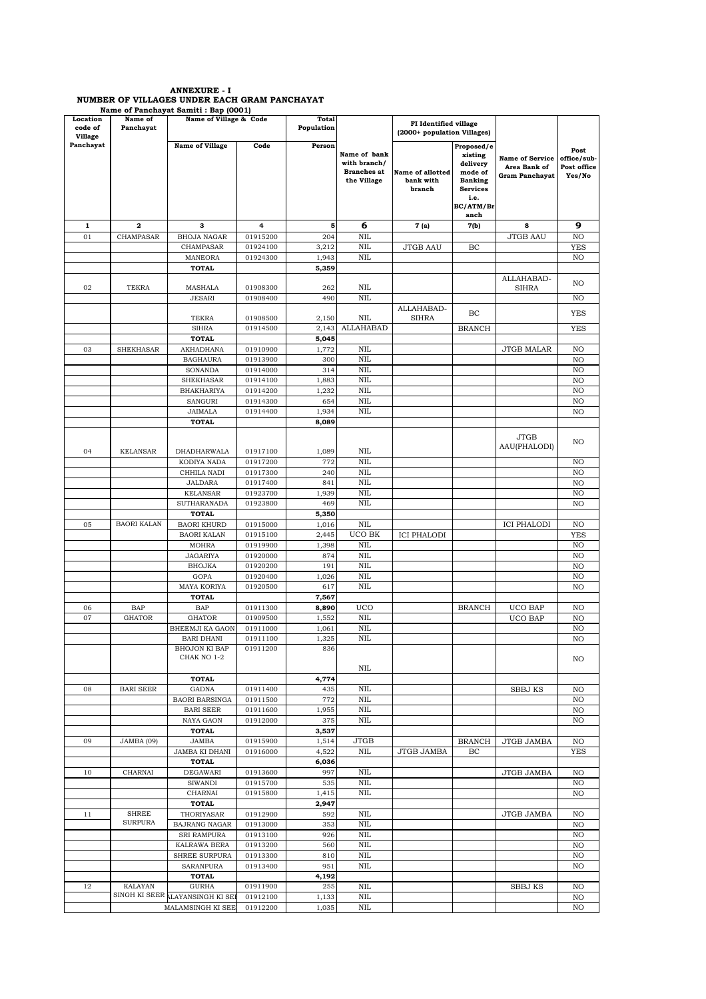## ANNEXURE - I NUMBER OF VILLAGES UNDER EACH GRAM PANCHAYAT Name of Panchayat Samiti : Bap (0001)

| Location<br>code of<br><b>Village</b> | Name of<br>Panchayat           | Name of Village & Code                |                      | <b>Total</b><br>Population |                                                                   | FI Identified village<br>(2000+ population Villages) |                                                                                                                |                                                          |                                              |
|---------------------------------------|--------------------------------|---------------------------------------|----------------------|----------------------------|-------------------------------------------------------------------|------------------------------------------------------|----------------------------------------------------------------------------------------------------------------|----------------------------------------------------------|----------------------------------------------|
| Panchayat                             |                                | <b>Name of Village</b>                | Code                 | Person                     | Name of bank<br>with branch/<br><b>Branches</b> at<br>the Village | <b>Name of allotted</b><br>bank with<br>branch       | Proposed/e<br>xisting<br>delivery<br>mode of<br><b>Banking</b><br><b>Services</b><br>i.e.<br>BC/ATM/Br<br>anch | <b>Name of Service</b><br>Area Bank of<br>Gram Panchayat | Post<br>office/sub-<br>Post office<br>Yes/No |
| 1                                     | 2                              | з                                     | 4                    | 5                          | 6                                                                 | 7 (a)                                                | 7(b)                                                                                                           | 8                                                        | 9                                            |
| 01                                    | CHAMPASAR                      | <b>BHOJA NAGAR</b>                    | 01915200             | 204                        | <b>NIL</b>                                                        |                                                      |                                                                                                                | <b>JTGB AAU</b>                                          | NO                                           |
|                                       |                                | CHAMPASAR                             | 01924100             | 3,212                      | <b>NIL</b>                                                        | <b>JTGB AAU</b>                                      | BC                                                                                                             |                                                          | <b>YES</b>                                   |
|                                       |                                | MANEORA                               | 01924300             | 1,943                      | <b>NIL</b>                                                        |                                                      |                                                                                                                |                                                          | NO                                           |
|                                       |                                | TOTAL                                 |                      | 5,359                      |                                                                   |                                                      |                                                                                                                |                                                          |                                              |
|                                       |                                |                                       |                      |                            |                                                                   |                                                      |                                                                                                                | ALLAHABAD-                                               |                                              |
| 02                                    | <b>TEKRA</b>                   | MASHALA                               | 01908300             | 262                        | NIL                                                               |                                                      |                                                                                                                | <b>SIHRA</b>                                             | NO                                           |
|                                       |                                | <b>JESARI</b>                         | 01908400             | 490                        | <b>NIL</b>                                                        |                                                      |                                                                                                                |                                                          | NO                                           |
|                                       |                                |                                       |                      |                            |                                                                   | ALLAHABAD-                                           | BC                                                                                                             |                                                          | YES                                          |
|                                       |                                | TEKRA                                 | 01908500             | 2,150                      | NIL                                                               | <b>SIHRA</b>                                         |                                                                                                                |                                                          |                                              |
|                                       |                                | <b>SIHRA</b><br><b>TOTAL</b>          | 01914500             | 2,143<br>5,045             | <b>ALLAHABAD</b>                                                  |                                                      | <b>BRANCH</b>                                                                                                  |                                                          | <b>YES</b>                                   |
| 03                                    | <b>SHEKHASAR</b>               | AKHADHANA                             | 01910900             | 1,772                      | <b>NIL</b>                                                        |                                                      |                                                                                                                | <b>JTGB MALAR</b>                                        | NO                                           |
|                                       |                                | <b>BAGHAURA</b>                       | 01913900             | 300                        | <b>NIL</b>                                                        |                                                      |                                                                                                                |                                                          | NO                                           |
|                                       |                                | SONANDA                               | 01914000             | 314                        | <b>NIL</b>                                                        |                                                      |                                                                                                                |                                                          | NO                                           |
|                                       |                                | <b>SHEKHASAR</b>                      | 01914100             | 1,883                      | <b>NIL</b>                                                        |                                                      |                                                                                                                |                                                          | NO                                           |
|                                       |                                | <b>BHAKHARIYA</b>                     | 01914200             | 1,232                      | <b>NIL</b>                                                        |                                                      |                                                                                                                |                                                          | NO                                           |
|                                       |                                | SANGURI                               | 01914300             | 654                        | <b>NIL</b>                                                        |                                                      |                                                                                                                |                                                          | NO                                           |
|                                       |                                | <b>JAIMALA</b>                        | 01914400             | 1,934                      | <b>NIL</b>                                                        |                                                      |                                                                                                                |                                                          | NO                                           |
|                                       |                                | <b>TOTAL</b>                          |                      | 8,089                      |                                                                   |                                                      |                                                                                                                |                                                          |                                              |
| 04                                    | <b>KELANSAR</b>                | DHADHARWALA                           | 01917100             | 1,089                      | NIL                                                               |                                                      |                                                                                                                | <b>JTGB</b><br>AAU(PHALODI)                              | N <sub>O</sub>                               |
|                                       |                                | KODIYA NADA                           | 01917200             | 772                        | <b>NIL</b>                                                        |                                                      |                                                                                                                |                                                          | NO                                           |
|                                       |                                | CHHILA NADI                           | 01917300             | 240                        | <b>NIL</b>                                                        |                                                      |                                                                                                                |                                                          | NO                                           |
|                                       |                                | <b>JALDARA</b>                        | 01917400             | 841                        | <b>NIL</b>                                                        |                                                      |                                                                                                                |                                                          | NO                                           |
|                                       |                                | <b>KELANSAR</b>                       | 01923700             | 1,939                      | <b>NIL</b>                                                        |                                                      |                                                                                                                |                                                          | NO                                           |
|                                       |                                | SUTHARANADA                           | 01923800             | 469                        | <b>NIL</b>                                                        |                                                      |                                                                                                                |                                                          | NO                                           |
|                                       |                                | <b>TOTAL</b>                          |                      | 5,350                      |                                                                   |                                                      |                                                                                                                |                                                          |                                              |
| 05                                    | <b>BAORI KALAN</b>             | <b>BAORI KHURD</b>                    | 01915000             | 1,016                      | <b>NIL</b>                                                        |                                                      |                                                                                                                | <b>ICI PHALODI</b>                                       | NO                                           |
|                                       |                                | <b>BAORI KALAN</b>                    | 01915100             | 2,445                      | UCO BK                                                            | <b>ICI PHALODI</b>                                   |                                                                                                                |                                                          | <b>YES</b>                                   |
|                                       |                                | <b>MOHRA</b>                          | 01919900             | 1,398                      | <b>NIL</b>                                                        |                                                      |                                                                                                                |                                                          | NO                                           |
|                                       |                                | <b>JAGARIYA</b>                       | 01920000             | 874                        | <b>NIL</b>                                                        |                                                      |                                                                                                                |                                                          | NO                                           |
|                                       |                                | <b>BHOJKA</b>                         | 01920200             | 191                        | <b>NIL</b>                                                        |                                                      |                                                                                                                |                                                          | NO                                           |
|                                       |                                | GOPA                                  | 01920400             | 1,026                      | <b>NIL</b>                                                        |                                                      |                                                                                                                |                                                          | NO                                           |
|                                       |                                | MAYA KORIYA<br>TOTAL                  | 01920500             | 617<br>7,567               | <b>NIL</b>                                                        |                                                      |                                                                                                                |                                                          | NO                                           |
| 06                                    | <b>BAP</b>                     | BAP                                   | 01911300             | 8,890                      | <b>UCO</b>                                                        |                                                      | <b>BRANCH</b>                                                                                                  | <b>UCO BAP</b>                                           | NO                                           |
| 07                                    | <b>GHATOR</b>                  | <b>GHATOR</b>                         | 01909500             | 1,552                      | <b>NIL</b>                                                        |                                                      |                                                                                                                | <b>UCO BAP</b>                                           | NO                                           |
|                                       |                                | BHEEMJI KA GAON                       | 01911000             | 1,061                      | <b>NIL</b>                                                        |                                                      |                                                                                                                |                                                          | NO                                           |
|                                       |                                | <b>BARI DHANI</b>                     | 01911100             | 1,325                      | <b>NIL</b>                                                        |                                                      |                                                                                                                |                                                          | NO                                           |
|                                       |                                | BHOJON KI BAP                         | 01911200             | 836                        |                                                                   |                                                      |                                                                                                                |                                                          |                                              |
|                                       |                                | CHAK NO 1-2                           |                      |                            |                                                                   |                                                      |                                                                                                                |                                                          | NO                                           |
|                                       |                                |                                       |                      |                            | NIL                                                               |                                                      |                                                                                                                |                                                          |                                              |
|                                       |                                | <b>TOTAL</b>                          |                      | 4,774                      |                                                                   |                                                      |                                                                                                                |                                                          |                                              |
| 08                                    | <b>BARI SEER</b>               | GADNA<br><b>BAORI BARSINGA</b>        | 01911400             | 435<br>772                 | <b>NIL</b><br>NIL                                                 |                                                      |                                                                                                                | <b>SBBJ KS</b>                                           | NO<br>NO                                     |
|                                       |                                | <b>BARI SEER</b>                      | 01911500<br>01911600 | 1,955                      | <b>NIL</b>                                                        |                                                      |                                                                                                                |                                                          | NO                                           |
|                                       |                                | NAYA GAON                             | 01912000             | 375                        | NIL                                                               |                                                      |                                                                                                                |                                                          | NO                                           |
|                                       |                                | <b>TOTAL</b>                          |                      | 3,537                      |                                                                   |                                                      |                                                                                                                |                                                          |                                              |
| 09                                    | JAMBA (09)                     | JAMBA                                 | 01915900             | 1,514                      | <b>JTGB</b>                                                       |                                                      | <b>BRANCH</b>                                                                                                  | JTGB JAMBA                                               | NO                                           |
|                                       |                                | JAMBA KI DHANI                        | 01916000             | 4,522                      | $\rm NIL$                                                         | <b>JTGB JAMBA</b>                                    | BC                                                                                                             |                                                          | <b>YES</b>                                   |
|                                       |                                | <b>TOTAL</b>                          |                      | 6,036                      |                                                                   |                                                      |                                                                                                                |                                                          |                                              |
| 10                                    | CHARNAI                        | DEGAWARI                              | 01913600             | 997                        | $\rm NIL$                                                         |                                                      |                                                                                                                | <b>JTGB JAMBA</b>                                        | NO                                           |
|                                       |                                | <b>SIWANDI</b>                        | 01915700             | 535                        | $\rm NIL$                                                         |                                                      |                                                                                                                |                                                          | NO                                           |
|                                       |                                | CHARNAI                               | 01915800             | 1,415                      | NIL                                                               |                                                      |                                                                                                                |                                                          | NO                                           |
|                                       |                                | <b>TOTAL</b>                          |                      | 2,947                      |                                                                   |                                                      |                                                                                                                |                                                          |                                              |
| $1\,1$                                | <b>SHREE</b><br><b>SURPURA</b> | THORIYASAR                            | 01912900             | 592                        | $\rm NIL$                                                         |                                                      |                                                                                                                | <b>JTGB JAMBA</b>                                        | NO                                           |
|                                       |                                | <b>BAJRANG NAGAR</b><br>SRI RAMPURA   | 01913000<br>01913100 | 353<br>926                 | <b>NIL</b><br>$\rm NIL$                                           |                                                      |                                                                                                                |                                                          | NO<br>NO                                     |
|                                       |                                | KALRAWA BERA                          | 01913200             | 560                        | NIL                                                               |                                                      |                                                                                                                |                                                          | NO                                           |
|                                       |                                | SHREE SURPURA                         | 01913300             | 810                        | $\rm NIL$                                                         |                                                      |                                                                                                                |                                                          | NO                                           |
|                                       |                                | SARANPURA                             | 01913400             | 951                        | $\rm NIL$                                                         |                                                      |                                                                                                                |                                                          | NO                                           |
|                                       |                                | TOTAL                                 |                      | 4,192                      |                                                                   |                                                      |                                                                                                                |                                                          |                                              |
| 12                                    | <b>KALAYAN</b>                 | GURHA                                 | 01911900             | 255                        | <b>NIL</b>                                                        |                                                      |                                                                                                                | <b>SBBJ KS</b>                                           | NO                                           |
|                                       |                                | SINGH KI SEER <b>LAYANSINGH KI SE</b> | 01912100             | 1,133                      | $\rm NIL$                                                         |                                                      |                                                                                                                |                                                          | NO                                           |
|                                       |                                | MALAMSINGH KI SEE                     | 01912200             | 1,035                      | $\rm NIL$                                                         |                                                      |                                                                                                                |                                                          | NO                                           |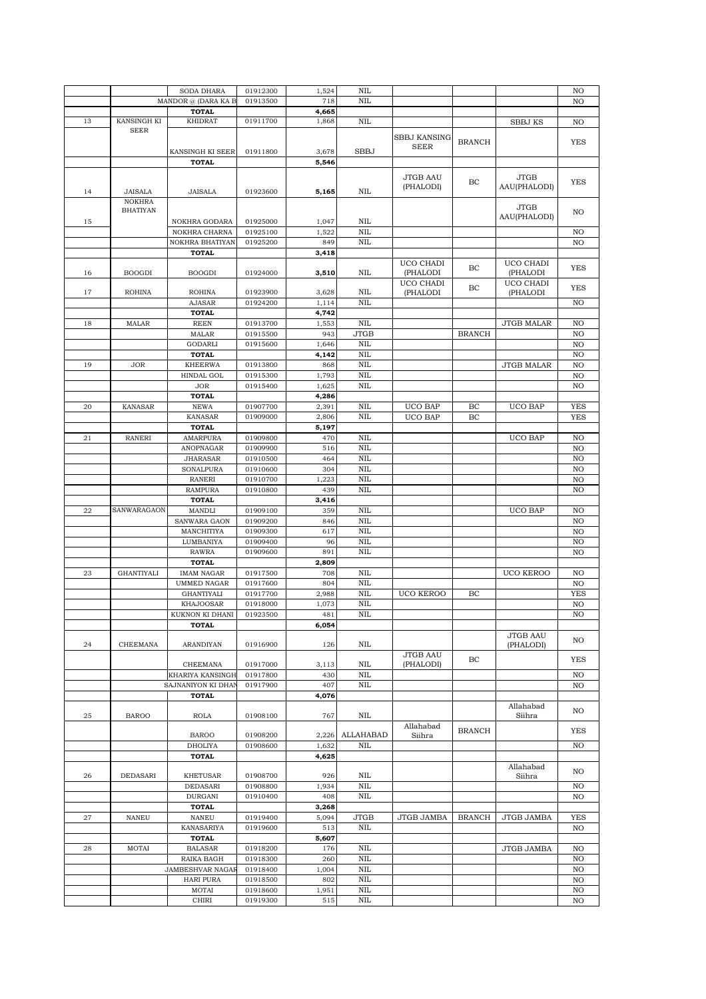|    |                   | SODA DHARA            | 01912300             | 1,524        | <b>NIL</b>              |                     |               |                   | NO         |
|----|-------------------|-----------------------|----------------------|--------------|-------------------------|---------------------|---------------|-------------------|------------|
|    |                   | MANDOR @ (DARA KA E   | 01913500             | 718          | <b>NIL</b>              |                     |               |                   | NO         |
|    |                   | <b>TOTAL</b>          |                      | 4,665        |                         |                     |               |                   |            |
| 13 | KANSINGH KI       | <b>KHIDRAT</b>        | 01911700             | 1,868        | <b>NIL</b>              |                     |               | <b>SBBJ KS</b>    | NO         |
|    | <b>SEER</b>       |                       |                      |              |                         |                     |               |                   |            |
|    |                   |                       |                      |              |                         | <b>SBBJ KANSING</b> |               |                   |            |
|    |                   | KANSINGH KI SEER      | 01911800             |              | <b>SBBJ</b>             | <b>SEER</b>         | <b>BRANCH</b> |                   | <b>YES</b> |
|    |                   |                       |                      | 3,678        |                         |                     |               |                   |            |
|    |                   | <b>TOTAL</b>          |                      | 5,546        |                         |                     |               |                   |            |
|    |                   |                       |                      |              |                         | JTGB AAU            |               | <b>JTGB</b>       |            |
|    |                   |                       |                      |              |                         | (PHALODI)           | BC            | AAU(PHALODI)      | <b>YES</b> |
| 14 | JAISALA           | JAISALA               | 01923600             | 5,165        | NIL                     |                     |               |                   |            |
|    | <b>NOKHRA</b>     |                       |                      |              |                         |                     |               | <b>JTGB</b>       |            |
|    | <b>BHATIYAN</b>   |                       |                      |              |                         |                     |               | AAU(PHALODI)      | NO         |
| 15 |                   | NOKHRA GODARA         | 01925000             | 1,047        | NIL                     |                     |               |                   |            |
|    |                   | NOKHRA CHARNA         | 01925100             | 1,522        | <b>NIL</b>              |                     |               |                   | NO         |
|    |                   | NOKHRA BHATIYAN       | 01925200             | 849          | <b>NIL</b>              |                     |               |                   | NO         |
|    |                   | <b>TOTAL</b>          |                      | 3,418        |                         |                     |               |                   |            |
|    |                   |                       |                      |              |                         | UCO CHADI           | BC            | UCO CHADI         | <b>YES</b> |
| 16 | <b>BOOGDI</b>     | <b>BOOGDI</b>         | 01924000             | 3,510        | NIL                     | (PHALODI            |               | (PHALODI          |            |
|    |                   |                       |                      |              |                         | UCO CHADI           | BC            | UCO CHADI         | <b>YES</b> |
| 17 | <b>ROHINA</b>     | <b>ROHINA</b>         | 01923900             | 3,628        | NIL                     | (PHALODI            |               | (PHALODI          |            |
|    |                   | <b>AJASAR</b>         | 01924200             | 1,114        | <b>NIL</b>              |                     |               |                   | NO         |
|    |                   | TOTAL                 |                      | 4,742        |                         |                     |               |                   |            |
| 18 | <b>MALAR</b>      | <b>REEN</b>           | 01913700             | 1,553        | <b>NIL</b>              |                     |               | <b>JTGB MALAR</b> | NO         |
|    |                   | <b>MALAR</b>          | 01915500             | 943          | <b>JTGB</b>             |                     | <b>BRANCH</b> |                   | NO         |
|    |                   | <b>GODARLI</b>        | 01915600             | 1,646        | <b>NIL</b>              |                     |               |                   | NO         |
|    |                   | TOTAL                 |                      | 4,142        | NIL                     |                     |               |                   |            |
|    |                   |                       |                      |              | NIL                     |                     |               |                   | NO         |
| 19 | <b>JOR</b>        | <b>KHEERWA</b>        | 01913800             | 868          |                         |                     |               | <b>JTGB MALAR</b> | NO         |
|    |                   | <b>HINDAL GOL</b>     | 01915300             | 1,793        | <b>NIL</b>              |                     |               |                   | NO         |
|    |                   | <b>JOR</b>            | 01915400             | 1,625        | <b>NIL</b>              |                     |               |                   | NO         |
|    |                   | <b>TOTAL</b>          |                      | 4,286        |                         |                     |               |                   |            |
| 20 | <b>KANASAR</b>    | <b>NEWA</b>           | 01907700             | 2,391        | <b>NIL</b>              | <b>UCO BAP</b>      | BC            | <b>UCO BAP</b>    | <b>YES</b> |
|    |                   | <b>KANASAR</b>        | 01909000             | 2,806        | <b>NIL</b>              | <b>UCO BAP</b>      | BC            |                   | <b>YES</b> |
|    |                   | TOTAL                 |                      | 5,197        |                         |                     |               |                   |            |
| 21 | <b>RANERI</b>     | <b>AMARPURA</b>       | 01909800             | 470          | <b>NIL</b>              |                     |               | <b>UCO BAP</b>    | NO         |
|    |                   | ANOPNAGAR             | 01909900             | 516          | <b>NIL</b>              |                     |               |                   | NO         |
|    |                   | JHARASAR              | 01910500             | 464          | <b>NIL</b>              |                     |               |                   | NO         |
|    |                   | SONALPURA             | 01910600             | 304          | <b>NIL</b>              |                     |               |                   | NO         |
|    |                   | <b>RANERI</b>         | 01910700             | 1,223        | <b>NIL</b>              |                     |               |                   | NO         |
|    |                   |                       |                      |              |                         |                     |               |                   |            |
|    |                   |                       |                      |              |                         |                     |               |                   |            |
|    |                   | <b>RAMPURA</b>        | 01910800             | 439          | <b>NIL</b>              |                     |               |                   | NO         |
|    |                   | <b>TOTAL</b>          |                      | 3,416        |                         |                     |               |                   |            |
| 22 | SANWARAGAON       | MANDLI                | 01909100             | 359          | <b>NIL</b>              |                     |               | <b>UCO BAP</b>    | NO         |
|    |                   | SANWARA GAON          | 01909200             | 846          | <b>NIL</b>              |                     |               |                   | NO         |
|    |                   | MANCHITIYA            | 01909300             | 617          | <b>NIL</b>              |                     |               |                   | NO         |
|    |                   | LUMBANIYA             | 01909400             | 96           | <b>NIL</b>              |                     |               |                   | NO         |
|    |                   | <b>RAWRA</b>          | 01909600             | 891          | <b>NIL</b>              |                     |               |                   | NO         |
|    |                   | <b>TOTAL</b>          |                      | 2,809        |                         |                     |               |                   |            |
| 23 | <b>GHANTIYALI</b> | <b>IMAM NAGAR</b>     | 01917500             | 708          | <b>NIL</b>              |                     |               | <b>UCO KEROO</b>  | NO         |
|    |                   | UMMED NAGAR           | 01917600             | 804          | <b>NIL</b>              |                     |               |                   | NO         |
|    |                   |                       |                      |              |                         | <b>UCO KEROO</b>    |               |                   | <b>YES</b> |
|    |                   | <b>GHANTIYALI</b>     | 01917700             | 2,988        | <b>NIL</b>              |                     | BC            |                   |            |
|    |                   | <b>KHAJOOSAR</b>      | 01918000             | 1,073        | <b>NIL</b>              |                     |               |                   | NO         |
|    |                   | KUKNON KI DHANI       | 01923500             | 481          | NIL                     |                     |               |                   | NO         |
|    |                   | TOTAL                 |                      | 6,054        |                         |                     |               |                   |            |
|    |                   |                       |                      |              |                         |                     |               | <b>JTGB AAU</b>   | NO         |
| 24 | CHEEMANA          | <b>ARANDIYAN</b>      | 01916900             | 126          | NIL                     |                     |               | (PHALODI)         |            |
|    |                   |                       |                      |              |                         | <b>JTGB AAU</b>     | BC            |                   | YES        |
|    |                   | CHEEMANA              | 01917000             | 3,113        | NIL                     | (PHALODI)           |               |                   |            |
|    |                   | KHARIYA KANSINGH      | 01917800             | 430          | <b>NIL</b>              |                     |               |                   | NO         |
|    |                   | SAJNANIYON KI DHAI    | 01917900             | 407          | <b>NIL</b>              |                     |               |                   | NO         |
|    |                   | <b>TOTAL</b>          |                      | 4,076        |                         |                     |               |                   |            |
|    |                   |                       |                      |              |                         |                     |               | Allahabad         | NO         |
| 25 | <b>BAROO</b>      | <b>ROLA</b>           | 01908100             | 767          | NIL                     |                     |               | Siihra            |            |
|    |                   |                       |                      |              |                         | Allahabad           |               |                   |            |
|    |                   | <b>BAROO</b>          | 01908200             | 2,226        | <b>ALLAHABAD</b>        | Siihra              | <b>BRANCH</b> |                   | <b>YES</b> |
|    |                   | <b>DHOLIYA</b>        | 01908600             | 1,632        | $\rm NIL$               |                     |               |                   | NO         |
|    |                   | <b>TOTAL</b>          |                      | 4,625        |                         |                     |               |                   |            |
|    |                   |                       |                      |              |                         |                     |               | Allahabad         |            |
| 26 | DEDASARI          | <b>KHETUSAR</b>       | 01908700             | 926          | NIL                     |                     |               | Siihra            | NO         |
|    |                   | DEDASARI              | 01908800             | 1,934        | <b>NIL</b>              |                     |               |                   | NO         |
|    |                   | DURGANI               | 01910400             | 408          | <b>NIL</b>              |                     |               |                   | NO         |
|    |                   | <b>TOTAL</b>          |                      | 3,268        |                         |                     |               |                   |            |
| 27 | <b>NANEU</b>      | NANEU                 | 01919400             | 5,094        | <b>JTGB</b>             | JTGB JAMBA          | <b>BRANCH</b> | <b>JTGB JAMBA</b> | <b>YES</b> |
|    |                   |                       |                      |              |                         |                     |               |                   |            |
|    |                   | KANASARIYA            | 01919600             | 513          | NIL                     |                     |               |                   | NO         |
|    |                   | <b>TOTAL</b>          |                      | 5,607        |                         |                     |               |                   |            |
| 28 | MOTAI             | <b>BALASAR</b>        | 01918200             | 176          | <b>NIL</b>              |                     |               | <b>JTGB JAMBA</b> | NO         |
|    |                   | RAIKA BAGH            | 01918300             | 260          | <b>NIL</b>              |                     |               |                   | NO         |
|    |                   | JAMBESHVAR NAGAI      | 01918400             | 1,004        | <b>NIL</b>              |                     |               |                   | NO         |
|    |                   | <b>HARI PURA</b>      | 01918500             | 802          | <b>NIL</b>              |                     |               |                   | NO         |
|    |                   | MOTAI<br><b>CHIRI</b> | 01918600<br>01919300 | 1,951<br>515 | $\rm NIL$<br><b>NIL</b> |                     |               |                   | NO<br>NO   |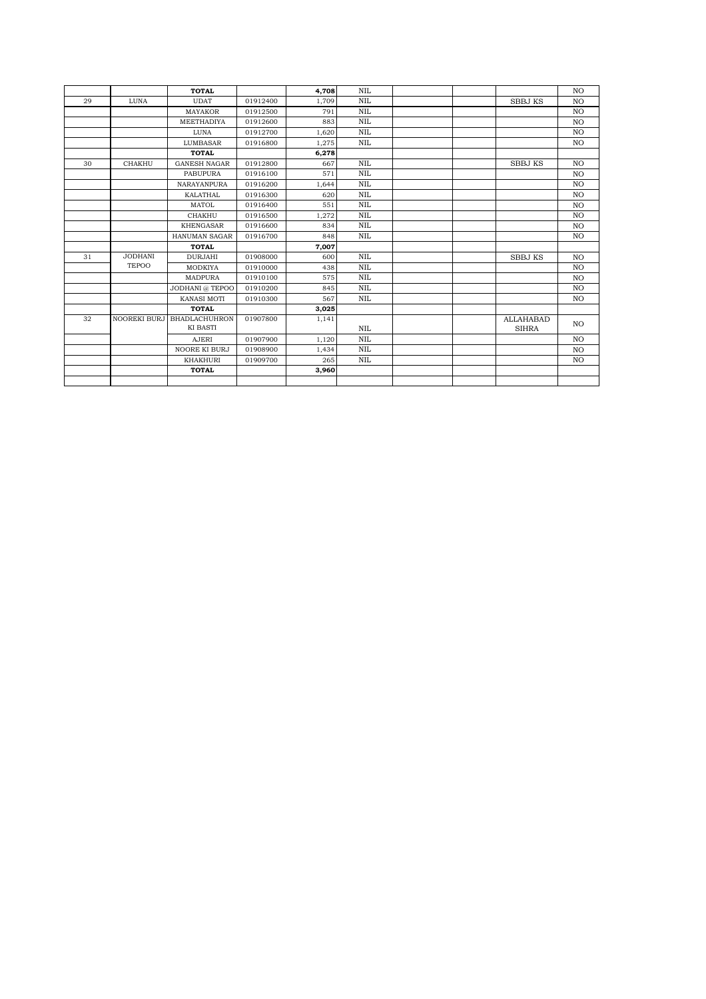|    |                     | <b>TOTAL</b>         |          | 4.708 | <b>NIL</b> |                  | NO             |
|----|---------------------|----------------------|----------|-------|------------|------------------|----------------|
| 29 | LUNA                | <b>UDAT</b>          | 01912400 | 1,709 | <b>NIL</b> | <b>SBBJ KS</b>   | NO             |
|    |                     | <b>MAYAKOR</b>       | 01912500 | 791   | <b>NIL</b> |                  | NO             |
|    |                     | MEETHADIYA           | 01912600 | 883   | <b>NIL</b> |                  | N <sub>O</sub> |
|    |                     | LUNA                 | 01912700 | 1,620 | <b>NIL</b> |                  | N <sub>O</sub> |
|    |                     | LUMBASAR             | 01916800 | 1,275 | <b>NIL</b> |                  | NO.            |
|    |                     | <b>TOTAL</b>         |          | 6,278 |            |                  |                |
| 30 | <b>CHAKHU</b>       | <b>GANESH NAGAR</b>  | 01912800 | 667   | <b>NIL</b> | <b>SBBJ KS</b>   | N <sub>O</sub> |
|    |                     | <b>PABUPURA</b>      | 01916100 | 571   | <b>NIL</b> |                  | N <sub>O</sub> |
|    |                     | <b>NARAYANPURA</b>   | 01916200 | 1,644 | <b>NIL</b> |                  | N <sub>O</sub> |
|    |                     | <b>KALATHAL</b>      | 01916300 | 620   | <b>NIL</b> |                  | N <sub>O</sub> |
|    |                     | <b>MATOL</b>         | 01916400 | 551   | <b>NIL</b> |                  | NO             |
|    |                     | <b>CHAKHU</b>        | 01916500 | 1,272 | <b>NIL</b> |                  | NO             |
|    |                     | <b>KHENGASAR</b>     | 01916600 | 834   | <b>NIL</b> |                  | N <sub>O</sub> |
|    |                     | HANUMAN SAGAR        | 01916700 | 848   | <b>NIL</b> |                  | N <sub>O</sub> |
|    |                     | <b>TOTAL</b>         |          | 7,007 |            |                  |                |
| 31 | <b>JODHANI</b>      | <b>DURJAHI</b>       | 01908000 | 600   | <b>NIL</b> | <b>SBBJ KS</b>   | NO             |
|    | <b>TEPOO</b>        | MODKIYA              | 01910000 | 438   | <b>NIL</b> |                  | NO             |
|    |                     | MADPURA              | 01910100 | 575   | <b>NIL</b> |                  | N <sub>O</sub> |
|    |                     | JODHANI @ TEPOO      | 01910200 | 845   | <b>NIL</b> |                  | N <sub>O</sub> |
|    |                     | KANASI MOTI          | 01910300 | 567   | <b>NIL</b> |                  | NO.            |
|    |                     | <b>TOTAL</b>         |          | 3,025 |            |                  |                |
| 32 | <b>NOOREKI BURJ</b> | <b>BHADLACHUHRON</b> | 01907800 | 1,141 |            | <b>ALLAHABAD</b> | NO.            |
|    |                     | KI BASTI             |          |       | <b>NIL</b> | <b>SIHRA</b>     |                |
|    |                     | <b>AJERI</b>         | 01907900 | 1,120 | <b>NIL</b> |                  | NO             |
|    |                     | NOORE KI BURJ        | 01908900 | 1,434 | <b>NIL</b> |                  | NO             |
|    |                     | KHAKHURI             | 01909700 | 265   | <b>NIL</b> |                  | N <sub>O</sub> |
|    |                     | <b>TOTAL</b>         |          | 3,960 |            |                  |                |
|    |                     |                      |          |       |            |                  |                |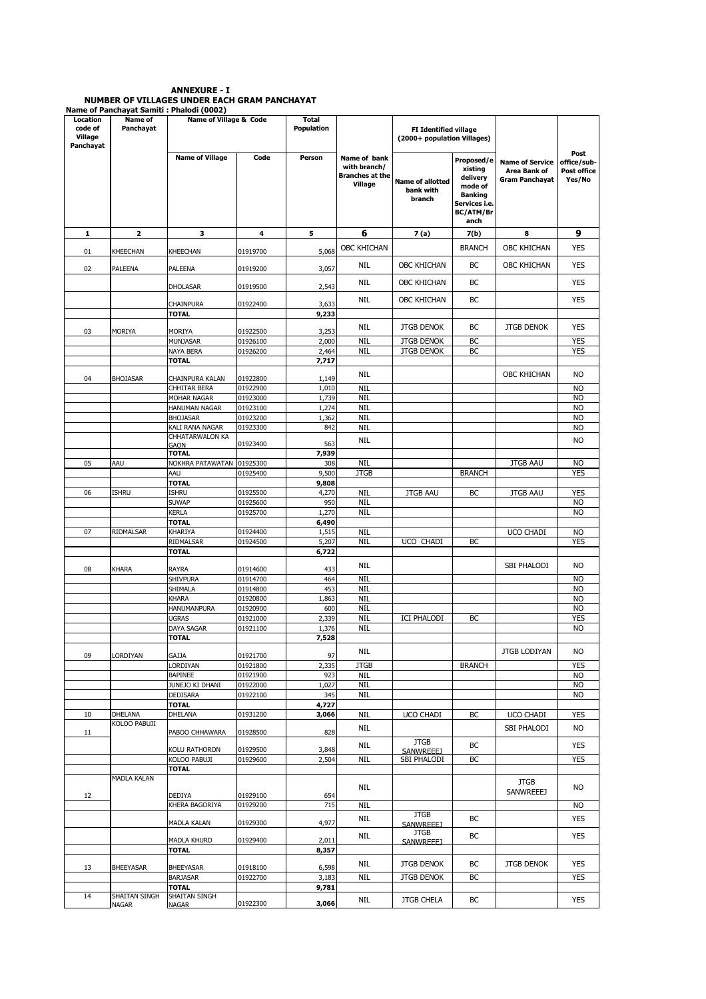# ANNEXURE - I NUMBER OF VILLAGES UNDER EACH GRAM PANCHAYAT Name of Panchayat Samiti : Phalodi (0002)

| Location<br>code of<br>Village<br>Panchayat | Name of<br>Panchayat | Name of Village & Code<br><b>Name of Village</b><br>Code |                      | <b>Total</b><br>Population | <b>FI Identified village</b><br>(2000+ population Villages)       |                                                |                                                                                                      |                                                                 |                                              |
|---------------------------------------------|----------------------|----------------------------------------------------------|----------------------|----------------------------|-------------------------------------------------------------------|------------------------------------------------|------------------------------------------------------------------------------------------------------|-----------------------------------------------------------------|----------------------------------------------|
|                                             |                      |                                                          |                      | Person                     | Name of bank<br>with branch/<br><b>Branches at the</b><br>Village | <b>Name of allotted</b><br>bank with<br>branch | Proposed/e<br>xisting<br>delivery<br>mode of<br><b>Banking</b><br>Services i.e.<br>BC/ATM/Br<br>anch | <b>Name of Service</b><br>Area Bank of<br><b>Gram Panchayat</b> | Post<br>office/sub-<br>Post office<br>Yes/No |
| 1                                           | 2                    | з                                                        | 4                    | 5                          | 6                                                                 | 7(a)                                           | 7(b)                                                                                                 | 8                                                               | 9                                            |
| 01                                          | KHEECHAN             | <b>KHEECHAN</b>                                          | 01919700             | 5,068                      | <b>OBC KHICHAN</b>                                                |                                                | <b>BRANCH</b>                                                                                        | OBC KHICHAN                                                     | <b>YES</b>                                   |
| 02                                          | PALEENA              | <b>PALEENA</b>                                           | 01919200             | 3,057                      | NIL                                                               | <b>OBC KHICHAN</b>                             | ВC                                                                                                   | OBC KHICHAN                                                     | <b>YES</b>                                   |
|                                             |                      | <b>DHOLASAR</b>                                          | 01919500             | 2,543                      | NIL                                                               | OBC KHICHAN                                    | BC                                                                                                   |                                                                 | <b>YES</b>                                   |
|                                             |                      |                                                          |                      |                            | NIL                                                               | OBC KHICHAN                                    | BC                                                                                                   |                                                                 | <b>YES</b>                                   |
|                                             |                      | CHAINPURA<br><b>TOTAL</b>                                | 01922400             | 3,633<br>9,233             |                                                                   |                                                |                                                                                                      |                                                                 |                                              |
| 03                                          | MORIYA               | MORIYA                                                   | 01922500             | 3,253                      | <b>NIL</b>                                                        | <b>JTGB DENOK</b>                              | BC                                                                                                   | <b>JTGB DENOK</b>                                               | <b>YES</b>                                   |
|                                             |                      | <b>MUNJASAR</b>                                          | 01926100             | 2,000                      | <b>NIL</b>                                                        | <b>JTGB DENOK</b>                              | BC                                                                                                   |                                                                 | <b>YES</b>                                   |
|                                             |                      | NAYA BERA                                                | 01926200             | 2,464                      | <b>NIL</b>                                                        | <b>JTGB DENOK</b>                              | BC                                                                                                   |                                                                 | <b>YES</b>                                   |
| 04                                          | <b>BHOJASAR</b>      | <b>TOTAL</b><br>CHAINPURA KALAN                          | 01922800             | 7,717<br>1,149             | NIL                                                               |                                                |                                                                                                      | <b>OBC KHICHAN</b>                                              | N <sub>O</sub>                               |
|                                             |                      | <b>CHHITAR BERA</b>                                      | 01922900             | 1,010                      | <b>NIL</b>                                                        |                                                |                                                                                                      |                                                                 | <b>NO</b>                                    |
|                                             |                      | MOHAR NAGAR                                              | 01923000             | 1,739                      | <b>NIL</b>                                                        |                                                |                                                                                                      |                                                                 | N <sub>O</sub>                               |
|                                             |                      | <b>HANUMAN NAGAR</b>                                     | 01923100             | 1,274                      | <b>NIL</b>                                                        |                                                |                                                                                                      |                                                                 | <b>NO</b>                                    |
|                                             |                      | <b>BHOJASAR</b><br>KALI RANA NAGAR                       | 01923200<br>01923300 | 1,362<br>842               | <b>NIL</b><br><b>NIL</b>                                          |                                                |                                                                                                      |                                                                 | <b>NO</b><br><b>NO</b>                       |
|                                             |                      | CHHATARWALON KA                                          |                      |                            | NIL                                                               |                                                |                                                                                                      |                                                                 | <b>NO</b>                                    |
|                                             |                      | GAON<br><b>TOTAL</b>                                     | 01923400             | 563<br>7,939               |                                                                   |                                                |                                                                                                      |                                                                 |                                              |
| 05                                          | AAU                  | NOKHRA PATAWATAN                                         | 01925300             | 308                        | <b>NIL</b>                                                        |                                                |                                                                                                      | <b>JTGB AAU</b>                                                 | <b>NO</b>                                    |
|                                             |                      | AAU                                                      | 01925400             | 9,500                      | <b>JTGB</b>                                                       |                                                | <b>BRANCH</b>                                                                                        |                                                                 | <b>YES</b>                                   |
|                                             |                      | <b>TOTAL</b>                                             |                      | 9,808                      |                                                                   |                                                |                                                                                                      |                                                                 |                                              |
| 06                                          | <b>ISHRU</b>         | <b>ISHRU</b><br><b>SUWAP</b>                             | 01925500<br>01925600 | 4,270<br>950               | <b>NIL</b><br><b>NIL</b>                                          | <b>JTGB AAU</b>                                | BC                                                                                                   | <b>JTGB AAU</b>                                                 | <b>YES</b><br><b>NO</b>                      |
|                                             |                      | <b>KERLA</b>                                             | 01925700             | 1,270                      | <b>NIL</b>                                                        |                                                |                                                                                                      |                                                                 | <b>NO</b>                                    |
|                                             |                      | <b>TOTAL</b>                                             |                      | 6,490                      |                                                                   |                                                |                                                                                                      |                                                                 |                                              |
| 07                                          | RIDMALSAR            | <b>KHARIYA</b>                                           | 01924400             | 1,515                      | <b>NIL</b>                                                        |                                                |                                                                                                      | <b>UCO CHADI</b>                                                | <b>NO</b>                                    |
|                                             |                      | RIDMALSAR<br><b>TOTAL</b>                                | 01924500             | 5,207<br>6,722             | <b>NIL</b>                                                        | UCO CHADI                                      | BC                                                                                                   |                                                                 | <b>YES</b>                                   |
|                                             |                      |                                                          |                      |                            |                                                                   |                                                |                                                                                                      |                                                                 |                                              |
| 08                                          | <b>KHARA</b>         | <b>RAYRA</b>                                             | 01914600             | 433                        | NIL                                                               |                                                |                                                                                                      | SBI PHALODI                                                     | <b>NO</b>                                    |
|                                             |                      | <b>SHIVPURA</b>                                          | 01914700             | 464                        | <b>NIL</b>                                                        |                                                |                                                                                                      |                                                                 | <b>NO</b>                                    |
|                                             |                      | SHIMALA<br><b>KHARA</b>                                  | 01914800<br>01920800 | 453<br>1,863               | <b>NIL</b><br><b>NIL</b>                                          |                                                |                                                                                                      |                                                                 | <b>NO</b><br><b>NO</b>                       |
|                                             |                      | <b>HANUMANPURA</b>                                       | 01920900             | 600                        | <b>NIL</b>                                                        |                                                |                                                                                                      |                                                                 | <b>NO</b>                                    |
|                                             |                      | <b>UGRAS</b>                                             | 01921000             | 2,339                      | <b>NIL</b>                                                        | ICI PHALODI                                    | BC                                                                                                   |                                                                 | <b>YES</b>                                   |
|                                             |                      | DAYA SAGAR                                               | 01921100             | 1,376                      | <b>NIL</b>                                                        |                                                |                                                                                                      |                                                                 | <b>NO</b>                                    |
|                                             |                      | <b>TOTAL</b>                                             |                      | 7,528                      |                                                                   |                                                |                                                                                                      |                                                                 |                                              |
| 09                                          | LORDIYAN             | <b>GAJJA</b>                                             | 01921700             | 97                         | NIL                                                               |                                                |                                                                                                      | JTGB LODIYAN                                                    | <b>NO</b>                                    |
|                                             |                      | LORDIYAN                                                 | 01921800             | 2,335                      | <b>JTGB</b>                                                       |                                                | <b>BRANCH</b>                                                                                        |                                                                 | <b>YES</b>                                   |
|                                             |                      | <b>BAPINEE</b><br>JUNEJO KI DHANI                        | 01921900<br>01922000 | 923<br>1,027               | <b>NIL</b><br><b>NIL</b>                                          |                                                |                                                                                                      |                                                                 | <b>NO</b><br><b>NO</b>                       |
|                                             |                      | <b>DEDISARA</b>                                          | 01922100             | 345                        | <b>NIL</b>                                                        |                                                |                                                                                                      |                                                                 | <b>NO</b>                                    |
|                                             |                      | <b>TOTAL</b>                                             |                      | 4,727                      |                                                                   |                                                |                                                                                                      |                                                                 |                                              |
| 10                                          | DHELANA              | DHELANA                                                  | 01931200             | 3,066                      | <b>NIL</b>                                                        | UCO CHADI                                      | BC                                                                                                   | UCO CHADI                                                       | <b>YES</b>                                   |
| 11                                          | KOLOO PABUJI         | PABOO CHHAWARA                                           | 01928500             | 828                        | <b>NIL</b>                                                        | <b>JTGB</b>                                    |                                                                                                      | SBI PHALODI                                                     | NO.                                          |
|                                             |                      | <b>KOLU RATHORON</b>                                     | 01929500             | 3,848                      | NIL                                                               | SANWREEE1                                      | BC                                                                                                   |                                                                 | <b>YES</b>                                   |
|                                             |                      | KOLOO PABUJI                                             | 01929600             | 2,504                      | <b>NIL</b>                                                        | SBI PHALODI                                    | BC                                                                                                   |                                                                 | <b>YES</b>                                   |
|                                             | MADLA KALAN          | <b>TOTAL</b>                                             |                      |                            |                                                                   |                                                |                                                                                                      |                                                                 |                                              |
| 12                                          |                      | <b>DEDIYA</b>                                            | 01929100             | 654                        | <b>NIL</b>                                                        |                                                |                                                                                                      | <b>JTGB</b><br><b>SANWREEEJ</b>                                 | NO.                                          |
|                                             |                      | KHERA BAGORIYA                                           | 01929200             | 715                        | <b>NIL</b>                                                        |                                                |                                                                                                      |                                                                 | <b>NO</b>                                    |
|                                             |                      | <b>MADLA KALAN</b>                                       | 01929300             | 4,977                      | <b>NIL</b>                                                        | <b>JTGB</b><br><b>SANWREEEJ</b>                | BC                                                                                                   |                                                                 | <b>YES</b>                                   |
|                                             |                      | <b>MADLA KHURD</b>                                       | 01929400             | 2,011                      | NIL                                                               | <b>JTGB</b><br>SANWREEE1                       | ВC                                                                                                   |                                                                 | <b>YES</b>                                   |
|                                             |                      | TOTAL                                                    |                      | 8,357                      |                                                                   |                                                |                                                                                                      |                                                                 |                                              |
| 13                                          | <b>BHEEYASAR</b>     | <b>BHEEYASAR</b>                                         | 01918100             | 6,598                      | NIL                                                               | <b>JTGB DENOK</b>                              | BC                                                                                                   | <b>JTGB DENOK</b>                                               | <b>YES</b>                                   |
|                                             |                      | <b>BARJASAR</b>                                          | 01922700             | 3,183                      | <b>NIL</b>                                                        | <b>JTGB DENOK</b>                              | BC                                                                                                   |                                                                 | <b>YES</b>                                   |
| 14                                          | SHAITAN SINGH        | <b>TOTAL</b><br>SHAITAN SINGH                            |                      | 9,781                      |                                                                   |                                                |                                                                                                      |                                                                 |                                              |
|                                             | NAGAR                | <b>NAGAR</b>                                             | 01922300             | 3,066                      | NIL                                                               | JTGB CHELA                                     | ВC                                                                                                   |                                                                 | <b>YES</b>                                   |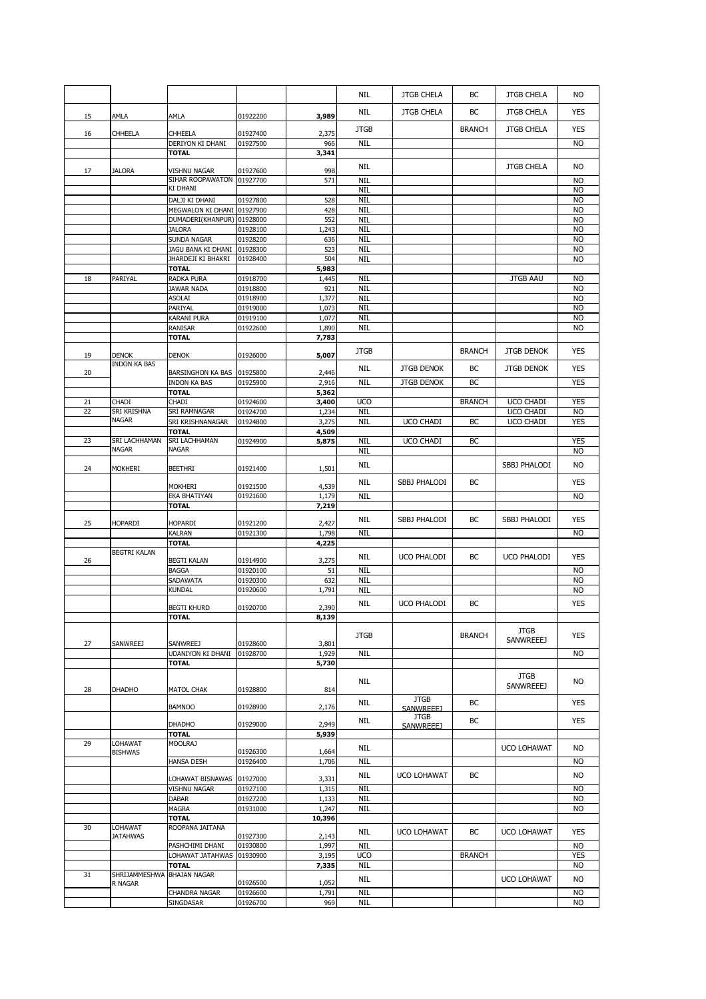|    |                     |                            |                      |                | NIL                      | <b>JTGB CHELA</b>  | ВC            | <b>JTGB CHELA</b> | NO.             |
|----|---------------------|----------------------------|----------------------|----------------|--------------------------|--------------------|---------------|-------------------|-----------------|
| 15 | AMLA                | AMLA                       | 01922200             | 3,989          | NIL                      | <b>JTGB CHELA</b>  | ВC            | <b>JTGB CHELA</b> | YES             |
| 16 | CHHEELA             | CHHEELA                    | 01927400             | 2,375          | <b>JTGB</b>              |                    | <b>BRANCH</b> | <b>JTGB CHELA</b> | YES             |
|    |                     | DERIYON KI DHANI           | 01927500             | 966            | <b>NIL</b>               |                    |               |                   | NO.             |
|    |                     | <b>TOTAL</b>               |                      | 3,341          |                          |                    |               |                   |                 |
|    |                     |                            |                      |                |                          |                    |               |                   |                 |
| 17 | <b>JALORA</b>       | VISHNU NAGAR               | 01927600             | 998            | NIL                      |                    |               | <b>JTGB CHELA</b> | <b>NO</b>       |
|    |                     | SIHAR ROOPAWATON           | 01927700             | 571            | <b>NIL</b>               |                    |               |                   | <b>NO</b>       |
|    |                     | ki dhani                   |                      |                | <b>NIL</b>               |                    |               |                   | <b>NO</b>       |
|    |                     | DALJI KI DHANI             | 01927800             | 528            | <b>NIL</b>               |                    |               |                   | <b>NO</b>       |
|    |                     | MEGWALON KI DHANI 01927900 |                      | 428            | <b>NIL</b>               |                    |               |                   | <b>NO</b>       |
|    |                     | DUMADERI(KHANPUR)          | 01928000             | 552            | <b>NIL</b>               |                    |               |                   | <b>NO</b>       |
|    |                     | <b>JALORA</b>              | 01928100             | 1,243          | <b>NIL</b>               |                    |               |                   | <b>NO</b>       |
|    |                     | SUNDA NAGAR                | 01928200             | 636            | <b>NIL</b>               |                    |               |                   | <b>NO</b>       |
|    |                     | JAGU BANA KI DHANI         | 01928300             | 523            | <b>NIL</b>               |                    |               |                   | <b>NO</b>       |
|    |                     | JHARDEJI KI BHAKRI         | 01928400             | 504            | <b>NIL</b>               |                    |               |                   | <b>NO</b>       |
|    |                     | <b>TOTAL</b>               |                      | 5,983          |                          |                    |               |                   |                 |
| 18 | PARIYAL             | RADKA PURA                 | 01918700             | 1,445          | <b>NIL</b>               |                    |               | <b>JTGB AAU</b>   | <b>NO</b>       |
|    |                     | <b>JAWAR NADA</b>          | 01918800             | 921            | <b>NIL</b>               |                    |               |                   | <b>NO</b>       |
|    |                     | ASOLAI                     | 01918900             | 1,377          | <b>NIL</b>               |                    |               |                   | <b>NO</b>       |
|    |                     | PARIYAL                    | 01919000             | 1,073          | <b>NIL</b>               |                    |               |                   | <b>NO</b>       |
|    |                     | KARANI PURA                | 01919100             | 1,077          | <b>NIL</b>               |                    |               |                   | <b>NO</b>       |
|    |                     | RANISAR                    | 01922600             | 1,890          | <b>NIL</b>               |                    |               |                   | <b>NO</b>       |
|    |                     | <b>TOTAL</b>               |                      | 7,783          |                          |                    |               |                   |                 |
|    |                     |                            |                      |                |                          |                    |               |                   |                 |
| 19 | <b>DENOK</b>        | <b>DENOK</b>               | 01926000             | 5,007          | <b>JTGB</b>              |                    | <b>BRANCH</b> | <b>JTGB DENOK</b> | <b>YES</b>      |
|    | <b>INDON KA BAS</b> |                            |                      |                |                          |                    |               |                   |                 |
| 20 |                     | BARSINGHON KA BAS          | 01925800             | 2,446          | NIL                      | <b>JTGB DENOK</b>  | ВC            | <b>JTGB DENOK</b> | YES             |
|    |                     | <b>INDON KA BAS</b>        | 01925900             | 2,916          | <b>NIL</b>               | <b>JTGB DENOK</b>  | BC            |                   | <b>YES</b>      |
|    |                     | <b>TOTAL</b>               |                      | 5,362          |                          |                    |               |                   |                 |
| 21 | CHADI               | CHADI                      | 01924600             | 3,400          | <b>UCO</b>               |                    | <b>BRANCH</b> | <b>UCO CHADI</b>  | <b>YES</b>      |
| 22 | <b>SRI KRISHNA</b>  | SRI RAMNAGAR               | 01924700             | 1,234          | <b>NIL</b>               |                    |               | UCO CHADI         | <b>NO</b>       |
|    | <b>NAGAR</b>        | SRI KRISHNANAGAR           | 01924800             | 3,275          | <b>NIL</b>               | UCO CHADI          | BC            | UCO CHADI         | <b>YES</b>      |
|    |                     | <b>TOTAL</b>               |                      | 4,509          |                          |                    |               |                   |                 |
| 23 | SRI LACHHAMAN       | SRI LACHHAMAN              | 01924900             | 5,875          | <b>NIL</b>               | UCO CHADI          | BC            |                   | <b>YES</b>      |
|    | <b>NAGAR</b>        | <b>NAGAR</b>               |                      |                | <b>NIL</b>               |                    |               |                   | <b>NO</b>       |
|    |                     |                            |                      |                |                          |                    |               |                   |                 |
| 24 | MOKHERI             | <b>BEETHRI</b>             | 01921400             | 1,501          | NIL                      |                    |               | SBBJ PHALODI      | NO.             |
|    |                     |                            |                      |                | NIL                      | SBBJ PHALODI       | ВC            |                   | YES             |
|    |                     | Mokheri                    | 01921500             | 4,539          |                          |                    |               |                   |                 |
|    |                     | EKA BHATIYAN               | 01921600             | 1,179          | <b>NIL</b>               |                    |               |                   | <b>NO</b>       |
|    |                     | <b>TOTAL</b>               |                      | 7,219          |                          |                    |               |                   |                 |
|    |                     |                            |                      |                | NIL                      | SBBJ PHALODI       | ВC            | SBBJ PHALODI      | YES             |
| 25 | HOPARDI             | HOPARDI                    | 01921200             | 2,427          |                          |                    |               |                   |                 |
|    |                     |                            |                      |                |                          |                    |               |                   |                 |
|    |                     | KALRAN                     | 01921300             | 1,798          | <b>NIL</b>               |                    |               |                   | <b>NO</b>       |
|    |                     | <b>TOTAL</b>               |                      | 4,225          |                          |                    |               |                   |                 |
|    | <b>BEGTRI KALAN</b> |                            |                      |                | NIL                      | UCO PHALODI        | ВC            | UCO PHALODI       | YES             |
| 26 |                     | <b>BEGTI KALAN</b>         | 01914900             | 3,275          |                          |                    |               |                   |                 |
|    |                     | <b>BAGGA</b>               | 01920100             | 51             | <b>NIL</b>               |                    |               |                   | <b>NO</b>       |
|    |                     | SADAWATA                   | 01920300             | 632            | <b>NIL</b>               |                    |               |                   | <b>NO</b>       |
|    |                     | KUNDAL                     | 01920600             | 1,791          | <b>NIL</b>               |                    |               |                   | <b>NO</b>       |
|    |                     |                            |                      |                | NIL                      | <b>UCO PHALODI</b> | ВC            |                   | <b>YES</b>      |
|    |                     | <b>BEGTI KHURD</b>         | 01920700             | 2,390          |                          |                    |               |                   |                 |
|    |                     | <b>TOTAL</b>               |                      | 8,139          |                          |                    |               |                   |                 |
|    |                     |                            |                      |                | <b>JTGB</b>              |                    | <b>BRANCH</b> | <b>JTGB</b>       | <b>YES</b>      |
| 27 | SANWREEJ            | SANWREEJ                   | 01928600             | 3,801          |                          |                    |               | <b>SANWREEEJ</b>  |                 |
|    |                     | <b>UDANIYON KI DHANI</b>   | 01928700             | 1,929          | <b>NIL</b>               |                    |               |                   | <b>NO</b>       |
|    |                     | <b>TOTAL</b>               |                      | 5,730          |                          |                    |               |                   |                 |
|    |                     |                            |                      |                |                          |                    |               |                   |                 |
|    |                     |                            |                      |                | NIL                      |                    |               | <b>JTGB</b>       | NO.             |
| 28 | <b>DHADHO</b>       | MATOL CHAK                 | 01928800             | 814            |                          |                    |               | <b>SANWREEEJ</b>  |                 |
|    |                     |                            |                      |                | NIL                      | <b>JTGB</b>        | ВC            |                   | YES             |
|    |                     | <b>BAMNOO</b>              | 01928900             | 2,176          |                          | SANWREEE1          |               |                   |                 |
|    |                     | <b>DHADHO</b>              |                      |                | NIL                      | <b>JTGB</b>        | ВC            |                   | YES             |
|    |                     | <b>TOTAL</b>               | 01929000             | 2,949<br>5,939 |                          | SANWREEE1          |               |                   |                 |
| 29 | LOHAWAT             | <b>MOOLRAJ</b>             |                      |                |                          |                    |               |                   |                 |
|    | <b>BISHWAS</b>      |                            | 01926300             | 1,664          | NIL                      |                    |               | UCO LOHAWAT       | NO              |
|    |                     | <b>HANSA DESH</b>          | 01926400             | 1,706          | <b>NIL</b>               |                    |               |                   | NO.             |
|    |                     |                            |                      |                |                          |                    |               |                   |                 |
|    |                     | LOHAWAT BISNAWAS           | 01927000             | 3,331          | <b>NIL</b>               | UCO LOHAWAT        | ВC            |                   | <b>NO</b>       |
|    |                     | VISHNU NAGAR               | 01927100             | 1,315          | <b>NIL</b>               |                    |               |                   | <b>NO</b>       |
|    |                     | <b>DABAR</b>               | 01927200             | 1,133          | <b>NIL</b>               |                    |               |                   | <b>NO</b>       |
|    |                     | MAGRA                      | 01931000             | 1,247          | <b>NIL</b>               |                    |               |                   | <b>NO</b>       |
|    |                     | <b>TOTAL</b>               |                      | 10,396         |                          |                    |               |                   |                 |
| 30 | LOHAWAT             | ROOPANA JAITANA            |                      |                | NIL                      | UCO LOHAWAT        | <b>BC</b>     | UCO LOHAWAT       | YES             |
|    | <b>JATAHWAS</b>     |                            | 01927300             | 2,143          |                          |                    |               |                   |                 |
|    |                     | PASHCHIMI DHANI            | 01930800             | 1,997          | <b>NIL</b>               |                    |               |                   | <b>NO</b>       |
|    |                     | LOHAWAT JATAHWAS           | 01930900             | 3,195          | <b>UCO</b>               |                    | <b>BRANCH</b> |                   | <b>YES</b>      |
|    |                     | <b>TOTAL</b>               |                      | 7,335          | NIL                      |                    |               |                   | NO              |
| 31 | SHRIJAMMESHWA       | <b>BHAJAN NAGAR</b>        |                      |                | <b>NIL</b>               |                    |               | UCO LOHAWAT       | <b>NO</b>       |
|    | R NAGAR             |                            | 01926500             | 1,052          |                          |                    |               |                   |                 |
|    |                     | CHANDRA NAGAR<br>SINGDASAR | 01926600<br>01926700 | 1,791<br>969   | <b>NIL</b><br><b>NIL</b> |                    |               |                   | <b>NO</b><br>NO |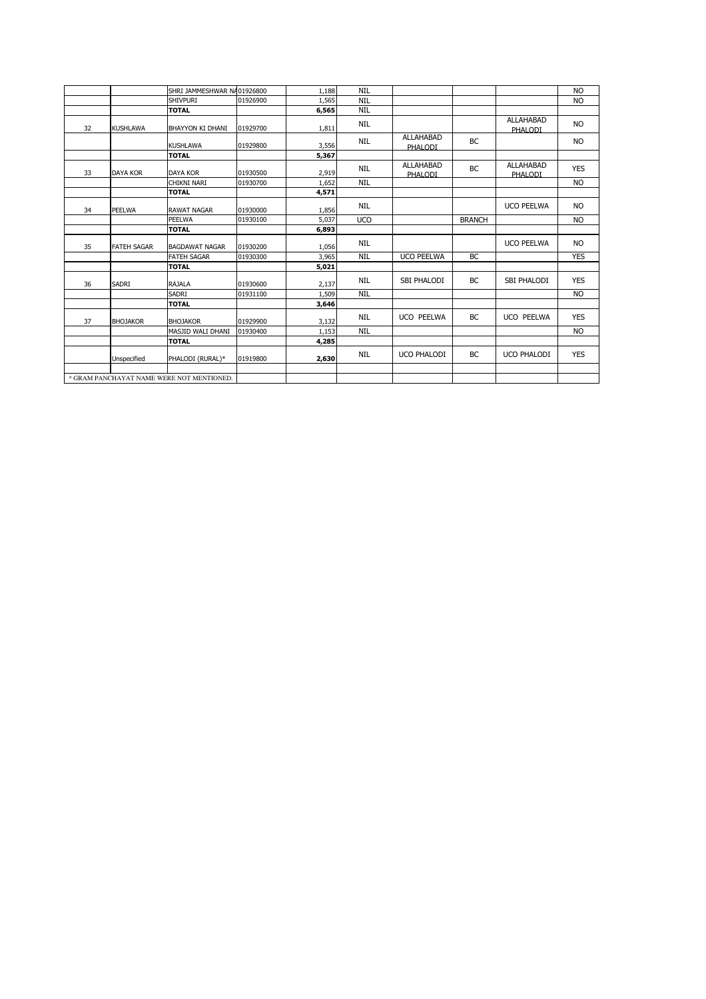|    |                    | SHRI JAMMESHWAR N/ 01926800               |          | 1,188 | <b>NIL</b> |                             |               |                             | <b>NO</b>  |
|----|--------------------|-------------------------------------------|----------|-------|------------|-----------------------------|---------------|-----------------------------|------------|
|    |                    | <b>SHIVPURI</b>                           | 01926900 | 1,565 | <b>NIL</b> |                             |               |                             | <b>NO</b>  |
|    |                    | <b>TOTAL</b>                              |          | 6,565 | <b>NIL</b> |                             |               |                             |            |
| 32 | <b>KUSHLAWA</b>    | BHAYYON KI DHANI                          | 01929700 | 1,811 | <b>NIL</b> |                             |               | <b>ALLAHABAD</b><br>PHALODI | <b>NO</b>  |
|    |                    | <b>KUSHLAWA</b>                           | 01929800 | 3,556 | <b>NIL</b> | <b>ALLAHABAD</b><br>PHALODI | <b>BC</b>     |                             | <b>NO</b>  |
|    |                    | <b>TOTAL</b>                              |          | 5,367 |            |                             |               |                             |            |
| 33 | <b>DAYA KOR</b>    | <b>DAYA KOR</b>                           | 01930500 | 2,919 | <b>NIL</b> | <b>ALLAHABAD</b><br>PHALODI | <b>BC</b>     | <b>ALLAHABAD</b><br>PHALODI | <b>YES</b> |
|    |                    | CHIKNI NARI                               | 01930700 | 1,652 | <b>NIL</b> |                             |               |                             | <b>NO</b>  |
|    |                    | <b>TOTAL</b>                              |          | 4,571 |            |                             |               |                             |            |
| 34 | PEELWA             | <b>RAWAT NAGAR</b>                        | 01930000 | 1,856 | <b>NIL</b> |                             |               | <b>UCO PEELWA</b>           | <b>NO</b>  |
|    |                    | PEELWA                                    | 01930100 | 5,037 | <b>UCO</b> |                             | <b>BRANCH</b> |                             | <b>NO</b>  |
|    |                    | <b>TOTAL</b>                              |          | 6,893 |            |                             |               |                             |            |
| 35 | <b>FATEH SAGAR</b> | <b>BAGDAWAT NAGAR</b>                     | 01930200 | 1,056 | <b>NIL</b> |                             |               | <b>UCO PEELWA</b>           | <b>NO</b>  |
|    |                    | <b>FATEH SAGAR</b>                        | 01930300 | 3,965 | <b>NIL</b> | <b>UCO PEELWA</b>           | BC            |                             | <b>YES</b> |
|    |                    | <b>TOTAL</b>                              |          | 5,021 |            |                             |               |                             |            |
| 36 | SADRI              | <b>RAJALA</b>                             | 01930600 | 2,137 | <b>NIL</b> | SBI PHALODI                 | BC            | <b>SBI PHALODI</b>          | <b>YES</b> |
|    |                    | <b>SADRI</b>                              | 01931100 | 1,509 | <b>NIL</b> |                             |               |                             | <b>NO</b>  |
|    |                    | <b>TOTAL</b>                              |          | 3,646 |            |                             |               |                             |            |
| 37 | <b>BHOJAKOR</b>    | <b>BHOJAKOR</b>                           | 01929900 | 3,132 | NIL        | UCO PEELWA                  | BC            | <b>UCO PEELWA</b>           | <b>YES</b> |
|    |                    | MASJID WALI DHANI                         | 01930400 | 1,153 | <b>NIL</b> |                             |               |                             | <b>NO</b>  |
|    |                    | <b>TOTAL</b>                              |          | 4,285 |            |                             |               |                             |            |
|    | Unspecified        | PHALODI (RURAL)*                          | 01919800 | 2,630 | <b>NIL</b> | <b>UCO PHALODI</b>          | <b>BC</b>     | <b>UCO PHALODI</b>          | <b>YES</b> |
|    |                    |                                           |          |       |            |                             |               |                             |            |
|    |                    | * GRAM PANCHAYAT NAME WERE NOT MENTIONED. |          |       |            |                             |               |                             |            |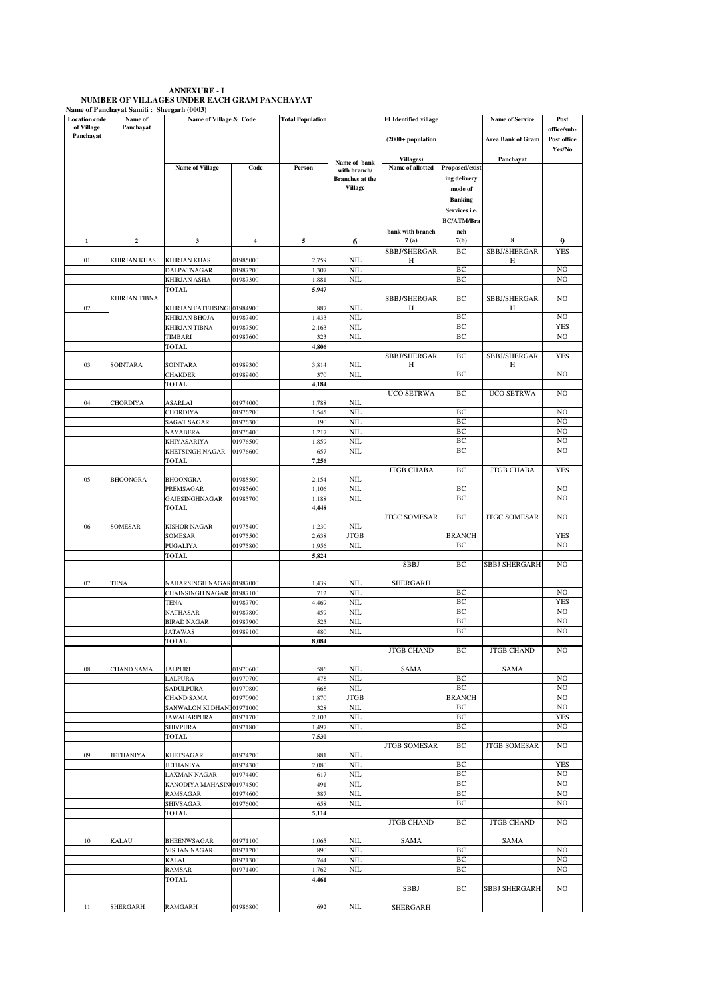## **ANNEXURE - I NUMBER OF VILLAGES UNDER EACH GRAM PANCHAYAT Name of Panchayat Samiti : Shergarh (0003)**

| <b>Location</b> code | Name of              | Name of Village & Code     |          | <b>Total Population</b> |                        | <b>FI</b> Identified village |                   | <b>Name of Service</b> | Post           |
|----------------------|----------------------|----------------------------|----------|-------------------------|------------------------|------------------------------|-------------------|------------------------|----------------|
| of Village           | Panchayat            |                            |          |                         |                        |                              |                   |                        | office/sub-    |
| Panchayat            |                      |                            |          |                         |                        | $(2000+$ population          |                   | Area Bank of Gram      | Post office    |
|                      |                      |                            |          |                         |                        |                              |                   |                        | Yes/No         |
|                      |                      |                            |          |                         | Name of bank           | <b>Villages</b> )            |                   | Panchayat              |                |
|                      |                      | <b>Name of Village</b>     | Code     | Person                  | with branch/           | Name of allotted             | Proposed/exist    |                        |                |
|                      |                      |                            |          |                         | <b>Branches</b> at the |                              | ing delivery      |                        |                |
|                      |                      |                            |          |                         | <b>Village</b>         |                              | mode of           |                        |                |
|                      |                      |                            |          |                         |                        |                              | <b>Banking</b>    |                        |                |
|                      |                      |                            |          |                         |                        |                              | Services i.e.     |                        |                |
|                      |                      |                            |          |                         |                        |                              | <b>BC/ATM/Bra</b> |                        |                |
|                      |                      |                            |          |                         |                        | bank with branch             | nch               |                        |                |
| $\mathbf 1$          | $\mathbf{2}$         | $\mathbf{3}$               | 4        | 5                       | 6                      | 7(a)                         | 7(b)              | 8                      | 9              |
|                      |                      |                            |          |                         |                        | SBBJ/SHERGAR                 | BC                | SBBJ/SHERGAR           | <b>YES</b>     |
| 01                   | KHIRJAN KHAS         | <b>KHIRJAN KHAS</b>        | 01985000 | 2,759                   | NIL                    | Н                            |                   | Η                      |                |
|                      |                      | DALPATNAGAR                | 01987200 | 1,307                   | NIL                    |                              | BC                |                        | N <sub>O</sub> |
|                      |                      | KHIRJAN ASHA               | 01987300 | 1,881                   | NIL                    |                              | BC                |                        | N <sub>O</sub> |
|                      |                      | <b>TOTAL</b>               |          | 5,947                   |                        |                              |                   |                        |                |
|                      | <b>KHIRJAN TIBNA</b> |                            |          |                         |                        | SBBJ/SHERGAR                 | BC                | SBBJ/SHERGAR           | NO             |
| 02                   |                      | KHIRJAN FATEHSINGI         | 01984900 | 887                     | NIL                    | Η                            |                   | Η                      |                |
|                      |                      | KHIRJAN BHOJA              | 01987400 | 1,433                   | NIL                    |                              | BC                |                        | NO             |
|                      |                      | KHIRJAN TIBNA              | 01987500 | 2,163                   | NII.                   |                              | BC                |                        | <b>YES</b>     |
|                      |                      | TIMBARI                    | 01987600 | 323                     | NIL                    |                              | BC                |                        | N <sub>O</sub> |
|                      |                      | <b>TOTAL</b>               |          | 4,806                   |                        |                              |                   |                        |                |
|                      |                      |                            |          |                         |                        | SBBJ/SHERGAR                 | BC                | SBBJ/SHERGAR           | <b>YES</b>     |
| 03                   | SOINTARA             | SOINTARA                   | 01989300 | 3,814                   | NIL                    | Η                            |                   | H                      |                |
|                      |                      | CHAKDER                    | 01989400 | 370                     | <b>NIL</b>             |                              | BC                |                        | N <sub>O</sub> |
|                      |                      | TOTAL                      |          | 4,184                   |                        |                              |                   |                        |                |
|                      |                      |                            |          |                         |                        | <b>UCO SETRWA</b>            | BC                | <b>UCO SETRWA</b>      | N <sub>O</sub> |
| 04                   | CHORDIYA             | ASARLAI                    | 01974000 | 1,788                   | NIL                    |                              |                   |                        |                |
|                      |                      | CHORDIYA                   | 01976200 | 1,545                   | NIL                    |                              | BC                |                        | N <sub>O</sub> |
|                      |                      | SAGAT SAGAR                | 01976300 | 190                     | NII.                   |                              | BC                |                        | N <sub>O</sub> |
|                      |                      | NAYABERA                   | 01976400 | 1,217                   | <b>NIL</b>             |                              | BC                |                        | NO             |
|                      |                      | KHIYASARIYA                | 01976500 | 1,859                   | NIL                    |                              | BC                |                        | NO             |
|                      |                      | KHETSINGH NAGAR            | 01976600 | 657                     | NIL                    |                              | BC                |                        | NO             |
|                      |                      | TOTAL                      |          | 7,256                   |                        |                              |                   |                        |                |
|                      |                      |                            |          |                         |                        | <b>JTGB CHABA</b>            | BC                | <b>JTGB CHABA</b>      | YES            |
| 05                   | <b>BHOONGRA</b>      | <b>BHOONGRA</b>            | 01985500 | 2,154                   | NIL                    |                              |                   |                        |                |
|                      |                      | PREMSAGAR                  | 01985600 | 1,106                   | NIL                    |                              | BC                |                        | N <sub>O</sub> |
|                      |                      | GAJESINGHNAGAR             | 01985700 | 1,188                   | NIL                    |                              | BC                |                        | N <sub>O</sub> |
|                      |                      | TOTAL                      |          | 4,448                   |                        |                              |                   |                        |                |
|                      |                      |                            |          |                         |                        | <b>JTGC SOMESAR</b>          | BC                | <b>JTGC SOMESAR</b>    | NO             |
| 06                   | SOMESAR              | KISHOR NAGAR               | 01975400 | 1,230                   | NIL                    |                              |                   |                        |                |
|                      |                      | SOMESAR                    | 01975500 | 2,638                   | <b>JTGB</b>            |                              | <b>BRANCH</b>     |                        | <b>YES</b>     |
|                      |                      | PUGALIYA                   | 01975800 | 1,956                   | <b>NIL</b>             |                              | BC                |                        | N <sub>O</sub> |
|                      |                      | TOTAL                      |          | 5,824                   |                        |                              |                   |                        |                |
|                      |                      |                            |          |                         |                        | <b>SBBJ</b>                  | BC                | SBBJ SHERGARH          | NO             |
|                      |                      |                            |          |                         |                        |                              |                   |                        |                |
| 07                   | TENA                 | NAHARSINGH NAGAR 01987000  |          | 1,439                   | NIL                    | SHERGARH                     |                   |                        |                |
|                      |                      | CHAINSINGH NAGAR 01987100  |          | 712                     | NIL                    |                              | BC                |                        | N <sub>O</sub> |
|                      |                      | <b>TENA</b>                | 01987700 | 4,469                   | NIL                    |                              | BC                |                        | <b>YES</b>     |
|                      |                      | NATHASAR                   | 01987800 | 459                     | <b>NIL</b>             |                              | BC                |                        | NO             |
|                      |                      | <b>BIRAD NAGAR</b>         | 01987900 | 525                     | <b>NIL</b>             |                              | BC                |                        | NO             |
|                      |                      | <b>ATAWAS</b>              | 01989100 | 480                     | NII.                   |                              | BC                |                        | NO             |
|                      |                      | TOTAL                      |          | 8,084                   |                        |                              |                   |                        |                |
|                      |                      |                            |          |                         |                        | <b>JTGB CHAND</b>            | ВC                | <b>JTGB CHAND</b>      | NO             |
| 08                   | <b>CHAND SAMA</b>    | JALPURI                    | 01970600 | 586                     | NIL                    | SAMA                         |                   | SAMA                   |                |
|                      |                      | LALPURA                    | 01970700 | 478                     | <b>NIL</b>             |                              | BС                |                        | NO.            |
|                      |                      | SADULPURA                  | 01970800 | 668                     | <b>NIL</b>             |                              | BC                |                        | NO.            |
|                      |                      | <b>CHAND SAMA</b>          | 01970900 | 1,870                   | <b>JTGB</b>            |                              | <b>BRANCH</b>     |                        | NO.            |
|                      |                      | SANWALON KI DHANI 01971000 |          | 328                     | NIL                    |                              | BC                |                        | NO.            |
|                      |                      | JAWAHARPURA                | 01971700 | 2,103                   | NIL                    |                              | BC                |                        | <b>YES</b>     |
|                      |                      | <b>SHIVPURA</b>            | 01971800 | 1,497                   | <b>NIL</b>             |                              | BC                |                        | NO.            |
|                      |                      | <b>TOTAL</b>               |          | 7,530                   |                        |                              |                   |                        |                |
|                      |                      |                            |          |                         |                        | <b>JTGB SOMESAR</b>          | BC                | <b>JTGB SOMESAR</b>    | NO.            |
| 09                   | <b>JETHANIYA</b>     | <b>KHETSAGAR</b>           | 01974200 | 881                     | <b>NIL</b>             |                              |                   |                        |                |
|                      |                      | JETHANIYA                  | 01974300 | 2,080                   | <b>NIL</b>             |                              | BC                |                        | <b>YES</b>     |
|                      |                      | LAXMAN NAGAR               | 01974400 | 617                     | <b>NIL</b>             |                              | BC                |                        | NO.            |
|                      |                      | KANODIYA MAHASIN 01974500  |          | 491                     | <b>NIL</b>             |                              | BC                |                        | NO             |
|                      |                      | RAMSAGAR                   | 01974600 | 387                     | <b>NIL</b>             |                              | ВC                |                        | NO.            |
|                      |                      | <b>SHIVSAGAR</b>           | 01976000 | 658                     | NIL                    |                              | $\rm BC$          |                        | NO             |
|                      |                      | TOTAL                      |          | 5,114                   |                        |                              |                   |                        |                |
|                      |                      |                            |          |                         |                        | <b>JTGB CHAND</b>            | ВC                | <b>JTGB CHAND</b>      | NO.            |
|                      |                      |                            |          |                         |                        |                              |                   |                        |                |
| 10                   | <b>KALAU</b>         | BHEENWSAGAR                | 01971100 | 1,065                   | <b>NIL</b>             | SAMA                         |                   | SAMA                   |                |
|                      |                      | VISHAN NAGAR               | 01971200 | 890                     | <b>NIL</b>             |                              | ВC                |                        | NO.            |
|                      |                      | KALAU                      | 01971300 | 744                     | <b>NIL</b>             |                              | BC                |                        | NO.            |
|                      |                      | RAMSAR                     | 01971400 | 1,762                   | NIL                    |                              | BC                |                        | NO.            |
|                      |                      | <b>TOTAL</b>               |          | 4,461                   |                        |                              |                   |                        |                |
|                      |                      |                            |          |                         |                        | SBBJ                         | ВC                | <b>SBBJ SHERGARH</b>   | NO.            |
|                      |                      |                            |          |                         |                        |                              |                   |                        |                |
| 11                   | <b>SHERGARH</b>      | <b>RAMGARH</b>             | 01986800 | 692                     | <b>NIL</b>             | <b>SHERGARH</b>              |                   |                        |                |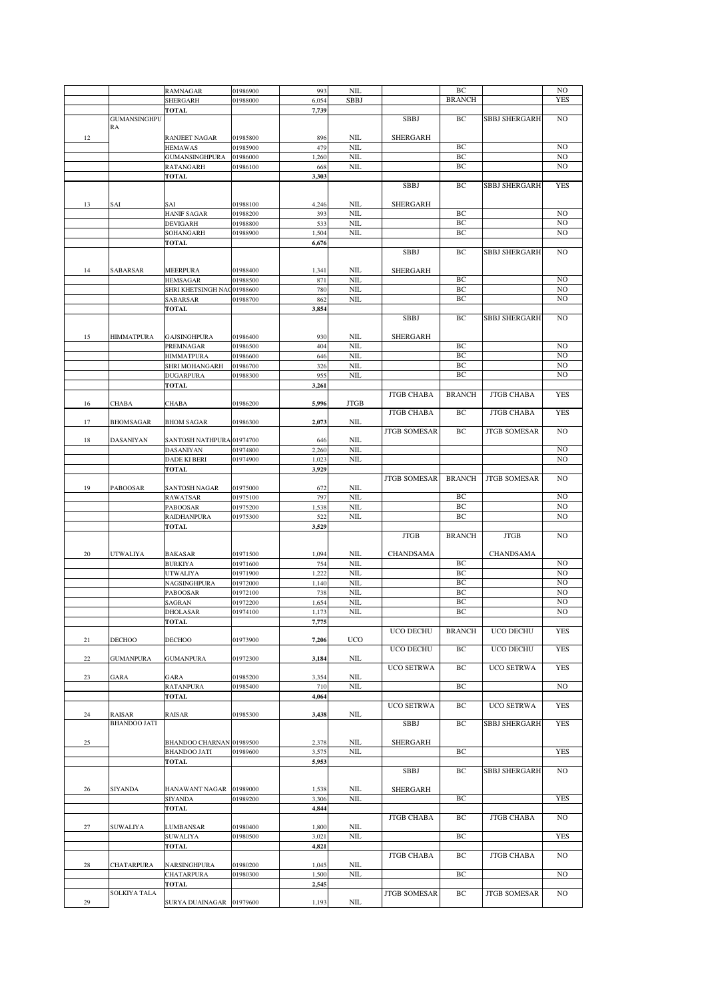|             |                     | <b>RAMNAGAR</b>            | 01986900 | 993   | <b>NIL</b>   |                     | BC            |                      | N <sub>O</sub> |
|-------------|---------------------|----------------------------|----------|-------|--------------|---------------------|---------------|----------------------|----------------|
|             |                     |                            |          |       | <b>SBBJ</b>  |                     | <b>BRANCH</b> |                      | <b>YES</b>     |
|             |                     | <b>SHERGARH</b>            | 01988000 | 6,054 |              |                     |               |                      |                |
|             |                     | <b>TOTAL</b>               |          | 7,739 |              |                     |               |                      |                |
|             | <b>GUMANSINGHPU</b> |                            |          |       |              | <b>SBBJ</b>         | BС            | <b>SBBJ SHERGARH</b> | NO.            |
|             | RA                  |                            |          |       |              |                     |               |                      |                |
| 12          |                     | RANJEET NAGAR              | 01985800 | 896   | NIL          | <b>SHERGARH</b>     |               |                      |                |
|             |                     | <b>HEMAWAS</b>             | 01985900 | 479   | <b>NIL</b>   |                     | BC            |                      | N <sub>O</sub> |
|             |                     |                            |          | 1,260 | <b>NIL</b>   |                     | BC            |                      | N <sub>O</sub> |
|             |                     | GUMANSINGHPURA             | 01986000 |       |              |                     |               |                      |                |
|             |                     | RATANGARH                  | 01986100 | 668   | <b>NIL</b>   |                     | ВC            |                      | NO             |
|             |                     | <b>TOTAL</b>               |          | 3,303 |              |                     |               |                      |                |
|             |                     |                            |          |       |              | <b>SBBJ</b>         | BC            | <b>SBBJ SHERGARH</b> | <b>YES</b>     |
|             |                     |                            |          |       |              |                     |               |                      |                |
| 13          | SAI                 | SAI                        | 01988100 | 4,246 | NIL          | <b>SHERGARH</b>     |               |                      |                |
|             |                     |                            |          | 393   | <b>NIL</b>   |                     | ВC            |                      | N <sub>O</sub> |
|             |                     | <b>HANIF SAGAR</b>         | 01988200 |       |              |                     |               |                      |                |
|             |                     | <b>DEVIGARH</b>            | 01988800 | 533   | <b>NIL</b>   |                     | BC            |                      | NO             |
|             |                     | SOHANGARH                  | 01988900 | 1,504 | <b>NIL</b>   |                     | BC            |                      | NO             |
|             |                     | <b>TOTAL</b>               |          | 6,676 |              |                     |               |                      |                |
|             |                     |                            |          |       |              | SBBJ                | ВC            | <b>SBBJ SHERGARH</b> | NO             |
|             |                     |                            |          |       |              |                     |               |                      |                |
|             |                     |                            |          |       |              |                     |               |                      |                |
| 14          | SABARSAR            | <b>MEERPURA</b>            | 01988400 | 1,341 | NIL          | <b>SHERGARH</b>     |               |                      |                |
|             |                     | <b>HEMSAGAR</b>            | 01988500 | 871   | <b>NIL</b>   |                     | BC            |                      | NO             |
|             |                     | SHRI KHETSINGH NAC01988600 |          | 780   | NIL          |                     | BC            |                      | NO             |
|             |                     | SABARSAR                   | 01988700 | 862   | <b>NIL</b>   |                     | BC            |                      | N <sub>O</sub> |
|             |                     |                            |          |       |              |                     |               |                      |                |
|             |                     | <b>TOTAL</b>               |          | 3,854 |              |                     |               |                      |                |
|             |                     |                            |          |       |              | <b>SBBJ</b>         | BС            | <b>SBBJ SHERGARH</b> | N <sub>O</sub> |
|             |                     |                            |          |       |              |                     |               |                      |                |
| 15          | <b>HIMMATPURA</b>   | <b>GAJSINGHPURA</b>        | 01986400 | 930   | NIL          | <b>SHERGARH</b>     |               |                      |                |
|             |                     | PREMNAGAR                  | 01986500 | 404   | <b>NIL</b>   |                     | BC            |                      | N <sub>O</sub> |
|             |                     | <b>HIMMATPURA</b>          | 01986600 | 646   | <b>NIL</b>   |                     | BC            |                      | N <sub>O</sub> |
|             |                     |                            |          |       |              |                     |               |                      |                |
|             |                     | SHRI MOHANGARH             | 01986700 | 326   | NIL          |                     | BC            |                      | NO             |
|             |                     | <b>DUGARPURA</b>           | 01988300 | 955   | <b>NIL</b>   |                     | BC            |                      | NO             |
|             |                     | <b>TOTAL</b>               |          | 3,261 |              |                     |               |                      |                |
|             |                     |                            |          |       |              | <b>JTGB CHABA</b>   | <b>BRANCH</b> | <b>JTGB CHABA</b>    | <b>YES</b>     |
|             |                     |                            |          |       |              |                     |               |                      |                |
| 16          | <b>CHABA</b>        | CHABA                      | 01986200 | 5,996 | <b>JTGB</b>  |                     |               |                      |                |
|             |                     |                            |          |       |              | <b>JTGB CHABA</b>   | BC            | <b>JTGB CHABA</b>    | <b>YES</b>     |
| 17          | <b>BHOMSAGAR</b>    | <b>BHOM SAGAR</b>          | 01986300 | 2,073 | NIL          |                     |               |                      |                |
|             |                     |                            |          |       |              | <b>JTGB SOMESAR</b> | BC            | <b>JTGB SOMESAR</b>  | NO             |
| 18          | DASANIYAN           | SANTOSH NATHPURA 01974700  |          | 646   | NIL          |                     |               |                      |                |
|             |                     |                            |          |       |              |                     |               |                      |                |
|             |                     | DASANIYAN                  | 01974800 | 2,260 | NIL          |                     |               |                      | NO             |
|             |                     | DADE KI BERI               | 01974900 | 1,023 | <b>NIL</b>   |                     |               |                      | N <sub>O</sub> |
|             |                     | <b>TOTAL</b>               |          | 3,929 |              |                     |               |                      |                |
|             |                     |                            |          |       |              | <b>JTGB SOMESAR</b> | <b>BRANCH</b> | <b>JTGB SOMESAR</b>  | NO.            |
| 19          | <b>PABOOSAR</b>     | SANTOSH NAGAR              | 01975000 | 672   | <b>NIL</b>   |                     |               |                      |                |
|             |                     |                            |          |       |              |                     | BC            |                      | N <sub>O</sub> |
|             |                     | <b>RAWATSAR</b>            | 01975100 | 797   | <b>NIL</b>   |                     |               |                      |                |
|             |                     |                            | 01975200 | 1,538 | <b>NIL</b>   |                     | BC            |                      | NO             |
|             |                     | PABOOSAR                   |          |       |              |                     |               |                      |                |
|             |                     | <b>RAIDHANPURA</b>         | 01975300 | 522   | <b>NIL</b>   |                     | BC            |                      | N <sub>O</sub> |
|             |                     |                            |          |       |              |                     |               |                      |                |
|             |                     | <b>TOTAL</b>               |          | 3,529 |              |                     |               |                      |                |
|             |                     |                            |          |       |              | <b>JTGB</b>         | <b>BRANCH</b> | <b>JTGB</b>          | NO.            |
|             |                     |                            |          |       |              |                     |               |                      |                |
| 20          | UTWALIYA            | <b>BAKASAR</b>             | 01971500 | 1,094 | NIL          | CHANDSAMA           |               | CHANDSAMA            |                |
|             |                     | <b>BURKIYA</b>             | 01971600 | 754   | NIL          |                     | BC            |                      | NO             |
|             |                     |                            |          |       |              |                     |               |                      |                |
|             |                     | UTWALIYA                   | 01971900 | 1,222 | <b>NIL</b>   |                     | BC            |                      | N <sub>O</sub> |
|             |                     | NAGSINGHPURA               | 01972000 | 1,140 | NIL          |                     | BС            |                      | NO             |
|             |                     | PABOOSAR                   | 01972100 | 738   | <b>NIL</b>   |                     | BС            |                      | NO.            |
|             |                     | <b>SAGRAN</b>              | 01972200 | 1,654 | <b>NIL</b>   |                     | BC            |                      | N <sub>O</sub> |
|             |                     |                            |          | 1,173 | <b>NIL</b>   |                     | BC            |                      | NO             |
|             |                     | <b>DHOLASAR</b>            | 01974100 |       |              |                     |               |                      |                |
|             |                     | <b>TOTAL</b>               |          | 7,775 |              |                     |               |                      |                |
|             |                     |                            |          |       |              | UCO DECHU           | <b>BRANCH</b> | UCO DECHU            | <b>YES</b>     |
| 21          | DECHOO              | DECHOO                     | 01973900 | 7,206 | UCO          |                     |               |                      |                |
|             |                     |                            |          |       |              | UCO DECHU           | BС            | UCO DECHU            | <b>YES</b>     |
| 22          | <b>GUMANPURA</b>    | <b>GUMANPURA</b>           | 01972300 | 3,184 | NIL          |                     |               |                      |                |
|             |                     |                            |          |       |              | UCO SETRWA          | ВC            | UCO SETRWA           | <b>YES</b>     |
|             |                     |                            |          |       |              |                     |               |                      |                |
| 23          | GARA                | GARA                       | 01985200 | 3,354 | NIL          |                     |               |                      |                |
|             |                     | <b>RATANPURA</b>           | 01985400 | 710   | $\text{NIL}$ |                     | BС            |                      | NO             |
|             |                     | TOTAL                      |          | 4,064 |              |                     |               |                      |                |
|             |                     |                            |          |       |              | <b>UCO SETRWA</b>   | ВC            | <b>UCO SETRWA</b>    | <b>YES</b>     |
| 24          | RAISAR              | RAISAR                     | 01985300 | 3,438 | NIL          |                     |               |                      |                |
|             | <b>BHANDOO JATI</b> |                            |          |       |              | <b>SBBJ</b>         | ВC            | SBBJ SHERGARH        | <b>YES</b>     |
|             |                     |                            |          |       |              |                     |               |                      |                |
|             |                     |                            |          |       |              |                     |               |                      |                |
| 25          |                     | BHANDOO CHARNAN 01989500   |          | 2,378 | NIL          | SHERGARH            |               |                      |                |
|             |                     | <b>BHANDOO JATI</b>        | 01989600 | 3,575 | <b>NIL</b>   |                     | ВC            |                      | <b>YES</b>     |
|             |                     | <b>TOTAL</b>               |          | 5,953 |              |                     |               |                      |                |
|             |                     |                            |          |       |              | SBBJ                | ВC            | <b>SBBJ SHERGARH</b> | NO.            |
|             |                     |                            |          |       |              |                     |               |                      |                |
|             |                     |                            |          |       |              |                     |               |                      |                |
| 26          | SIYANDA             | HANAWANT NAGAR 01989000    |          | 1,538 | NIL          | <b>SHERGARH</b>     |               |                      |                |
|             |                     | SIYANDA                    | 01989200 | 3,306 | $\text{NIL}$ |                     | ВC            |                      | <b>YES</b>     |
|             |                     | <b>TOTAL</b>               |          | 4,844 |              |                     |               |                      |                |
|             |                     |                            |          |       |              | <b>JTGB CHABA</b>   | ВC            | <b>JTGB CHABA</b>    | NO             |
|             |                     |                            |          |       |              |                     |               |                      |                |
| 27          | SUWALIYA            | LUMBANSAR                  | 01980400 | 1,800 | NIL          |                     |               |                      |                |
|             |                     | SUWALIYA                   | 01980500 | 3,021 | $\text{NIL}$ |                     | ВC            |                      | <b>YES</b>     |
|             |                     | TOTAL                      |          | 4,821 |              |                     |               |                      |                |
|             |                     |                            |          |       |              | <b>JTGB CHABA</b>   | ВC            | <b>JTGB CHABA</b>    | NO             |
| $\sqrt{28}$ | CHATARPURA          | NARSINGHPURA               | 01980200 | 1,045 | NIL          |                     |               |                      |                |
|             |                     |                            |          |       |              |                     |               |                      | NO.            |
|             |                     | CHATARPURA                 | 01980300 | 1,500 | $\rm NIL$    |                     | ВC            |                      |                |
|             |                     | <b>TOTAL</b>               |          | 2,545 |              |                     |               |                      |                |
|             | SOLKIYA TALA        |                            |          |       |              | <b>JTGB SOMESAR</b> | BС            | <b>JTGB SOMESAR</b>  | NO.            |
| 29          |                     | SURYA DUAINAGAR 01979600   |          | 1,193 | $\rm NIL$    |                     |               |                      |                |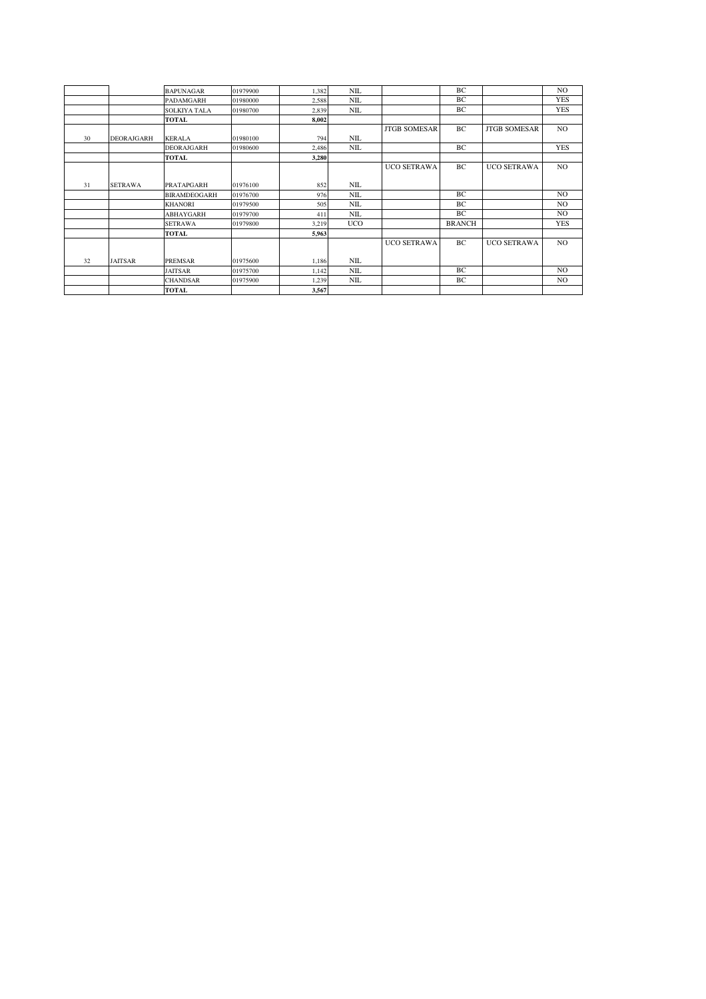|    |                | <b>BAPUNAGAR</b>    | 01979900 | 1,382 | <b>NIL</b> |                     | BC            |                     | N <sub>O</sub> |
|----|----------------|---------------------|----------|-------|------------|---------------------|---------------|---------------------|----------------|
|    |                | PADAMGARH           | 01980000 | 2,588 | <b>NIL</b> |                     | BC            |                     | <b>YES</b>     |
|    |                | <b>SOLKIYA TALA</b> | 01980700 | 2,839 | <b>NIL</b> |                     | BC            |                     | <b>YES</b>     |
|    |                | <b>TOTAL</b>        |          | 8,002 |            |                     |               |                     |                |
|    |                |                     |          |       |            | <b>JTGB SOMESAR</b> | BС            | <b>JTGB SOMESAR</b> | NO.            |
| 30 | DEORAJGARH     | <b>KERALA</b>       | 01980100 | 794   | NIL        |                     |               |                     |                |
|    |                | <b>DEORAJGARH</b>   | 01980600 | 2,486 | <b>NIL</b> |                     | BС            |                     | <b>YES</b>     |
|    |                | <b>TOTAL</b>        |          | 3,280 |            |                     |               |                     |                |
|    |                |                     |          |       |            | <b>UCO SETRAWA</b>  | BС            | <b>UCO SETRAWA</b>  | NO.            |
|    |                |                     |          |       |            |                     |               |                     |                |
| 31 | <b>SETRAWA</b> | PRATAPGARH          | 01976100 | 852   | <b>NIL</b> |                     |               |                     |                |
|    |                | <b>BIRAMDEOGARH</b> | 01976700 | 976   | <b>NIL</b> |                     | BC            |                     | N <sub>O</sub> |
|    |                | <b>KHANORI</b>      | 01979500 | 505   | <b>NIL</b> |                     | BC            |                     | NO.            |
|    |                | <b>ABHAYGARH</b>    | 01979700 | 411   | <b>NIL</b> |                     | BС            |                     | NO.            |
|    |                | <b>SETRAWA</b>      | 01979800 | 3,219 | <b>UCO</b> |                     | <b>BRANCH</b> |                     | <b>YES</b>     |
|    |                | <b>TOTAL</b>        |          | 5,963 |            |                     |               |                     |                |
|    |                |                     |          |       |            | <b>UCO SETRAWA</b>  | BС            | <b>UCO SETRAWA</b>  | NO.            |
|    |                |                     |          |       |            |                     |               |                     |                |
| 32 | <b>JAITSAR</b> | <b>PREMSAR</b>      | 01975600 | 1,186 | <b>NIL</b> |                     |               |                     |                |
|    |                | JAITSAR             | 01975700 | 1,142 | NIL        |                     | BС            |                     | NO.            |
|    |                | <b>CHANDSAR</b>     | 01975900 | 1,239 | <b>NIL</b> |                     | BC            |                     | NO.            |
|    |                | <b>TOTAL</b>        |          | 3,567 |            |                     |               |                     |                |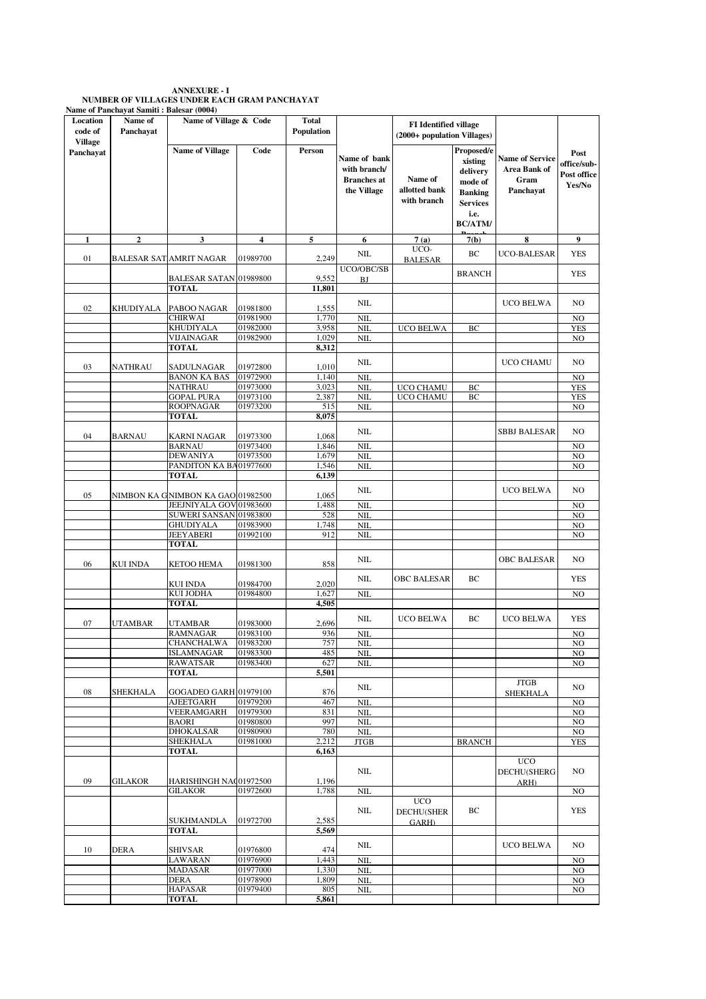| <b>ANNEXURE - I</b>                          |
|----------------------------------------------|
| NUMBER OF VILLAGES UNDER EACH GRAM PANCHAYAT |
| Name of Panchavat Samiti : Balesar (0004)    |

| Location<br>code of         | Name of<br>Panchayat | Name of Village & Code                 |                      | Total<br>Population |                                                                   | <b>FI</b> Identified village<br>(2000+ population Villages) |                                                                                                             |                                                             |                                              |
|-----------------------------|----------------------|----------------------------------------|----------------------|---------------------|-------------------------------------------------------------------|-------------------------------------------------------------|-------------------------------------------------------------------------------------------------------------|-------------------------------------------------------------|----------------------------------------------|
| <b>Village</b><br>Panchayat |                      | <b>Name of Village</b>                 | Code                 | Person              | Name of bank<br>with branch/<br><b>Branches</b> at<br>the Village | Name of<br>allotted bank<br>with branch                     | Proposed/e<br>xisting<br>delivery<br>mode of<br><b>Banking</b><br><b>Services</b><br>i.e.<br><b>BC/ATM/</b> | <b>Name of Service</b><br>Area Bank of<br>Gram<br>Panchayat | Post<br>office/sub-<br>Post office<br>Yes/No |
| 1                           | $\mathbf{2}$         | 3                                      | 4                    | 5                   | 6                                                                 | 7(a)                                                        | 7(b)                                                                                                        | 8                                                           | 9                                            |
|                             |                      |                                        |                      |                     | <b>NIL</b>                                                        | UCO-                                                        | BC                                                                                                          | <b>UCO-BALESAR</b>                                          | <b>YES</b>                                   |
| 01                          |                      | <b>BALESAR SAT AMRIT NAGAR</b>         | 01989700             | 2,249               | UCO/OBC/SB                                                        | <b>BALESAR</b>                                              | <b>BRANCH</b>                                                                                               |                                                             | <b>YES</b>                                   |
|                             |                      | BALESAR SATAN 01989800<br><b>TOTAL</b> |                      | 9,552<br>11,801     | BJ                                                                |                                                             |                                                                                                             |                                                             |                                              |
|                             |                      |                                        |                      |                     |                                                                   |                                                             |                                                                                                             |                                                             |                                              |
| 02                          | KHUDIYALA            | PABOO NAGAR                            | 01981800             | 1,555               | NIL                                                               |                                                             |                                                                                                             | <b>UCO BELWA</b>                                            | N <sub>O</sub>                               |
|                             |                      | <b>CHIRWAI</b>                         | 01981900             | 1,770               | NII                                                               |                                                             |                                                                                                             |                                                             | N <sub>O</sub>                               |
|                             |                      | <b>KHUDIYALA</b>                       | 01982000             | 3,958               | <b>NIL</b>                                                        | <b>UCO BELWA</b>                                            | BC                                                                                                          |                                                             | <b>YES</b>                                   |
|                             |                      | VIJAINAGAR<br><b>TOTAL</b>             | 01982900             | 1,029<br>8,312      | <b>NIL</b>                                                        |                                                             |                                                                                                             |                                                             | N <sub>O</sub>                               |
|                             |                      |                                        |                      |                     |                                                                   |                                                             |                                                                                                             |                                                             |                                              |
| 03                          | NATHRAU              | SADULNAGAR                             | 01972800             | 1,010               | <b>NIL</b>                                                        |                                                             |                                                                                                             | UCO CHAMU                                                   | N <sub>O</sub>                               |
|                             |                      | <b>BANON KA BAS</b>                    | 01972900             | 1,140               | <b>NIL</b>                                                        |                                                             |                                                                                                             |                                                             | N <sub>O</sub>                               |
|                             |                      | <b>NATHRAU</b>                         | 01973000             | 3,023               | NIL                                                               | UCO CHAMU                                                   | BC                                                                                                          |                                                             | <b>YES</b>                                   |
|                             |                      | <b>GOPAL PURA</b>                      | 01973100             | 2,387               | <b>NIL</b>                                                        | UCO CHAMU                                                   | BC                                                                                                          |                                                             | <b>YES</b>                                   |
|                             |                      | <b>ROOPNAGAR</b><br><b>TOTAL</b>       | 01973200             | 515<br>8,075        | NIL                                                               |                                                             |                                                                                                             |                                                             | NO                                           |
|                             |                      |                                        |                      |                     |                                                                   |                                                             |                                                                                                             |                                                             |                                              |
| 04                          | <b>BARNAU</b>        | KARNI NAGAR                            | 01973300             | 1,068               | <b>NIL</b>                                                        |                                                             |                                                                                                             | <b>SBBJ BALESAR</b>                                         | N <sub>O</sub>                               |
|                             |                      | <b>BARNAU</b>                          | 01973400             | 1,846               | NII                                                               |                                                             |                                                                                                             |                                                             | NO                                           |
|                             |                      | <b>DEWANIYA</b>                        | 01973500             | 1,679               | <b>NIL</b>                                                        |                                                             |                                                                                                             |                                                             | N <sub>O</sub>                               |
|                             |                      | PANDITON KA BA01977600                 |                      | 1,546               | <b>NIL</b>                                                        |                                                             |                                                                                                             |                                                             | N <sub>O</sub>                               |
|                             |                      | <b>TOTAL</b>                           |                      | 6,139               |                                                                   |                                                             |                                                                                                             |                                                             |                                              |
| 05                          |                      | NIMBON KA GNIMBON KA GAO 01982500      |                      | 1,065               | $\text{NIL}$                                                      |                                                             |                                                                                                             | <b>UCO BELWA</b>                                            | N <sub>O</sub>                               |
|                             |                      | JEEJNIYALA GOV 01983600                |                      | 1,488               | <b>NIL</b>                                                        |                                                             |                                                                                                             |                                                             | NO                                           |
|                             |                      | SUWERI SANSAN 01983800                 |                      | 528                 | <b>NIL</b>                                                        |                                                             |                                                                                                             |                                                             | NO                                           |
|                             |                      | <b>GHUDIYALA</b>                       | 01983900             | 1,748               | <b>NIL</b>                                                        |                                                             |                                                                                                             |                                                             | NO                                           |
|                             |                      | JEEYABERI                              | 01992100             | 912                 | <b>NIL</b>                                                        |                                                             |                                                                                                             |                                                             | N <sub>O</sub>                               |
|                             |                      | <b>TOTAL</b>                           |                      |                     |                                                                   |                                                             |                                                                                                             |                                                             |                                              |
| 06                          | KUI INDA             | KETOO HEMA                             | 01981300             | 858                 | <b>NIL</b>                                                        |                                                             |                                                                                                             | <b>OBC BALESAR</b>                                          | N <sub>O</sub>                               |
|                             |                      | KUI INDA                               | 01984700             | 2,020               | <b>NIL</b>                                                        | <b>OBC BALESAR</b>                                          | BC                                                                                                          |                                                             | <b>YES</b>                                   |
|                             |                      | <b>KUI JODHA</b>                       | 01984800             | 1,627               | <b>NIL</b>                                                        |                                                             |                                                                                                             |                                                             | NO                                           |
|                             |                      | <b>TOTAL</b>                           |                      | 4,505               |                                                                   |                                                             |                                                                                                             |                                                             |                                              |
| 07                          | UTAMBAR              | <b>UTAMBAR</b>                         | 01983000             | 2,696               | $\text{NIL}$                                                      | <b>UCO BELWA</b>                                            | BC                                                                                                          | <b>UCO BELWA</b>                                            | YES                                          |
|                             |                      | RAMNAGAR                               | 01983100             | 936                 | NIL                                                               |                                                             |                                                                                                             |                                                             | NO                                           |
|                             |                      | <b>CHANCHALWA</b>                      | 01983200             | 757                 | NIL                                                               |                                                             |                                                                                                             |                                                             | NO                                           |
|                             |                      | ISLAMNAGAR<br><b>RAWATSAR</b>          | 01983300<br>01983400 | 485<br>627          | <b>NIL</b><br><b>NIL</b>                                          |                                                             |                                                                                                             |                                                             | N <sub>O</sub><br>N <sub>O</sub>             |
|                             |                      | <b>TOTAL</b>                           |                      | 5,501               |                                                                   |                                                             |                                                                                                             |                                                             |                                              |
| 08                          | SHEKHALA             | GOGADEO GARH 01979100                  |                      | 876                 | $NIL$                                                             |                                                             |                                                                                                             | <b>JTGB</b><br><b>SHEKHALA</b>                              | NO                                           |
|                             |                      | <b>AJEETGARH</b>                       | 01979200             | 467                 | <b>NIL</b>                                                        |                                                             |                                                                                                             |                                                             | N <sub>O</sub>                               |
|                             |                      | VEERAMGARH                             | 01979300             | 831                 | NIL                                                               |                                                             |                                                                                                             |                                                             | N <sub>O</sub>                               |
|                             |                      | <b>BAORI</b>                           | 01980800             | 997                 | <b>NIL</b>                                                        |                                                             |                                                                                                             |                                                             | NO                                           |
|                             |                      | <b>DHOKALSAR</b><br><b>SHEKHALA</b>    | 01980900<br>01981000 | 780<br>2,212        | <b>NIL</b>                                                        |                                                             |                                                                                                             |                                                             | NO                                           |
|                             |                      | <b>TOTAL</b>                           |                      | 6,163               | <b>JTGB</b>                                                       |                                                             | <b>BRANCH</b>                                                                                               |                                                             | <b>YES</b>                                   |
|                             |                      |                                        |                      |                     |                                                                   |                                                             |                                                                                                             | <b>UCO</b>                                                  |                                              |
| 09                          | <b>GILAKOR</b>       | HARISHINGH NAC01972500                 |                      | 1,196               | $NIL$                                                             |                                                             |                                                                                                             | DECHU(SHERG<br><b>ARH</b> )                                 | N <sub>O</sub>                               |
|                             |                      | <b>GILAKOR</b>                         | 01972600             | 1,788               | <b>NIL</b>                                                        |                                                             |                                                                                                             |                                                             | N <sub>O</sub>                               |
|                             |                      | SUKHMANDLA<br><b>TOTAL</b>             | 01972700             | 2,585<br>5,569      | $NIL$                                                             | <b>UCO</b><br>DECHU(SHER<br>GARH)                           | BC                                                                                                          |                                                             | <b>YES</b>                                   |
|                             |                      |                                        |                      |                     |                                                                   |                                                             |                                                                                                             |                                                             |                                              |
| 10                          | DERA                 | SHIVSAR                                | 01976800             | 474                 | $NIL$                                                             |                                                             |                                                                                                             | <b>UCO BELWA</b>                                            | N <sub>O</sub>                               |
|                             |                      | LAWARAN                                | 01976900             | 1,443               | <b>NIL</b>                                                        |                                                             |                                                                                                             |                                                             | N <sub>O</sub>                               |
|                             |                      | <b>MADASAR</b>                         | 01977000             | 1,330               | NIL                                                               |                                                             |                                                                                                             |                                                             | NO                                           |
|                             |                      | <b>DERA</b>                            | 01978900             | 1,809               | <b>NIL</b>                                                        |                                                             |                                                                                                             |                                                             | N <sub>O</sub>                               |
|                             |                      | HAPASAR<br><b>TOTAL</b>                | 01979400             | 805                 | <b>NIL</b>                                                        |                                                             |                                                                                                             |                                                             | NO                                           |
|                             |                      |                                        |                      | 5,861               |                                                                   |                                                             |                                                                                                             |                                                             |                                              |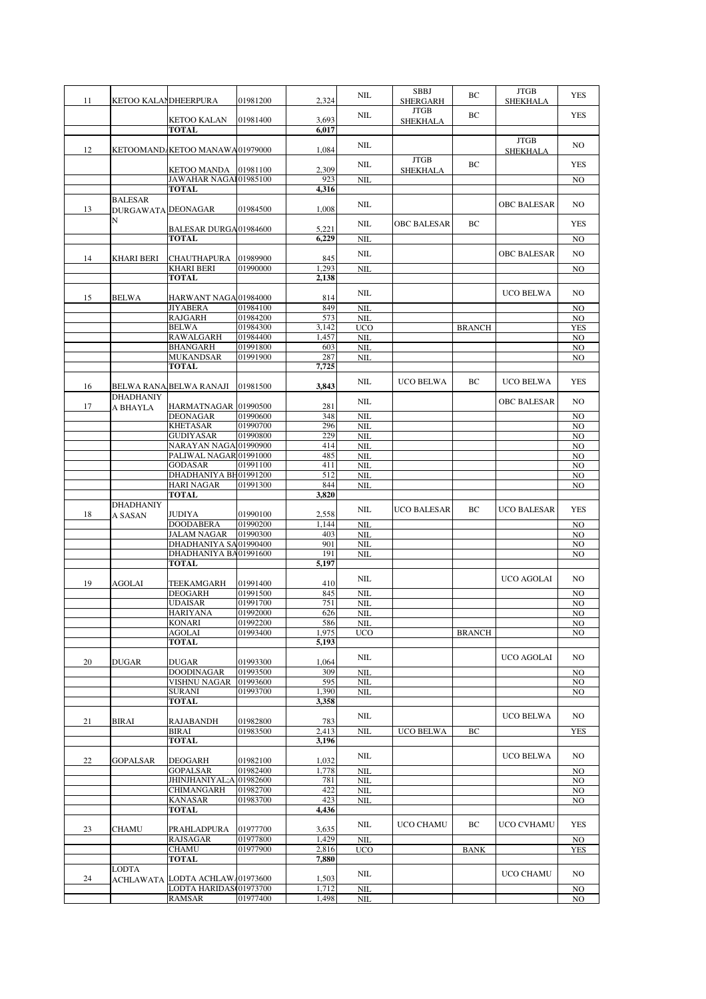| 11 | KETOO KALAMDHEERPURA                        |                                          | 01981200             | 2,324          | NIL                      | SBBJ<br><b>SHERGARH</b>        | BC            | <b>JTGB</b><br><b>SHEKHALA</b> | <b>YES</b>            |
|----|---------------------------------------------|------------------------------------------|----------------------|----------------|--------------------------|--------------------------------|---------------|--------------------------------|-----------------------|
|    |                                             | KETOO KALAN                              | 01981400             | 3,693          | $NIL$                    | <b>JTGB</b><br><b>SHEKHALA</b> | BC            |                                | <b>YES</b>            |
|    |                                             | <b>TOTAL</b>                             |                      | 6.017          |                          |                                |               |                                |                       |
| 12 |                                             | KETOOMAND KETOO MANAWA01979000           |                      | 1,084          | $NIL$                    |                                |               | <b>JTGB</b><br><b>SHEKHALA</b> | NO                    |
|    |                                             |                                          |                      |                | NIL                      | <b>JTGB</b>                    | BC            |                                | YES                   |
|    |                                             | KETOO MANDA<br>JAWAHAR NAGA101985100     | 01981100             | 2,309<br>923   | <b>NIL</b>               | <b>SHEKHALA</b>                |               |                                | NO                    |
|    |                                             | <b>TOTAL</b>                             |                      | 4,316          |                          |                                |               |                                |                       |
| 13 | <b>BALESAR</b><br><b>DURGAWATA DEONAGAR</b> |                                          | 01984500             | 1,008          | $NIL$                    |                                |               | <b>OBC BALESAR</b>             | NO.                   |
|    | N                                           |                                          |                      |                | NIL                      | <b>OBC BALESAR</b>             | BC            |                                | <b>YES</b>            |
|    |                                             | BALESAR DURGA01984600<br><b>TOTAL</b>    |                      | 5,221<br>6,229 | <b>NIL</b>               |                                |               |                                | NO.                   |
|    |                                             |                                          |                      |                | $\rm NIL$                |                                |               | <b>OBC BALESAR</b>             | NO.                   |
| 14 | KHARI BERI                                  | CHAUTHAPURA<br><b>KHARI BERI</b>         | 01989900<br>01990000 | 845<br>1,293   | <b>NIL</b>               |                                |               |                                | N <sub>O</sub>        |
|    |                                             | <b>TOTAL</b>                             |                      | 2,138          |                          |                                |               |                                |                       |
|    |                                             |                                          |                      |                | $\rm NIL$                |                                |               | UCO BELWA                      | NO                    |
| 15 | <b>BELWA</b>                                | HARWANT NAGA 01984000<br><b>JIYABERA</b> | 01984100             | 814<br>849     | <b>NIL</b>               |                                |               |                                | NO.                   |
|    |                                             | <b>RAJGARH</b>                           | 01984200             | 573            | <b>NIL</b>               |                                |               |                                | NO.                   |
|    |                                             | <b>BELWA</b>                             | 01984300             | 3,142          | <b>UCO</b>               |                                | <b>BRANCH</b> |                                | <b>YES</b>            |
|    |                                             | <b>RAWALGARH</b>                         | 01984400             | 1,457          | NIL                      |                                |               |                                | NO                    |
|    |                                             | <b>BHANGARH</b><br><b>MUKANDSAR</b>      | 01991800<br>01991900 | 603<br>287     | NIL                      |                                |               |                                | N <sub>O</sub>        |
|    |                                             | <b>TOTAL</b>                             |                      | 7,725          | <b>NIL</b>               |                                |               |                                | N <sub>O</sub>        |
|    |                                             |                                          |                      |                |                          |                                |               |                                |                       |
| 16 |                                             | BELWA RANA BELWA RANAJI                  | 01981500             | 3,843          | NIL                      | <b>UCO BELWA</b>               | BC            | <b>UCO BELWA</b>               | <b>YES</b>            |
| 17 | <b>DHADHANIY</b><br>A BHAYLA                | HARMATNAGAR 01990500                     |                      | 281            | NIL                      |                                |               | <b>OBC BALESAR</b>             | NO                    |
|    |                                             | <b>DEONAGAR</b>                          | 01990600             | 348            | <b>NIL</b>               |                                |               |                                | NO.                   |
|    |                                             | <b>KHETASAR</b>                          | 01990700             | 296            | <b>NIL</b>               |                                |               |                                | N <sub>O</sub>        |
|    |                                             | <b>GUDIYASAR</b>                         | 01990800             | 229            | <b>NIL</b>               |                                |               |                                | NO.                   |
|    |                                             | NARAYAN NAGA 01990900                    |                      | 414            | <b>NIL</b>               |                                |               |                                | NO.                   |
|    |                                             | PALIWAL NAGAR 01991000<br><b>GODASAR</b> | 01991100             | 485<br>411     | <b>NIL</b><br><b>NIL</b> |                                |               |                                | NO.<br>NO.            |
|    |                                             | DHADHANIYA BH01991200                    |                      | 512            | <b>NIL</b>               |                                |               |                                | NO.                   |
|    |                                             | <b>HARI NAGAR</b>                        | 01991300             | 844            | <b>NIL</b>               |                                |               |                                | N <sub>O</sub>        |
|    |                                             | <b>TOTAL</b>                             |                      | 3,820          |                          |                                |               |                                |                       |
|    | <b>DHADHANIY</b>                            |                                          |                      |                | NIL                      | UCO BALESAR                    | BC            | <b>UCO BALESAR</b>             | <b>YES</b>            |
| 18 | A SASAN                                     | <b>JUDIYA</b><br><b>DOODABERA</b>        | 01990100<br>01990200 | 2,558<br>1,144 | <b>NIL</b>               |                                |               |                                | NO.                   |
|    |                                             | <b>JALAM NAGAR</b>                       | 01990300             | 403            | <b>NIL</b>               |                                |               |                                | NO.                   |
|    |                                             | DHADHANIYA SA 01990400                   |                      | 901            | <b>NIL</b>               |                                |               |                                | NO.                   |
|    |                                             | DHADHANIYA BA01991600                    |                      | 191            | <b>NIL</b>               |                                |               |                                | NO.                   |
|    |                                             | TOTAL                                    |                      | 5,197          |                          |                                |               |                                |                       |
| 19 | AGOLAI                                      | TEEKAMGARH                               | 01991400             | 410            | NIL                      |                                |               | UCO AGOLAI                     | NO                    |
|    |                                             | <b>DEOGARH</b>                           | 01991500             | 845            | <b>NIL</b>               |                                |               |                                | N <sub>O</sub>        |
|    |                                             | <b>UDAISAR</b>                           | 01991700             | 751            | <b>NIL</b>               |                                |               |                                | N <sub>O</sub>        |
|    |                                             | <b>HARIYANA</b>                          | 01992000             | 626            | <b>NIL</b>               |                                |               |                                | NO.                   |
|    |                                             | <b>KONARI</b><br>AGOLAI                  | 01992200<br>01993400 | 586<br>1,975   | NIL<br><b>UCO</b>        |                                | <b>BRANCH</b> |                                | NO.<br>N <sub>O</sub> |
|    |                                             | <b>TOTAL</b>                             |                      | 5,193          |                          |                                |               |                                |                       |
|    |                                             |                                          |                      |                | $\rm NIL$                |                                |               | UCO AGOLAI                     | NO.                   |
| 20 | <b>DUGAR</b>                                | <b>DUGAR</b>                             | 01993300             | 1,064          |                          |                                |               |                                |                       |
|    |                                             | <b>DOODINAGAR</b><br><b>VISHNU NAGAR</b> | 01993500<br>01993600 | 309<br>595     | <b>NIL</b><br><b>NIL</b> |                                |               |                                | NO<br>NO.             |
|    |                                             | <b>SURANI</b>                            | 01993700             | 1,390          | <b>NIL</b>               |                                |               |                                | NO.                   |
|    |                                             | <b>TOTAL</b>                             |                      | 3,358          |                          |                                |               |                                |                       |
|    |                                             |                                          |                      |                | $\rm NIL$                |                                |               | <b>UCO BELWA</b>               | NO.                   |
| 21 | <b>BIRAI</b>                                | RAJABANDH<br><b>BIRAI</b>                | 01982800<br>01983500 | 783<br>2,413   | <b>NIL</b>               | <b>UCO BELWA</b>               | BC            |                                | <b>YES</b>            |
|    |                                             | <b>TOTAL</b>                             |                      | 3,196          |                          |                                |               |                                |                       |
|    |                                             |                                          |                      |                | $NIL$                    |                                |               | <b>UCO BELWA</b>               | NO.                   |
| 22 | GOPALSAR                                    | <b>DEOGARH</b>                           | 01982100             | 1,032          |                          |                                |               |                                |                       |
|    |                                             | <b>GOPALSAR</b>                          | 01982400             | 1,778          | <b>NIL</b>               |                                |               |                                | NO.                   |
|    |                                             | JHINJHANIYAL;A 01982600<br>CHIMANGARH    | 01982700             | 781<br>422     | <b>NIL</b><br>NIL        |                                |               |                                | NO.<br>NO.            |
|    |                                             | <b>KANASAR</b>                           | 01983700             | 423            | $\rm NIL$                |                                |               |                                | NO                    |
|    |                                             | <b>TOTAL</b>                             |                      | 4,436          |                          |                                |               |                                |                       |
|    |                                             |                                          |                      |                | $\rm NIL$                | UCO CHAMU                      | BC            | UCO CVHAMU                     | <b>YES</b>            |
| 23 | CHAMU                                       | PRAHLADPURA<br><b>RAJSAGAR</b>           | 01977700<br>01977800 | 3,635<br>1,429 | <b>NIL</b>               |                                |               |                                | NO.                   |
|    |                                             | <b>CHAMU</b>                             | 01977900             | 2,816          | <b>UCO</b>               |                                | <b>BANK</b>   |                                | <b>YES</b>            |
|    |                                             |                                          |                      |                |                          |                                |               |                                |                       |
|    |                                             | <b>TOTAL</b>                             |                      | 7,880          |                          |                                |               |                                |                       |
|    | <b>LODTA</b>                                |                                          |                      |                | $\rm NIL$                |                                |               | UCO CHAMU                      | NO.                   |
| 24 |                                             | ACHLAWATA LODTA ACHLAW 01973600          |                      | 1,503          |                          |                                |               |                                |                       |
|    |                                             | LODTA HARIDAS 01973700<br><b>RAMSAR</b>  | 01977400             | 1,712<br>1,498 | <b>NIL</b><br><b>NIL</b> |                                |               |                                | NO<br>NO.             |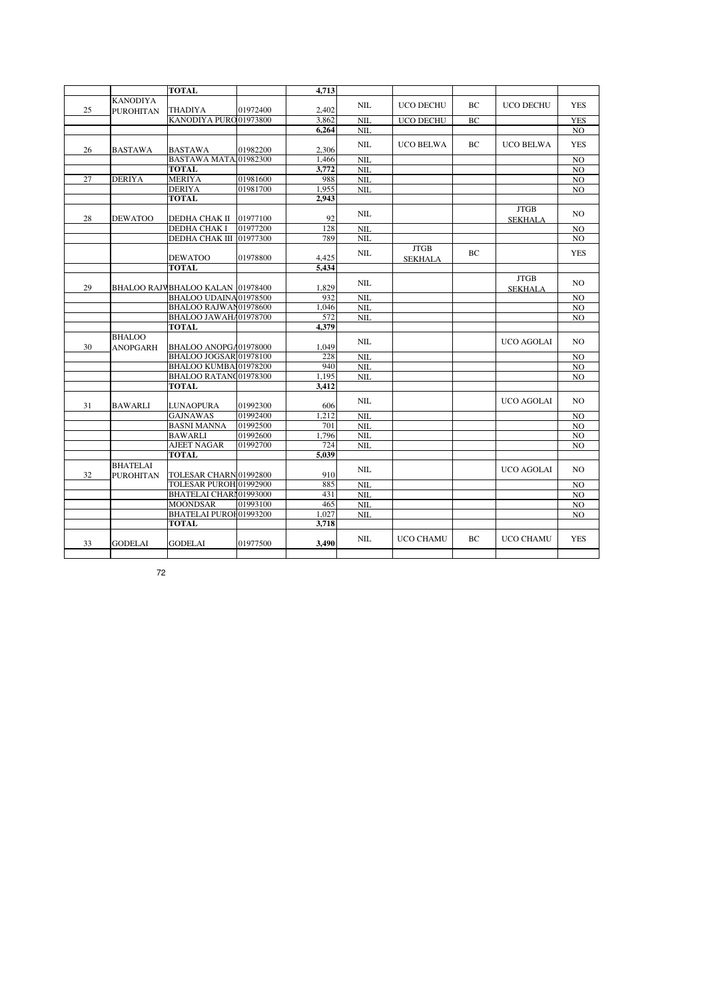|    |                  | <b>TOTAL</b>                     |          | 4,713 |            |                  |     |                   |                |
|----|------------------|----------------------------------|----------|-------|------------|------------------|-----|-------------------|----------------|
|    | <b>KANODIYA</b>  |                                  |          |       |            |                  |     |                   |                |
| 25 | <b>PUROHITAN</b> | <b>THADIYA</b>                   | 01972400 | 2,402 | NIL        | <b>UCO DECHU</b> | ВC  | UCO DECHU         | <b>YES</b>     |
|    |                  | KANODIYA PURO 01973800           |          | 3.862 | NIL        | <b>UCO DECHU</b> | BC  |                   | <b>YES</b>     |
|    |                  |                                  |          | 6.264 | <b>NIL</b> |                  |     |                   | NO.            |
|    |                  |                                  |          |       |            |                  |     |                   |                |
| 26 | <b>BASTAWA</b>   | <b>BASTAWA</b>                   | 01982200 | 2,306 | NIL        | <b>UCO BELWA</b> | BC. | <b>UCO BELWA</b>  | <b>YES</b>     |
|    |                  | BASTAWA MATA 01982300            |          | 1.466 | NIL        |                  |     |                   | N <sub>O</sub> |
|    |                  | <b>TOTAL</b>                     |          | 3,772 | <b>NIL</b> |                  |     |                   | N <sub>O</sub> |
| 27 | <b>DERIYA</b>    | <b>MERIYA</b>                    | 01981600 | 988   | NIL        |                  |     |                   | NO             |
|    |                  | <b>DERIYA</b>                    | 01981700 | 1,955 | NIL        |                  |     |                   |                |
|    |                  | <b>TOTAL</b>                     |          | 2.943 |            |                  |     |                   | N <sub>O</sub> |
|    |                  |                                  |          |       |            |                  |     |                   |                |
|    |                  |                                  |          | 92    | <b>NIL</b> |                  |     | <b>JTGB</b>       | N <sub>O</sub> |
| 28 | <b>DEWATOO</b>   | DEDHA CHAK II                    | 01977100 |       |            |                  |     | <b>SEKHALA</b>    |                |
|    |                  | DEDHA CHAK I                     | 01977200 | 128   | <b>NIL</b> |                  |     |                   | N <sub>O</sub> |
|    |                  | DEDHA CHAK III 01977300          |          | 789   | NIL        |                  |     |                   | N <sub>O</sub> |
|    |                  |                                  |          |       | <b>NIL</b> | <b>JTGB</b>      | BC  |                   | <b>YES</b>     |
|    |                  | <b>DEWATOO</b>                   | 01978800 | 4,425 |            | <b>SEKHALA</b>   |     |                   |                |
|    |                  | <b>TOTAL</b>                     |          | 5.434 |            |                  |     |                   |                |
|    |                  |                                  |          |       | <b>NIL</b> |                  |     | <b>JTGB</b>       | NO.            |
| 29 |                  | BHALOO RAJVBHALOO KALAN 01978400 |          | 1,829 |            |                  |     | <b>SEKHALA</b>    |                |
|    |                  | BHALOO UDAINA01978500            |          | 932   | <b>NIL</b> |                  |     |                   | N <sub>O</sub> |
|    |                  | BHALOO RAJWAN01978600            |          | 1,046 | <b>NIL</b> |                  |     |                   | NO             |
|    |                  | BHALOO JAWAHA01978700            |          | 572   | <b>NIL</b> |                  |     |                   | N <sub>O</sub> |
|    |                  | <b>TOTAL</b>                     |          | 4.379 |            |                  |     |                   |                |
|    | <b>BHALOO</b>    |                                  |          |       |            |                  |     |                   |                |
| 30 | <b>ANOPGARH</b>  | BHALOO ANOPGA01978000            |          | 1.049 | NIL        |                  |     | <b>UCO AGOLAI</b> | NO.            |
|    |                  | BHALOO JOGSAR 01978100           |          | 228   | NIL        |                  |     |                   | N <sub>O</sub> |
|    |                  | BHALOO KUMBA 01978200            |          | 940   | NIL        |                  |     |                   | N <sub>O</sub> |
|    |                  | BHALOO RATANQ01978300            |          | 1.195 | NIL        |                  |     |                   | N <sub>O</sub> |
|    |                  | <b>TOTAL</b>                     |          | 3,412 |            |                  |     |                   |                |
|    |                  |                                  |          |       |            |                  |     |                   |                |
| 31 | <b>BAWARLI</b>   | <b>LUNAOPURA</b>                 | 01992300 | 606   | <b>NIL</b> |                  |     | <b>UCO AGOLAI</b> | NO.            |
|    |                  |                                  |          |       |            |                  |     |                   |                |
|    |                  |                                  |          |       |            |                  |     |                   |                |
|    |                  | <b>GAJNAWAS</b>                  | 01992400 | 1.212 | <b>NIL</b> |                  |     |                   | N <sub>O</sub> |
|    |                  | <b>BASNI MANNA</b>               | 01992500 | 701   | NIL        |                  |     |                   | N <sub>O</sub> |
|    |                  | <b>BAWARLI</b>                   | 01992600 | 1,796 | <b>NIL</b> |                  |     |                   | NO             |
|    |                  | <b>AJEET NAGAR</b>               | 01992700 | 724   | <b>NIL</b> |                  |     |                   | N <sub>O</sub> |
|    |                  | <b>TOTAL</b>                     |          | 5.039 |            |                  |     |                   |                |
|    | <b>BHATELAI</b>  |                                  |          |       | NII.       |                  |     | <b>UCO AGOLAI</b> | N <sub>O</sub> |
| 32 | <b>PUROHITAN</b> | TOLESAR CHARN 01992800           |          | 910   |            |                  |     |                   |                |
|    |                  | TOLESAR PUROH 01992900           |          | 885   | <b>NIL</b> |                  |     |                   | N <sub>O</sub> |
|    |                  | BHATELAI CHARI 01993000          |          | 431   | <b>NIL</b> |                  |     |                   | NO             |
|    |                  | <b>MOONDSAR</b>                  | 01993100 | 465   | <b>NIL</b> |                  |     |                   | N <sub>O</sub> |
|    |                  | BHATELAI PUROI 01993200          |          | 1.027 | <b>NIL</b> |                  |     |                   | N <sub>O</sub> |
|    |                  | <b>TOTAL</b>                     |          | 3,718 |            |                  |     |                   |                |
|    |                  |                                  |          |       |            |                  |     |                   |                |
| 33 | <b>GODELAI</b>   | <b>GODELAI</b>                   | 01977500 | 3,490 | <b>NIL</b> | <b>UCO CHAMU</b> | BC  | <b>UCO CHAMU</b>  | <b>YES</b>     |

72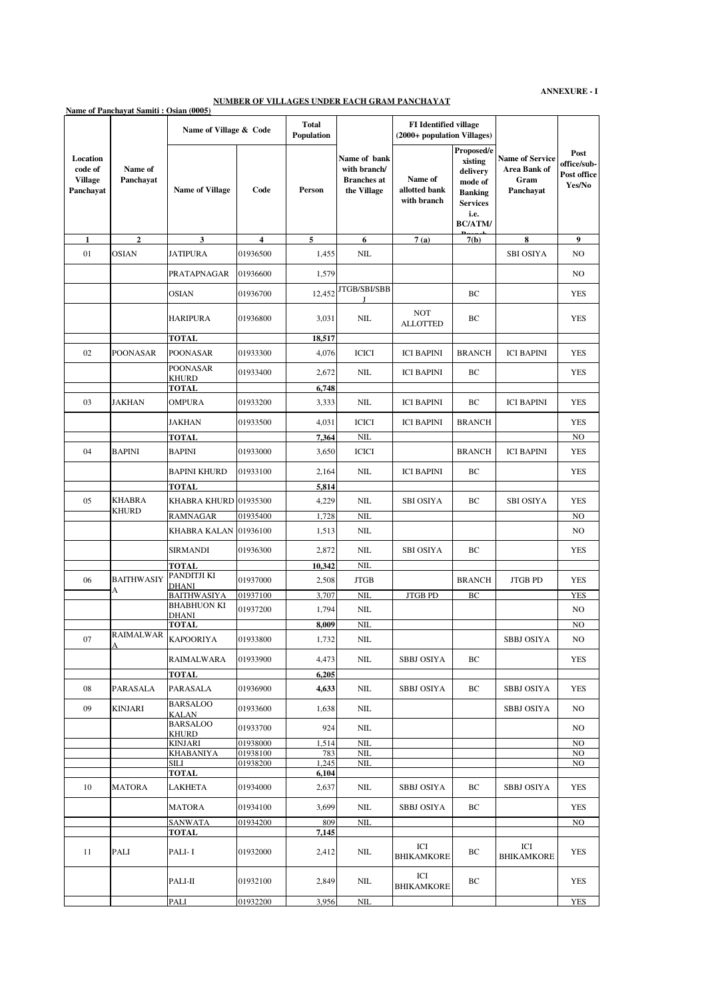#### **NUMBER OF VILLAGES UNDER EACH GRAM PANCHAYAT**

|                                                    | Name of Panchavat Samiti: Osian (0005)                             |                            |                         |                            |                                                                   |                                                             |                                                                                                             |                                                             |                                              |
|----------------------------------------------------|--------------------------------------------------------------------|----------------------------|-------------------------|----------------------------|-------------------------------------------------------------------|-------------------------------------------------------------|-------------------------------------------------------------------------------------------------------------|-------------------------------------------------------------|----------------------------------------------|
|                                                    |                                                                    | Name of Village & Code     |                         | <b>Total</b><br>Population |                                                                   | <b>FI</b> Identified village<br>(2000+ population Villages) |                                                                                                             |                                                             |                                              |
| Location<br>code of<br><b>Village</b><br>Panchayat | Name of<br>Panchayat                                               | <b>Name of Village</b>     | Code                    | Person                     | Name of bank<br>with branch/<br><b>Branches</b> at<br>the Village | Name of<br>allotted bank<br>with branch                     | Proposed/e<br>xisting<br>delivery<br>mode of<br><b>Banking</b><br><b>Services</b><br>i.e.<br><b>BC/ATM/</b> | <b>Name of Service</b><br>Area Bank of<br>Gram<br>Panchayat | Post<br>office/sub-<br>Post office<br>Yes/No |
| $\mathbf{1}$                                       | 2                                                                  | 3                          | $\overline{\mathbf{4}}$ | 5                          | 6                                                                 | 7(a)                                                        | 7(b)                                                                                                        | 8                                                           | 9                                            |
| 01                                                 | <b>OSIAN</b>                                                       | <b>JATIPURA</b>            | 01936500                | 1,455                      | <b>NIL</b>                                                        |                                                             |                                                                                                             | <b>SBI OSIYA</b>                                            | N <sub>O</sub>                               |
|                                                    |                                                                    | PRATAPNAGAR                | 01936600                | 1,579                      |                                                                   |                                                             |                                                                                                             |                                                             | N <sub>O</sub>                               |
|                                                    |                                                                    | <b>OSIAN</b>               | 01936700                | 12,452                     | JTGB/SBI/SBB                                                      |                                                             | BC                                                                                                          |                                                             | <b>YES</b>                                   |
|                                                    |                                                                    | HARIPURA                   | 01936800                | 3,031                      | <b>NIL</b>                                                        | <b>NOT</b><br><b>ALLOTTED</b>                               | BC                                                                                                          |                                                             | <b>YES</b>                                   |
|                                                    |                                                                    | <b>TOTAL</b>               |                         | 18,517                     |                                                                   |                                                             |                                                                                                             |                                                             |                                              |
| 02                                                 | <b>POONASAR</b>                                                    | POONASAR                   | 01933300                | 4,076                      | <b>ICICI</b>                                                      | <b>ICI BAPINI</b>                                           | <b>BRANCH</b>                                                                                               | <b>ICI BAPINI</b>                                           | YES                                          |
|                                                    |                                                                    | <b>POONASAR</b><br>KHURD   | 01933400                | 2,672                      | NIL                                                               | <b>ICI BAPINI</b>                                           | BC                                                                                                          |                                                             | YES                                          |
|                                                    |                                                                    | <b>TOTAL</b>               |                         | 6,748                      |                                                                   |                                                             |                                                                                                             |                                                             |                                              |
| 03                                                 | <b>JAKHAN</b>                                                      | OMPURA                     | 01933200                | 3,333                      | NIL                                                               | <b>ICI BAPINI</b>                                           | BC                                                                                                          | <b>ICI BAPINI</b>                                           | YES                                          |
|                                                    |                                                                    | JAKHAN                     | 01933500                | 4,031                      | <b>ICICI</b>                                                      | <b>ICI BAPINI</b>                                           | <b>BRANCH</b>                                                                                               |                                                             | <b>YES</b>                                   |
|                                                    |                                                                    | TOTAL                      |                         | 7,364                      | <b>NIL</b>                                                        |                                                             |                                                                                                             |                                                             | N <sub>O</sub>                               |
| 04                                                 | <b>BAPINI</b>                                                      | <b>BAPINI</b>              | 01933000                | 3,650                      | <b>ICICI</b>                                                      |                                                             | <b>BRANCH</b>                                                                                               | <b>ICI BAPINI</b>                                           | <b>YES</b>                                   |
|                                                    |                                                                    | <b>BAPINI KHURD</b>        | 01933100                | 2,164                      | NIL                                                               | <b>ICI BAPINI</b>                                           | BC                                                                                                          |                                                             | <b>YES</b>                                   |
|                                                    |                                                                    | <b>TOTAL</b>               |                         | 5,814                      |                                                                   |                                                             |                                                                                                             |                                                             |                                              |
| 05                                                 | <b>KHABRA</b><br>KHURD                                             | KHABRA KHURD 01935300      |                         | 4,229                      | $NIL$                                                             | <b>SBI OSIYA</b>                                            | BC                                                                                                          | <b>SBI OSIYA</b>                                            | YES                                          |
|                                                    |                                                                    | RAMNAGAR                   | 01935400                | 1,728                      | NIL                                                               |                                                             |                                                                                                             |                                                             | NO                                           |
|                                                    |                                                                    | KHABRA KALAN 01936100      |                         | 1,513                      | $\text{NIL}$                                                      |                                                             |                                                                                                             |                                                             | N <sub>O</sub>                               |
|                                                    |                                                                    | <b>SIRMANDI</b>            | 01936300                | 2,872                      | NIL                                                               | <b>SBI OSIYA</b>                                            | BC                                                                                                          |                                                             | YES                                          |
|                                                    |                                                                    | <b>TOTAL</b>               |                         | 10,342                     | <b>NIL</b>                                                        |                                                             |                                                                                                             |                                                             |                                              |
| 06                                                 | <b>BAITHWASIY</b>                                                  | PANDITJI KI                | 01937000                | 2,508                      | <b>JTGB</b>                                                       |                                                             | <b>BRANCH</b>                                                                                               | <b>JTGB PD</b>                                              | <b>YES</b>                                   |
|                                                    | A                                                                  | DHANI<br>BAITHWASIYA       | 01937100                | 3,707                      | NIL                                                               | <b>JTGB PD</b>                                              | BC                                                                                                          |                                                             | <b>YES</b>                                   |
|                                                    |                                                                    | BHABHUON KI                | 01937200                | 1,794                      | $NIL$                                                             |                                                             |                                                                                                             |                                                             | N <sub>O</sub>                               |
|                                                    |                                                                    | DHANI                      |                         |                            |                                                                   |                                                             |                                                                                                             |                                                             |                                              |
|                                                    |                                                                    | TOTAL                      |                         | 8,009                      | <b>NIL</b>                                                        |                                                             |                                                                                                             |                                                             | N <sub>O</sub>                               |
| 07                                                 | $\fbox{\texttt{RAIMALWAR}} \xspace \fbox{\texttt{KAPOORIYA}}$<br>A |                            | 01933800                | 1,732                      | $\rm NIL$                                                         |                                                             |                                                                                                             | <b>SBBJ OSIYA</b>                                           | NO                                           |
|                                                    |                                                                    | RAIMALWARA<br><b>TOTAL</b> | 01933900                | 4,473                      | NIL                                                               | <b>SBBJ OSIYA</b>                                           | BС                                                                                                          |                                                             | YES                                          |
|                                                    |                                                                    |                            |                         | 6,205                      |                                                                   |                                                             |                                                                                                             |                                                             |                                              |
| 08                                                 | PARASALA                                                           | PARASALA<br>BARSALOO       | 01936900                | 4,633                      | $\rm NIL$                                                         | <b>SBBJ OSIYA</b>                                           | ВC                                                                                                          | <b>SBBJ OSIYA</b>                                           | <b>YES</b>                                   |
| 09                                                 | KINJARI                                                            | KALAN                      | 01933600                | 1,638                      | NIL                                                               |                                                             |                                                                                                             | <b>SBBJ OSIYA</b>                                           | NO                                           |
|                                                    |                                                                    | BARSALOO<br>KHURD          | 01933700                | 924                        | NIL                                                               |                                                             |                                                                                                             |                                                             | NO.                                          |
|                                                    |                                                                    | KINJARI                    | 01938000                | 1,514                      | <b>NIL</b>                                                        |                                                             |                                                                                                             |                                                             | N <sub>O</sub>                               |
|                                                    |                                                                    | KHABANIYA                  | 01938100                | 783                        | NIL                                                               |                                                             |                                                                                                             |                                                             | NO.                                          |
|                                                    |                                                                    | SILI                       | 01938200                | 1,245                      | $\rm NIL$                                                         |                                                             |                                                                                                             |                                                             | NO                                           |
|                                                    |                                                                    | <b>TOTAL</b>               |                         | 6,104                      |                                                                   |                                                             |                                                                                                             |                                                             |                                              |
| 10                                                 | MATORA                                                             | <b>LAKHETA</b>             | 01934000                | 2,637                      | $\rm NIL$                                                         | <b>SBBJ OSIYA</b>                                           | ВC                                                                                                          | <b>SBBJ OSIYA</b>                                           | <b>YES</b>                                   |
|                                                    |                                                                    | MATORA<br>SANWATA          | 01934100<br>01934200    | 3,699<br>809               | $NIL$<br>NIL                                                      | <b>SBBJ OSIYA</b>                                           | BC                                                                                                          |                                                             | <b>YES</b><br>NO                             |
|                                                    |                                                                    | TOTAL                      |                         | 7,145                      |                                                                   |                                                             |                                                                                                             |                                                             |                                              |
| 11                                                 | PALI                                                               | PALI- I                    | 01932000                | 2,412                      | NIL                                                               | ICI<br><b>BHIKAMKORE</b>                                    | ВC                                                                                                          | ICI<br><b>BHIKAMKORE</b>                                    | <b>YES</b>                                   |
|                                                    |                                                                    | PALI-II                    | 01932100                | 2,849                      | NIL                                                               | ICI<br><b>BHIKAMKORE</b>                                    | ВC                                                                                                          |                                                             | <b>YES</b>                                   |
|                                                    |                                                                    | PALI                       | 01932200                | 3,956                      | $\text{NIL}$                                                      |                                                             |                                                                                                             |                                                             | <b>YES</b>                                   |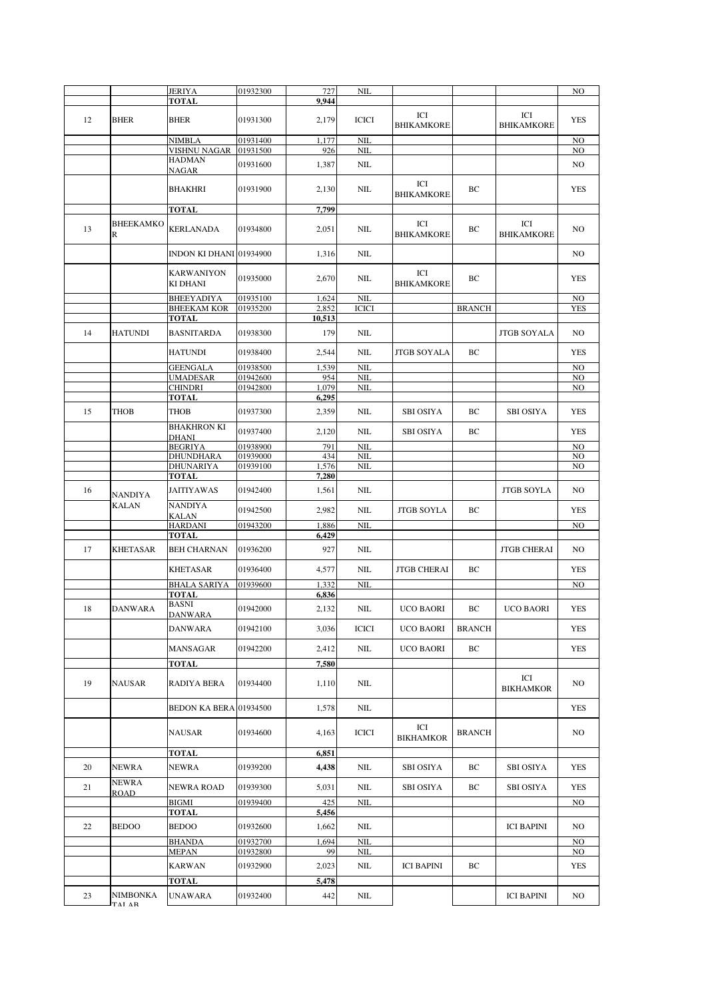|    |                                | <b>JERIYA</b>                       | 01932300             | 727             | NIL                        |                          |               |                          | N <sub>O</sub>                   |
|----|--------------------------------|-------------------------------------|----------------------|-----------------|----------------------------|--------------------------|---------------|--------------------------|----------------------------------|
|    |                                | <b>TOTAL</b>                        |                      | 9.944           |                            |                          |               |                          |                                  |
| 12 | <b>BHER</b>                    | <b>BHER</b>                         | 01931300             | 2,179           | <b>ICICI</b>               | ICI<br><b>BHIKAMKORE</b> |               | ICI<br><b>BHIKAMKORE</b> | <b>YES</b>                       |
|    |                                | NIMBLA                              | 01931400             | 1,177           | <b>NIL</b>                 |                          |               |                          | N <sub>O</sub>                   |
|    |                                | VISHNU NAGAR<br><b>HADMAN</b>       | 01931500             | 926             | <b>NIL</b>                 |                          |               |                          | NO                               |
|    |                                | NAGAR                               | 01931600             | 1,387           | $\text{NIL}$               | ICI                      |               |                          | N <sub>O</sub>                   |
|    |                                | <b>BHAKHRI</b><br><b>TOTAL</b>      | 01931900             | 2,130<br>7,799  | NIL                        | <b>BHIKAMKORE</b>        | ВC            |                          | <b>YES</b>                       |
|    |                                |                                     |                      |                 |                            |                          |               |                          |                                  |
| 13 | <b>BHEEKAMKO</b><br>R          | <b>KERLANADA</b>                    | 01934800             | 2,051           | <b>NIL</b>                 | ICI<br><b>BHIKAMKORE</b> | ВC            | ICI<br><b>BHIKAMKORE</b> | N <sub>O</sub>                   |
|    |                                | INDON KI DHANI 01934900             |                      | 1,316           | $NIL$                      |                          |               |                          | N <sub>O</sub>                   |
|    |                                | <b>KARWANIYON</b><br>KI DHANI       | 01935000             | 2,670           | NIL                        | ICI<br><b>BHIKAMKORE</b> | ВC            |                          | <b>YES</b>                       |
|    |                                | <b>BHEEY ADIYA</b>                  | 01935100<br>01935200 | 1,624           | <b>NIL</b><br><b>ICICI</b> |                          |               |                          | N <sub>O</sub><br><b>YES</b>     |
|    |                                | <b>BHEEKAM KOR</b><br><b>TOTAL</b>  |                      | 2,852<br>10,513 |                            |                          | <b>BRANCH</b> |                          |                                  |
| 14 | <b>HATUNDI</b>                 | <b>BASNITARDA</b>                   | 01938300             | 179             | NIL                        |                          |               | <b>JTGB SOYALA</b>       | NO.                              |
|    |                                | <b>HATUNDI</b>                      | 01938400             | 2,544           | <b>NIL</b>                 | <b>JTGB SOYALA</b>       | BC            |                          | <b>YES</b>                       |
|    |                                | <b>GEENGALA</b><br><b>UMADESAR</b>  | 01938500<br>01942600 | 1,539<br>954    | <b>NIL</b><br>NIL          |                          |               |                          | N <sub>O</sub><br>NO             |
|    |                                | <b>CHINDRI</b>                      | 01942800             | 1,079           | <b>NIL</b>                 |                          |               |                          | N <sub>O</sub>                   |
|    |                                | <b>TOTAL</b>                        |                      | 6,295           |                            |                          |               |                          |                                  |
| 15 | THOB                           | THOB<br><b>BHAKHRON KI</b>          | 01937300             | 2,359           | NIL                        | <b>SBI OSIYA</b>         | ВC            | <b>SBI OSIYA</b>         | YES                              |
|    |                                | <b>DHANI</b>                        | 01937400             | 2,120           | NIL                        | <b>SBI OSIYA</b>         | BC            |                          | <b>YES</b>                       |
|    |                                | <b>BEGRIYA</b><br><b>DHUNDHARA</b>  | 01938900<br>01939000 | 791<br>434      | <b>NIL</b><br><b>NIL</b>   |                          |               |                          | N <sub>O</sub><br>N <sub>O</sub> |
|    |                                | <b>DHUNARIYA</b>                    | 01939100             | 1,576           | <b>NIL</b>                 |                          |               |                          | N <sub>O</sub>                   |
|    |                                | <b>TOTAL</b>                        |                      | 7,280           |                            |                          |               |                          |                                  |
| 16 | <b>NANDIYA</b><br><b>KALAN</b> | <b>JAITIYAWAS</b>                   | 01942400             | 1,561           | $NIL$                      |                          |               | <b>JTGB SOYLA</b>        | N <sub>O</sub>                   |
|    |                                | <b>NANDIYA</b><br>KALAN             | 01942500             | 2,982           | $NIL$                      | <b>JTGB SOYLA</b>        | ВC            |                          | YES                              |
|    |                                | <b>HARDANI</b>                      | 01943200             | 1,886           | NIL                        |                          |               |                          | N <sub>O</sub>                   |
|    |                                | <b>TOTAL</b>                        |                      | 6,429           |                            |                          |               |                          |                                  |
| 17 | <b>KHETASAR</b>                | <b>BEH CHARNAN</b>                  | 01936200             | 927             | NIL                        |                          |               | <b>JTGB CHERAI</b>       | NO.                              |
|    |                                | <b>KHETASAR</b>                     | 01936400             | 4,577           | NIL                        | <b>JTGB CHERAI</b>       | BС            |                          | YES                              |
|    |                                | <b>BHALA SARIYA</b><br><b>TOTAL</b> | 01939600             | 1,332<br>6,836  | NIL                        |                          |               |                          | N <sub>O</sub>                   |
| 18 | <b>DANWARA</b>                 | <b>BASNI</b><br><b>DANWARA</b>      | 01942000             | 2,132           | $NIL$                      | <b>UCO BAORI</b>         | ВC            | <b>UCO BAORI</b>         | <b>YES</b>                       |
|    |                                | <b>DANWARA</b>                      | 01942100             | 3,036           | <b>ICICI</b>               | <b>UCO BAORI</b>         | <b>BRANCH</b> |                          | <b>YES</b>                       |
|    |                                | MANSAGAR                            | 01942200             | 2,412           | NIL                        | <b>UCO BAORI</b>         | ВC            |                          | <b>YES</b>                       |
|    |                                | <b>TOTAL</b>                        |                      | 7,580           |                            |                          |               |                          |                                  |
| 19 | NAUSAR                         | <b>RADIYA BERA</b>                  | 01934400             | 1,110           | NIL                        |                          |               | ICI<br><b>BIKHAMKOR</b>  | NO.                              |
|    |                                | BEDON KA BERA 01934500              |                      | 1,578           | $\rm NIL$                  |                          |               |                          | YES                              |
|    |                                | NAUSAR                              | 01934600             | 4,163           | ICICI                      | ICI<br><b>BIKHAMKOR</b>  | <b>BRANCH</b> |                          | NO.                              |
|    |                                | <b>TOTAL</b>                        |                      | 6,851           |                            |                          |               |                          |                                  |
| 20 | NEWRA<br><b>NEWRA</b>          | <b>NEWRA</b>                        | 01939200             | 4,438           | $\rm NIL$                  | <b>SBI OSIYA</b>         | ВC            | <b>SBI OSIYA</b>         | YES                              |
| 21 | ROAD                           | <b>NEWRA ROAD</b>                   | 01939300             | 5,031           | NIL                        | SBI OSIYA                | ВC            | <b>SBI OSIYA</b>         | <b>YES</b>                       |
|    |                                | <b>BIGMI</b>                        | 01939400             | 425             | NIL                        |                          |               |                          | NO                               |
| 22 | <b>BEDOO</b>                   | <b>TOTAL</b><br><b>BEDOO</b>        | 01932600             | 5,456<br>1,662  | NIL                        |                          |               | <b>ICI BAPINI</b>        | N <sub>O</sub>                   |
|    |                                | <b>BHANDA</b>                       | 01932700             | 1,694           | $\text{NIL}$               |                          |               |                          | N <sub>O</sub>                   |
|    |                                | MEPAN                               | 01932800             | 99              | <b>NIL</b>                 |                          |               |                          | NO                               |
|    |                                | KARWAN                              | 01932900             | 2,023           | NIL                        | <b>ICI BAPINI</b>        | ВC            |                          | YES                              |
|    |                                | TOTAL                               |                      | 5,478           |                            |                          |               |                          |                                  |
| 23 | NIMBONKA<br>TAI AR             | <b>UNAWARA</b>                      | 01932400             | 442             | NIL                        |                          |               | <b>ICI BAPINI</b>        | NO                               |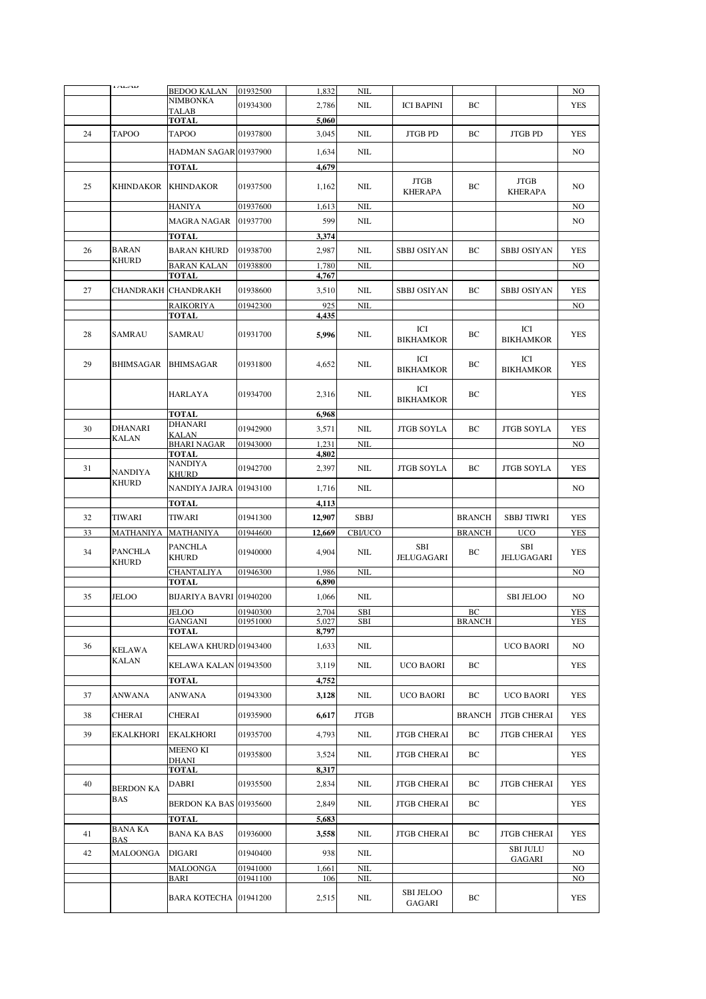|    | <b>IALAD</b>                   | <b>BEDOO KALAN</b>                      | 01932500 | 1,832          | NIL                       |                                          |               |                                  | NO                       |
|----|--------------------------------|-----------------------------------------|----------|----------------|---------------------------|------------------------------------------|---------------|----------------------------------|--------------------------|
|    |                                | <b>NIMBONKA</b>                         | 01934300 | 2,786          | NIL                       | <b>ICI BAPINI</b>                        | BС            |                                  | YES                      |
|    |                                | TALAB<br><b>TOTAL</b>                   |          | 5,060          |                           |                                          |               |                                  |                          |
| 24 | <b>TAPOO</b>                   | TAPOO                                   | 01937800 | 3,045          | <b>NIL</b>                | <b>JTGB PD</b>                           | BC            | <b>JTGB PD</b>                   | <b>YES</b>               |
|    |                                |                                         |          |                |                           |                                          |               |                                  |                          |
|    |                                | HADMAN SAGAR 01937900                   |          | 1,634          | NIL                       |                                          |               |                                  | N <sub>O</sub>           |
|    |                                | <b>TOTAL</b>                            |          | 4,679          |                           |                                          |               |                                  |                          |
| 25 | <b>KHINDAKOR</b>               | <b>KHINDAKOR</b>                        | 01937500 | 1,162          | NIL                       | <b>JTGB</b><br><b>KHERAPA</b>            | BC            | <b>JTGB</b><br><b>KHERAPA</b>    | NO.                      |
|    |                                | <b>HANIYA</b>                           | 01937600 | 1,613          | <b>NIL</b>                |                                          |               |                                  | N <sub>O</sub>           |
|    |                                | <b>MAGRA NAGAR</b>                      | 01937700 | 599            | <b>NIL</b>                |                                          |               |                                  | NO.                      |
|    |                                | <b>TOTAL</b>                            |          | 3,374          |                           |                                          |               |                                  |                          |
| 26 | <b>BARAN</b>                   | <b>BARAN KHURD</b>                      | 01938700 | 2,987          | <b>NIL</b>                | <b>SBBJ OSIYAN</b>                       | BC            | <b>SBBJ OSIYAN</b>               | <b>YES</b>               |
|    | <b>KHURD</b>                   | <b>BARAN KALAN</b>                      | 01938800 | 1,780          | <b>NIL</b>                |                                          |               |                                  | N <sub>O</sub>           |
|    |                                | <b>TOTAL</b>                            |          | 4,767          |                           |                                          |               |                                  |                          |
| 27 |                                | CHANDRAKH CHANDRAKH                     | 01938600 | 3,510          | <b>NIL</b>                | <b>SBBJ OSIYAN</b>                       | BC            | SBBJ OSIYAN                      | <b>YES</b>               |
|    |                                | <b>RAIKORIYA</b>                        | 01942300 | 925            | NIL                       |                                          |               |                                  | N <sub>O</sub>           |
|    |                                | <b>TOTAL</b>                            |          | 4,435          |                           |                                          |               |                                  |                          |
| 28 | SAMRAU                         | <b>SAMRAU</b>                           | 01931700 | 5,996          | NIL                       | ICI<br><b>BIKHAMKOR</b>                  | BC            | ICI<br><b>BIKHAMKOR</b>          | <b>YES</b>               |
| 29 | <b>BHIMSAGAR</b>               | <b>BHIMSAGAR</b>                        | 01931800 | 4,652          | NIL                       | ICI<br><b>BIKHAMKOR</b>                  | BC            | ICI<br><b>BIKHAMKOR</b>          | <b>YES</b>               |
|    |                                | <b>HARLAYA</b>                          | 01934700 | 2,316          | NIL                       | ICI<br><b>BIKHAMKOR</b>                  | BC            |                                  | <b>YES</b>               |
|    |                                | <b>TOTAL</b>                            |          | 6,968          |                           |                                          |               |                                  |                          |
| 30 | <b>DHANARI</b>                 | <b>DHANARI</b><br><b>KALAN</b>          | 01942900 | 3,571          | NIL                       | <b>JTGB SOYLA</b>                        | BC            | <b>JTGB SOYLA</b>                | <b>YES</b>               |
|    | <b>KALAN</b>                   | <b>BHARI NAGAR</b>                      | 01943000 | 1,231          | <b>NIL</b>                |                                          |               |                                  | N <sub>O</sub>           |
|    |                                | <b>TOTAL</b>                            |          | 4,802          |                           |                                          |               |                                  |                          |
| 31 | <b>NANDIYA</b>                 | NANDIYA<br><b>KHURD</b>                 | 01942700 | 2,397          | NIL                       | <b>JTGB SOYLA</b>                        | BC            | <b>JTGB SOYLA</b>                | <b>YES</b>               |
|    | <b>KHURD</b>                   | NANDIYA JAJRA 01943100                  |          | 1,716          | <b>NIL</b>                |                                          |               |                                  | N <sub>O</sub>           |
|    |                                |                                         |          |                |                           |                                          |               |                                  |                          |
|    |                                |                                         |          |                |                           |                                          |               |                                  |                          |
|    |                                | <b>TOTAL</b>                            |          | 4,113          |                           |                                          |               |                                  |                          |
| 32 | <b>TIWARI</b>                  | TIWARI                                  | 01941300 | 12,907         | <b>SBBJ</b>               |                                          | <b>BRANCH</b> | <b>SBBJ TIWRI</b>                | <b>YES</b>               |
| 33 | MATHANIYA                      | <b>MATHANIYA</b>                        | 01944600 | 12,669         | <b>CBI/UCO</b>            |                                          | <b>BRANCH</b> | <b>UCO</b>                       | <b>YES</b>               |
| 34 | <b>PANCHLA</b><br><b>KHURD</b> | <b>PANCHLA</b><br><b>KHURD</b>          | 01940000 | 4,904          | NIL                       | SBI<br><b>JELUGAGARI</b>                 | BC            | SBI<br>JELUGAGARI                | <b>YES</b>               |
|    |                                | <b>CHANTALIYA</b>                       | 01946300 | 1,986          | <b>NIL</b>                |                                          |               |                                  | N <sub>O</sub>           |
| 35 | JELOO                          | <b>TOTAL</b><br>BIJARIYA BAVRI 01940200 |          | 6,890<br>1,066 | NIL                       |                                          |               | <b>SBI JELOO</b>                 | NO.                      |
|    |                                | <b>JELOO</b>                            | 01940300 | 2,704          | SBI                       |                                          | BC            |                                  | <b>YES</b>               |
|    |                                | <b>GANGANI</b><br><b>TOTAL</b>          | 01951000 | 5,027<br>8,797 | SBI                       |                                          | BRANCH        |                                  | <b>YES</b>               |
| 36 | KELAWA                         | KELAWA KHURD 01943400                   |          | 1,633          | <b>NIL</b>                |                                          |               | <b>UCO BAORI</b>                 | NO.                      |
|    | KALAN                          | KELAWA KALAN 01943500                   |          | 3,119          | <b>NIL</b>                | <b>UCO BAORI</b>                         | BC            |                                  | <b>YES</b>               |
|    |                                | TOTAL                                   |          | 4,752          |                           |                                          |               |                                  |                          |
| 37 | <b>ANWANA</b>                  | ANWANA                                  | 01943300 | 3,128          | $NIL$                     | <b>UCO BAORI</b>                         | ВC            | <b>UCO BAORI</b>                 | <b>YES</b>               |
| 38 | CHERAI                         | <b>CHERAI</b>                           | 01935900 | 6,617          | <b>JTGB</b>               |                                          | <b>BRANCH</b> | <b>JTGB CHERAI</b>               | <b>YES</b>               |
| 39 | EKALKHORI                      | <b>EKALKHORI</b>                        | 01935700 | 4,793          | <b>NIL</b>                | <b>JTGB CHERAI</b>                       | ВC            | <b>JTGB CHERAI</b>               | <b>YES</b>               |
|    |                                | <b>MEENO KI</b>                         |          |                |                           |                                          |               |                                  |                          |
|    |                                | <b>DHANI</b>                            | 01935800 | 3,524          | NIL                       | <b>JTGB CHERAI</b>                       | ВC            |                                  | YES                      |
|    |                                | TOTAL                                   |          | 8,317          |                           |                                          |               |                                  |                          |
| 40 | <b>BERDON KA</b><br>BAS        | DABRI<br><b>BERDON KA BAS 01935600</b>  | 01935500 | 2,834<br>2,849 | $\text{NIL}$<br>$\rm NIL$ | <b>JTGB CHERAI</b><br><b>JTGB CHERAI</b> | ВC<br>ВC      | <b>JTGB CHERAI</b>               | <b>YES</b><br><b>YES</b> |
|    |                                | <b>TOTAL</b>                            |          | 5,683          |                           |                                          |               |                                  |                          |
| 41 | <b>BANA KA</b>                 | <b>BANA KA BAS</b>                      | 01936000 | 3,558          | $\text{NIL}$              | <b>JTGB CHERAI</b>                       | ВC            | <b>JTGB CHERAI</b>               | <b>YES</b>               |
| 42 | <b>BAS</b><br>MALOONGA         | <b>DIGARI</b>                           | 01940400 | 938            | NIL                       |                                          |               | <b>SBI JULU</b><br><b>GAGARI</b> | NO.                      |
|    |                                | MALOONGA                                | 01941000 | 1,661          | NIL                       |                                          |               |                                  | NO                       |
|    |                                | BARI                                    | 01941100 | 106            | <b>NIL</b>                | <b>SBI JELOO</b>                         |               |                                  | N <sub>O</sub>           |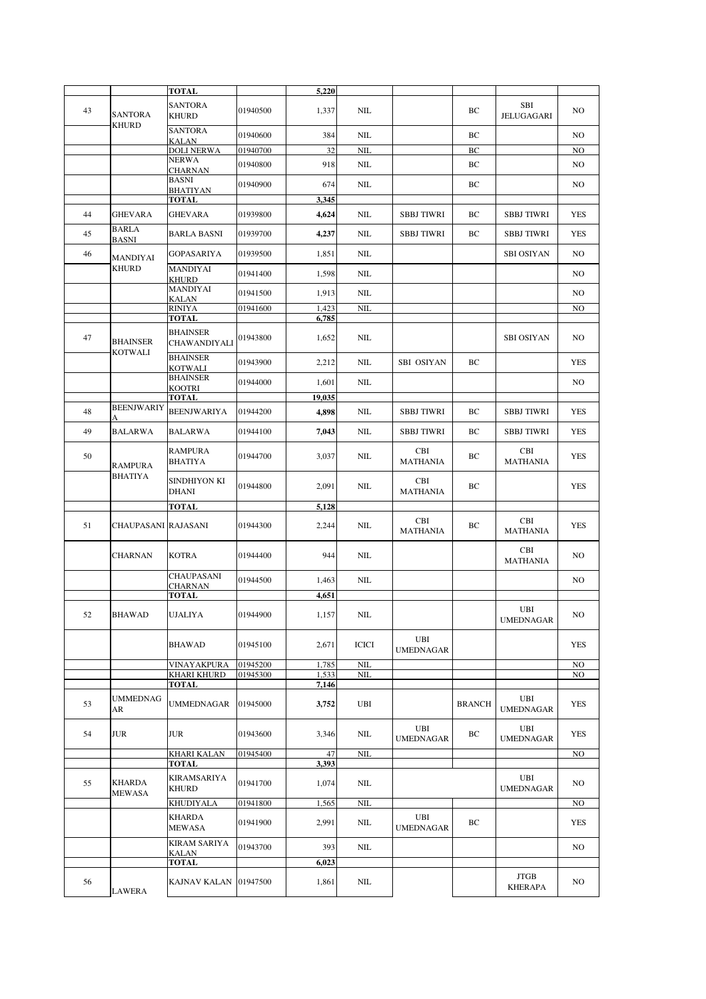|    |                                   | TOTAL                             |          | 5,220          |           |                               |               |                               |                |
|----|-----------------------------------|-----------------------------------|----------|----------------|-----------|-------------------------------|---------------|-------------------------------|----------------|
| 43 | SANTORA                           | SANTORA<br><b>KHURD</b>           | 01940500 | 1,337          | NIL       |                               | BC            | SBI<br>JELUGAGARI             | NO.            |
|    | <b>KHURD</b>                      | <b>SANTORA</b><br>KALAN           | 01940600 | 384            | $NIL$     |                               | BC            |                               | NO.            |
|    |                                   | <b>DOLI NERWA</b>                 | 01940700 | 32             | NIL       |                               | BC            |                               | N <sub>O</sub> |
|    |                                   | <b>NERWA</b><br><b>CHARNAN</b>    | 01940800 | 918            | $\rm NIL$ |                               | BC            |                               | NO             |
|    |                                   | <b>BASNI</b><br>BHATIYAN          | 01940900 | 674            | $NIL$     |                               | BC            |                               | NO             |
|    |                                   | TOTAL                             |          | 3,345          |           |                               |               |                               |                |
| 44 | GHEVARA<br><b>BARLA</b>           | GHEVARA                           | 01939800 | 4,624          | NIL       | <b>SBBJ TIWRI</b>             | BC            | <b>SBBJ TIWRI</b>             | <b>YES</b>     |
| 45 | <b>BASNI</b>                      | BARLA BASNI                       | 01939700 | 4,237          | $\rm NIL$ | <b>SBBJ TIWRI</b>             | BC            | <b>SBBJ TIWRI</b>             | <b>YES</b>     |
| 46 | <b>MANDIYAI</b>                   | <b>GOPASARIYA</b>                 | 01939500 | 1,851          | $\rm NIL$ |                               |               | <b>SBI OSIYAN</b>             | NO.            |
|    | <b>KHURD</b>                      | MANDIYAI<br><b>KHURD</b>          | 01941400 | 1,598          | $NIL$     |                               |               |                               | NO.            |
|    |                                   | MANDIYAI<br>KALAN                 | 01941500 | 1,913          | $NIL$     |                               |               |                               | NO.            |
|    |                                   | <b>RINIYA</b><br><b>TOTAL</b>     | 01941600 | 1,423<br>6,785 | NIL       |                               |               |                               | NO             |
| 47 | <b>BHAINSER</b><br><b>KOTWALI</b> | <b>BHAINSER</b><br>CHAWANDIYALI   | 01943800 | 1,652          | NIL       |                               |               | <b>SBI OSIYAN</b>             | NO.            |
|    |                                   | <b>BHAINSER</b><br><b>KOTWALI</b> | 01943900 | 2,212          | $NIL$     | SBI OSIYAN                    | BC            |                               | <b>YES</b>     |
|    |                                   | <b>BHAINSER</b><br>KOOTRI         | 01944000 | 1,601          | $NIL$     |                               |               |                               | NO.            |
|    |                                   | <b>TOTAL</b>                      |          | 19,035         |           |                               |               |                               |                |
| 48 | <b>BEENJWARIY</b>                 | BEENJWARIYA                       | 01944200 | 4,898          | $NIL$     | <b>SBBJ TIWRI</b>             | BC            | <b>SBBJ TIWRI</b>             | <b>YES</b>     |
| 49 | <b>BALARWA</b>                    | BALARWA                           | 01944100 | 7,043          | $NIL$     | <b>SBBJ TIWRI</b>             | BC            | <b>SBBJ TIWRI</b>             | <b>YES</b>     |
| 50 | <b>RAMPURA</b>                    | <b>RAMPURA</b><br>BHATIYA         | 01944700 | 3,037          | $\rm NIL$ | <b>CBI</b><br><b>MATHANIA</b> | BC            | CBI<br><b>MATHANIA</b>        | <b>YES</b>     |
|    | <b>BHATIYA</b>                    | SINDHIYON KI<br>DHANI             | 01944800 | 2,091          | NIL       | CBI<br><b>MATHANIA</b>        | BC            |                               | <b>YES</b>     |
|    |                                   | TOTAL                             |          | 5,128          |           |                               |               |                               |                |
| 51 | CHAUPASANI RAJASANI               |                                   | 01944300 | 2,244          | $\rm NIL$ | CBI<br><b>MATHANIA</b>        | BC            | CBI<br><b>MATHANIA</b>        | <b>YES</b>     |
|    | CHARNAN                           | <b>KOTRA</b>                      | 01944400 | 944            | NIL       |                               |               | CBI<br><b>MATHANIA</b>        | NO.            |
|    |                                   | CHAUPASANI                        | 01944500 | 1,463          | $NIL$     |                               |               |                               | NO.            |
|    |                                   | <b>CHARNAN</b><br><b>TOTAL</b>    |          | 4,651          |           |                               |               |                               |                |
| 52 | <b>BHAWAD</b>                     | <b>UJALIYA</b>                    | 01944900 | 1,157          | NIL       |                               |               | UBI<br>UMEDNAGAR              | NO.            |
|    |                                   | BHAWAD                            | 01945100 | 2,671          | ICICI     | UBI<br><b>UMEDNAGAR</b>       |               |                               | <b>YES</b>     |
|    |                                   | VINAYAKPURA                       | 01945200 | 1,785          | NIL       |                               |               |                               | NO.            |
|    |                                   | KHARI KHURD                       | 01945300 | 1,533          | $NIL$     |                               |               |                               | NO             |
|    |                                   | TOTAL                             |          | 7,146          |           |                               |               |                               |                |
| 53 | <b>UMMEDNAG</b><br>AR             | UMMEDNAGAR                        | 01945000 | 3,752          | UBI       |                               | <b>BRANCH</b> | UBI<br><b>UMEDNAGAR</b>       | <b>YES</b>     |
| 54 | JUR                               | JUR                               | 01943600 | 3,346          | NIL       | UBI<br><b>UMEDNAGAR</b>       | BC            | UBI<br><b>UMEDNAGAR</b>       | YES            |
|    |                                   | KHARI KALAN                       | 01945400 | 47             | NIL       |                               |               |                               | NO.            |
|    |                                   | TOTAL                             |          | 3,393          |           |                               |               |                               |                |
| 55 | KHARDA<br>MEWASA                  | KIRAMSARIYA<br><b>KHURD</b>       | 01941700 | 1,074          | $NIL$     |                               |               | UBI<br><b>UMEDNAGAR</b>       | NO.            |
|    |                                   | KHUDIYALA                         | 01941800 | 1,565          | NIL       |                               |               |                               | NO.            |
|    |                                   | KHARDA<br>MEWASA                  | 01941900 | 2,991          | NIL       | UBI<br><b>UMEDNAGAR</b>       | BC            |                               | YES            |
|    |                                   | <b>KIRAM SARIYA</b><br>KALAN      | 01943700 | 393            | NIL       |                               |               |                               | NO.            |
|    |                                   | TOTAL                             |          | 6,023          |           |                               |               |                               |                |
| 56 | LAWERA                            | KAJNAV KALAN   01947500           |          | 1,861          | $\rm NIL$ |                               |               | <b>JTGB</b><br><b>KHERAPA</b> | NO.            |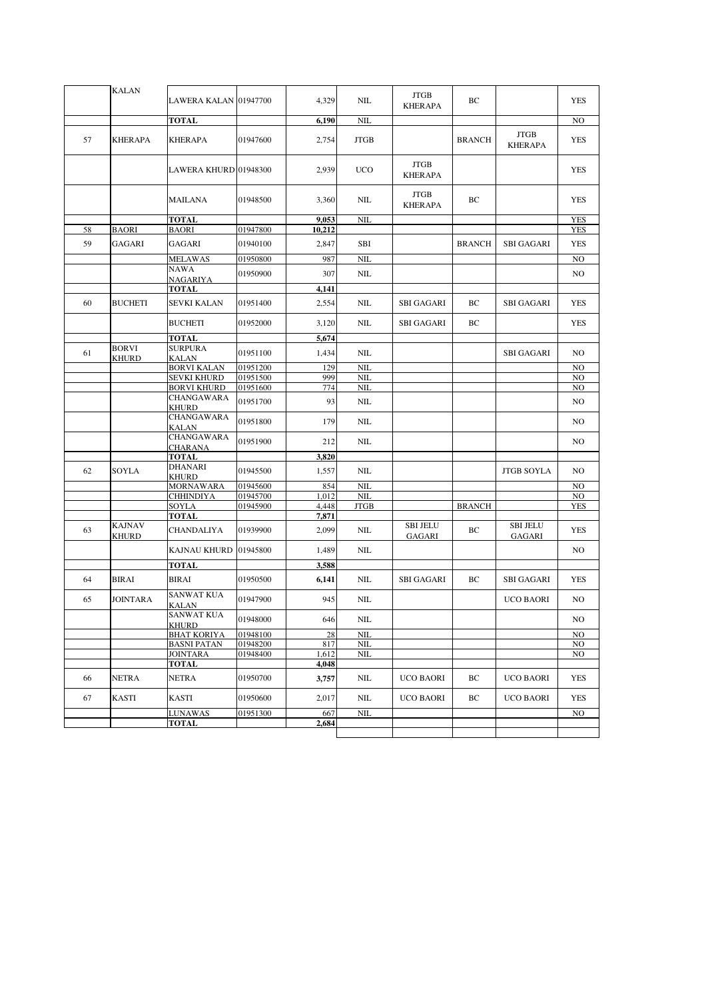|    | <b>KALAN</b>           | LAWERA KALAN 01947700                |                      | 4,329        | NIL          | <b>JTGB</b><br><b>KHERAPA</b> | BC            |                               | <b>YES</b>     |
|----|------------------------|--------------------------------------|----------------------|--------------|--------------|-------------------------------|---------------|-------------------------------|----------------|
|    |                        | <b>TOTAL</b>                         |                      | 6,190        | <b>NIL</b>   |                               |               |                               | N <sub>O</sub> |
| 57 | <b>KHERAPA</b>         | <b>KHERAPA</b>                       | 01947600             | 2,754        | <b>JTGB</b>  |                               | <b>BRANCH</b> | <b>JTGB</b><br><b>KHERAPA</b> | YES            |
|    |                        | LAWERA KHURD 01948300                |                      | 2,939        | <b>UCO</b>   | <b>JTGB</b><br><b>KHERAPA</b> |               |                               | <b>YES</b>     |
|    |                        | MAILANA                              | 01948500             | 3,360        | NIL          | <b>JTGB</b><br><b>KHERAPA</b> | ВC            |                               | <b>YES</b>     |
|    |                        | TOTAL                                |                      | 9,053        | NIL          |                               |               |                               | <b>YES</b>     |
| 58 | <b>BAORI</b>           | <b>BAORI</b>                         | 01947800             | 10,212       |              |                               |               |                               | <b>YES</b>     |
| 59 | GAGARI                 | GAGARI                               | 01940100             | 2,847        | SBI          |                               | <b>BRANCH</b> | <b>SBI GAGARI</b>             | <b>YES</b>     |
|    |                        | <b>MELAWAS</b>                       | 01950800             | 987          | <b>NIL</b>   |                               |               |                               | N <sub>O</sub> |
|    |                        | NAWA<br>NAGARIYA                     | 01950900             | 307          | $NIL$        |                               |               |                               | N <sub>O</sub> |
|    |                        | <b>TOTAL</b>                         |                      | 4,141        |              |                               |               |                               |                |
| 60 | <b>BUCHETI</b>         | <b>SEVKI KALAN</b>                   | 01951400             | 2,554        | <b>NIL</b>   | <b>SBI GAGARI</b>             | ВC            | <b>SBI GAGARI</b>             | YES            |
|    |                        | <b>BUCHETI</b>                       | 01952000             | 3,120        | <b>NIL</b>   | <b>SBI GAGARI</b>             | ВC            |                               | <b>YES</b>     |
|    |                        | TOTAL                                |                      | 5,674        |              |                               |               |                               |                |
| 61 | <b>BORVI</b><br>KHURD  | <b>SURPURA</b><br><b>KALAN</b>       | 01951100             | 1,434        | NIL          |                               |               | <b>SBI GAGARI</b>             | NO.            |
|    |                        | <b>BORVI KALAN</b>                   | 01951200             | 129          | <b>NIL</b>   |                               |               |                               | N <sub>O</sub> |
|    |                        | <b>SEVKI KHURD</b>                   | 01951500             | 999          | <b>NIL</b>   |                               |               |                               | N <sub>O</sub> |
|    |                        | <b>BORVI KHURD</b>                   | 01951600             | 774          | <b>NIL</b>   |                               |               |                               | N <sub>O</sub> |
|    |                        | CHANGAWARA<br>KHURD                  | 01951700             | 93           | NIL          |                               |               |                               | N <sub>O</sub> |
|    |                        | CHANGAWARA<br>KALAN                  | 01951800             | 179          | NIL          |                               |               |                               | NO.            |
|    |                        | CHANGAWARA<br><b>CHARANA</b>         | 01951900             | 212          | NIL          |                               |               |                               | NO.            |
|    |                        | <b>TOTAL</b>                         |                      | 3,820        |              |                               |               |                               |                |
| 62 | SOYLA                  | <b>DHANARI</b>                       | 01945500             | 1,557        | NIL          |                               |               | <b>JTGB SOYLA</b>             | N <sub>O</sub> |
|    |                        | KHURD                                |                      |              | NIL          |                               |               |                               | N <sub>O</sub> |
|    |                        | <b>MORNAWARA</b><br><b>CHHINDIYA</b> | 01945600<br>01945700 | 854<br>1,012 | <b>NIL</b>   |                               |               |                               | N <sub>O</sub> |
|    |                        | SOYLA                                | 01945900             | 4,448        | <b>JTGB</b>  |                               | <b>BRANCH</b> |                               | <b>YES</b>     |
|    |                        | <b>TOTAL</b>                         |                      | 7,871        |              |                               |               |                               |                |
| 63 | <b>KAJNAV</b><br>KHURD | <b>CHANDALIYA</b>                    | 01939900             | 2,099        | NIL          | <b>SBI JELU</b><br>GAGARI     | ВC            | <b>SBI JELU</b><br>GAGARI     | <b>YES</b>     |
|    |                        | KAJNAU KHURD                         | 01945800             | 1,489        | <b>NIL</b>   |                               |               |                               | N <sub>O</sub> |
|    |                        | <b>TOTAL</b>                         |                      | 3,588        |              |                               |               |                               |                |
| 64 | <b>BIRAI</b>           | <b>BIRAI</b>                         | 01950500             | 6,141        | <b>NIL</b>   | <b>SBI GAGARI</b>             | ВC            | <b>SBI GAGARI</b>             | <b>YES</b>     |
| 65 | <b>JOINTARA</b>        | <b>SANWAT KUA</b><br><b>KALAN</b>    | 01947900             | 945          | NIL          |                               |               | <b>UCO BAORI</b>              | N <sub>O</sub> |
|    |                        | SANWAT KUA<br><b>KHURD</b>           | 01948000             | 646          | NIL          |                               |               |                               | NO             |
|    |                        | <b>BHAT KORIYA</b>                   | 01948100             | 28           | NIL          |                               |               |                               | NO             |
|    |                        | <b>BASNI PATAN</b>                   | 01948200             | 817          | <b>NIL</b>   |                               |               |                               | N <sub>O</sub> |
|    |                        | <b>JOINTARA</b>                      | 01948400             | 1,612        | NIL          |                               |               |                               | NO.            |
|    |                        | <b>TOTAL</b>                         |                      | 4,048        |              |                               |               |                               |                |
| 66 | <b>NETRA</b>           | <b>NETRA</b>                         | 01950700             | 3,757        | $\text{NIL}$ | <b>UCO BAORI</b>              | ВC            | <b>UCO BAORI</b>              | <b>YES</b>     |
| 67 | KASTI                  | KASTI                                | 01950600             | 2,017        | $NIL$        | <b>UCO BAORI</b>              | BC            | UCO BAORI                     | YES            |
|    |                        | <b>LUNAWAS</b>                       | 01951300             | 667          | $\text{NIL}$ |                               |               |                               | NO             |
|    |                        | <b>TOTAL</b>                         |                      | 2,684        |              |                               |               |                               |                |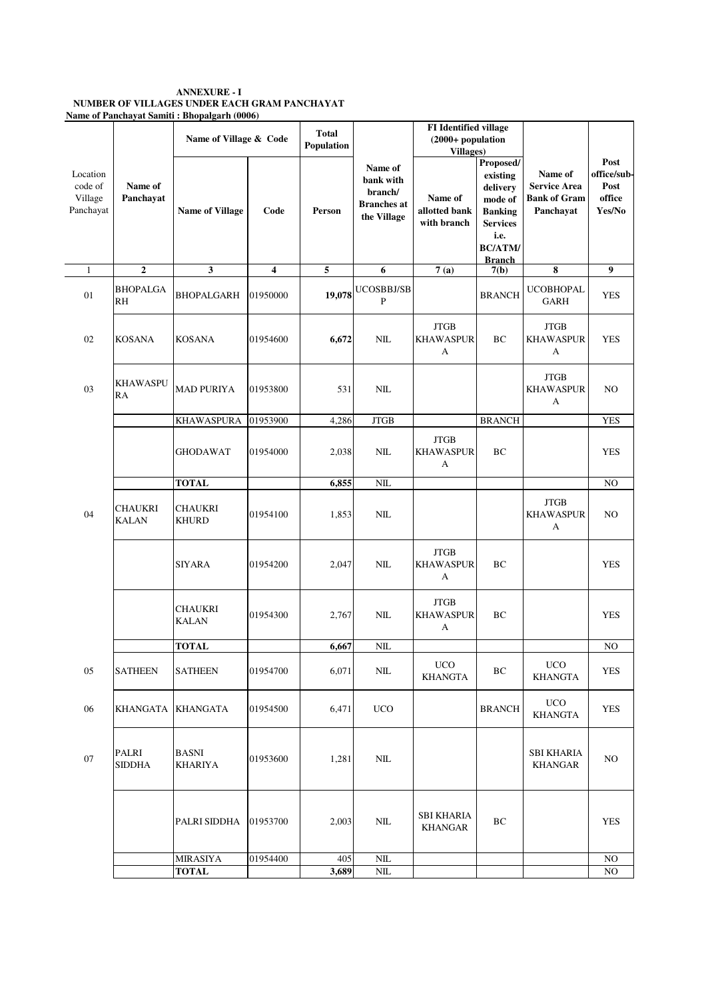### **ANNEXURE - I NUMBER OF VILLAGES UNDER EACH GRAM PANCHAYAT Name of Panchayat Samiti : Bhopalgarh (0006)**

|                                             |                                | Name of Village & Code         |          | <b>Total</b><br>Population |                                                                      | <b>FI</b> Identified village<br>(2000+ population<br><b>Villages</b> ) |                                                                                                                              |                                                                    |                                                 |
|---------------------------------------------|--------------------------------|--------------------------------|----------|----------------------------|----------------------------------------------------------------------|------------------------------------------------------------------------|------------------------------------------------------------------------------------------------------------------------------|--------------------------------------------------------------------|-------------------------------------------------|
| Location<br>code of<br>Village<br>Panchayat | Name of<br>Panchayat           | <b>Name of Village</b>         | Code     | Person                     | Name of<br>bank with<br>branch/<br><b>Branches</b> at<br>the Village | Name of<br>allotted bank<br>with branch                                | Proposed/<br>existing<br>delivery<br>mode of<br><b>Banking</b><br><b>Services</b><br>i.e.<br><b>BC/ATM/</b><br><b>Branch</b> | Name of<br><b>Service Area</b><br><b>Bank of Gram</b><br>Panchayat | Post<br>office/sub-<br>Post<br>office<br>Yes/No |
| $\mathbf{1}$                                | $\mathbf{2}$                   | 3                              | 4        | 5                          | 6                                                                    | 7(a)                                                                   | 7(b)                                                                                                                         | 8                                                                  | 9                                               |
| 01                                          | <b>BHOPALGA</b><br>RH          | <b>BHOPALGARH</b>              | 01950000 | 19,078                     | UCOSBBJ/SB<br>P                                                      |                                                                        | <b>BRANCH</b>                                                                                                                | <b>UCOBHOPAL</b><br><b>GARH</b>                                    | <b>YES</b>                                      |
| 02                                          | <b>KOSANA</b>                  | <b>KOSANA</b>                  | 01954600 | 6,672                      | $NIL$                                                                | <b>JTGB</b><br><b>KHAWASPUR</b><br>A                                   | BC                                                                                                                           | <b>JTGB</b><br><b>KHAWASPUR</b><br>А                               | <b>YES</b>                                      |
| 03                                          | <b>KHAWASPU</b><br>RA          | <b>MAD PURIYA</b>              | 01953800 | 531                        | NIL                                                                  |                                                                        |                                                                                                                              | <b>JTGB</b><br><b>KHAWASPUR</b><br>A                               | N <sub>O</sub>                                  |
|                                             |                                | <b>KHAWASPURA</b>              | 01953900 | 4,286                      | <b>JTGB</b>                                                          |                                                                        | <b>BRANCH</b>                                                                                                                |                                                                    | <b>YES</b>                                      |
|                                             |                                | <b>GHODAWAT</b>                | 01954000 | 2,038                      | NIL                                                                  | <b>JTGB</b><br><b>KHAWASPUR</b><br>A                                   | BC                                                                                                                           |                                                                    | <b>YES</b>                                      |
|                                             |                                | <b>TOTAL</b>                   |          | 6,855                      | NIL                                                                  |                                                                        |                                                                                                                              |                                                                    | NO                                              |
| 04                                          | <b>CHAUKRI</b><br><b>KALAN</b> | <b>CHAUKRI</b><br><b>KHURD</b> | 01954100 | 1,853                      | NIL                                                                  |                                                                        |                                                                                                                              | <b>JTGB</b><br><b>KHAWASPUR</b><br>A                               | N <sub>O</sub>                                  |
|                                             |                                | SIYARA                         | 01954200 | 2,047                      | NIL                                                                  | <b>JTGB</b><br><b>KHAWASPUR</b><br>A                                   | BC                                                                                                                           |                                                                    | <b>YES</b>                                      |
|                                             |                                | <b>CHAUKRI</b><br><b>KALAN</b> | 01954300 | 2,767                      | NIL                                                                  | <b>JTGB</b><br><b>KHAWASPUR</b><br>A                                   | BC                                                                                                                           |                                                                    | <b>YES</b>                                      |
|                                             |                                | <b>TOTAL</b>                   |          | 6,667                      | NIL                                                                  |                                                                        |                                                                                                                              |                                                                    | NO                                              |
| 05                                          | <b>SATHEEN</b>                 | <b>SATHEEN</b>                 | 01954700 | 6,071                      | $NIL$                                                                | <b>UCO</b><br><b>KHANGTA</b>                                           | BC                                                                                                                           | <b>UCO</b><br><b>KHANGTA</b>                                       | <b>YES</b>                                      |
| 06                                          | KHANGATA                       | <b>KHANGATA</b>                | 01954500 | 6,471                      | <b>UCO</b>                                                           |                                                                        | <b>BRANCH</b>                                                                                                                | <b>UCO</b><br><b>KHANGTA</b>                                       | <b>YES</b>                                      |
| 07                                          | PALRI<br><b>SIDDHA</b>         | BASNI<br><b>KHARIYA</b>        | 01953600 | 1,281                      | $\rm NIL$                                                            |                                                                        |                                                                                                                              | <b>SBI KHARIA</b><br>KHANGAR                                       | NO                                              |
|                                             |                                | PALRI SIDDHA                   | 01953700 | 2,003                      | <b>NIL</b>                                                           | SBI KHARIA<br><b>KHANGAR</b>                                           | BC                                                                                                                           |                                                                    | <b>YES</b>                                      |
|                                             |                                | <b>MIRASIYA</b>                | 01954400 | 405                        | $NIL$                                                                |                                                                        |                                                                                                                              |                                                                    | NO                                              |
|                                             |                                | <b>TOTAL</b>                   |          | 3,689                      | $NIL$                                                                |                                                                        |                                                                                                                              |                                                                    | NO                                              |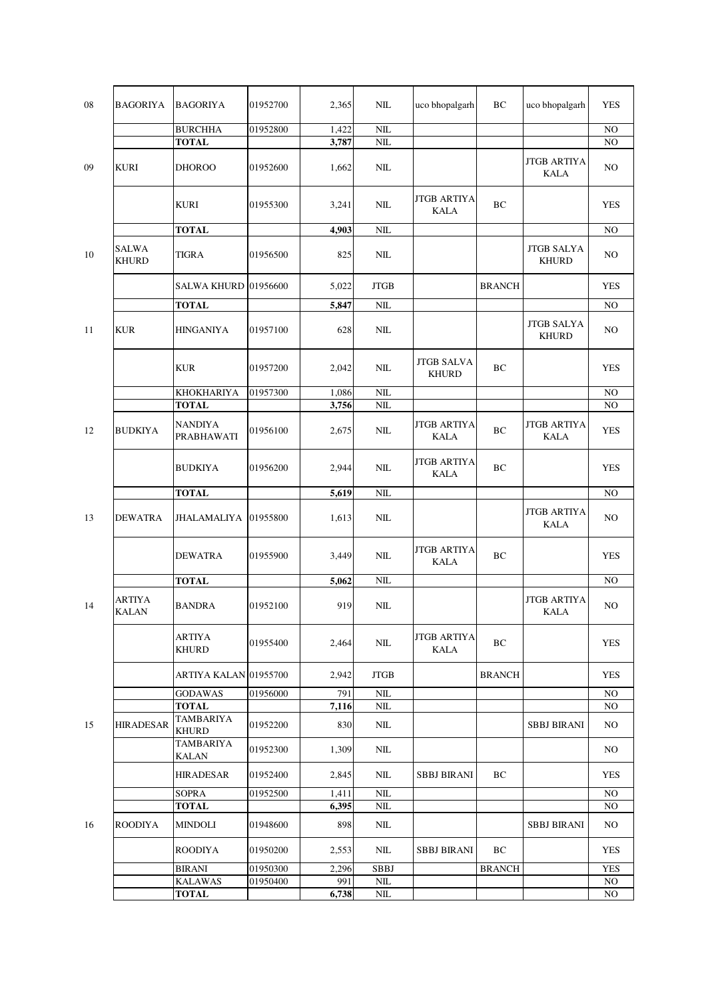| 08 | BAGORIYA                     | <b>BAGORIYA</b>                | 01952700 | 2,365        | NIL                     | uco bhopalgarh                    | BC            | uco bhopalgarh                    | <b>YES</b>     |
|----|------------------------------|--------------------------------|----------|--------------|-------------------------|-----------------------------------|---------------|-----------------------------------|----------------|
|    |                              | <b>BURCHHA</b>                 | 01952800 | 1,422        | $\rm NIL$               |                                   |               |                                   | NO             |
|    |                              | <b>TOTAL</b>                   |          | 3,787        | $\rm NIL$               |                                   |               |                                   | NO             |
| 09 | <b>KURI</b>                  | <b>DHOROO</b>                  | 01952600 | 1,662        | NIL                     |                                   |               | JTGB ARTIYA<br><b>KALA</b>        | NO             |
|    |                              | <b>KURI</b>                    | 01955300 | 3,241        | NIL                     | <b>JTGB ARTIYA</b><br><b>KALA</b> | BC            |                                   | <b>YES</b>     |
|    |                              | <b>TOTAL</b>                   |          | 4,903        | NIL                     |                                   |               |                                   | NO             |
| 10 | <b>SALWA</b><br><b>KHURD</b> | <b>TIGRA</b>                   | 01956500 | 825          | $\text{NIL}$            |                                   |               | <b>JTGB SALYA</b><br><b>KHURD</b> | NO             |
|    |                              | <b>SALWA KHURD</b>             | 01956600 | 5,022        | $_{\rm JTGB}$           |                                   | <b>BRANCH</b> |                                   | <b>YES</b>     |
|    |                              | <b>TOTAL</b>                   |          | 5,847        | $\rm NIL$               |                                   |               |                                   | NO             |
| 11 | KUR                          | HINGANIYA                      | 01957100 | 628          | $\text{NIL}$            |                                   |               | <b>JTGB SALYA</b><br><b>KHURD</b> | NO             |
|    |                              | <b>KUR</b>                     | 01957200 | 2,042        | $\text{NIL}$            | <b>JTGB SALVA</b><br><b>KHURD</b> | BC            |                                   | YES            |
|    |                              | KHOKHARIYA                     | 01957300 | 1,086        | $NIL$                   |                                   |               |                                   | NO             |
|    |                              | <b>TOTAL</b>                   |          | 3,756        | NIL                     |                                   |               |                                   | NO             |
| 12 | BUDKIYA                      | <b>NANDIYA</b><br>PRABHAWATI   | 01956100 | 2,675        | NIL                     | <b>JTGB ARTIYA</b><br><b>KALA</b> | BC            | <b>JTGB ARTIYA</b><br><b>KALA</b> | <b>YES</b>     |
|    |                              | <b>BUDKIYA</b>                 | 01956200 | 2,944        | NIL                     | <b>JTGB ARTIYA</b><br><b>KALA</b> | BC            |                                   | <b>YES</b>     |
|    |                              | <b>TOTAL</b>                   |          | 5,619        | NIL                     |                                   |               |                                   | N <sub>O</sub> |
| 13 | <b>DEWATRA</b>               | JHALAMALIYA                    | 01955800 | 1,613        | NIL                     |                                   |               | <b>JTGB ARTIYA</b><br><b>KALA</b> | NO             |
|    |                              | <b>DEWATRA</b>                 | 01955900 | 3,449        | NIL                     | <b>JTGB ARTIYA</b><br><b>KALA</b> | BC            |                                   | <b>YES</b>     |
|    |                              | <b>TOTAL</b>                   |          | 5,062        | NIL                     |                                   |               |                                   | NO             |
| 14 | ARTIYA<br><b>KALAN</b>       | <b>BANDRA</b>                  | 01952100 | 919          | NIL                     |                                   |               | <b>JTGB ARTIYA</b><br>KALA        | NO             |
|    |                              | ARTIYA<br><b>KHURD</b>         | 01955400 | 2,464        | NIL                     | <b>JTGB ARTIYA</b><br><b>KALA</b> | BC            |                                   | <b>YES</b>     |
|    |                              | ARTIYA KALAN 01955700          |          | 2,942        | <b>JTGB</b>             |                                   | <b>BRANCH</b> |                                   | <b>YES</b>     |
|    |                              | <b>GODAWAS</b><br><b>TOTAL</b> | 01956000 | 791<br>7,116 | <b>NIL</b><br>$\rm NIL$ |                                   |               |                                   | NO.<br>NO.     |
|    |                              | <b>TAMBARIYA</b>               |          |              |                         |                                   |               |                                   |                |
| 15 | <b>HIRADESAR</b>             | <b>KHURD</b>                   | 01952200 | 830          | NIL                     |                                   |               | <b>SBBJ BIRANI</b>                | NO.            |
|    |                              | <b>TAMBARIYA</b><br>KALAN      | 01952300 | 1,309        | NIL                     |                                   |               |                                   | NO.            |
|    |                              | HIRADESAR                      | 01952400 | 2,845        | <b>NIL</b>              | <b>SBBJ BIRANI</b>                | BC            |                                   | <b>YES</b>     |
|    |                              | <b>SOPRA</b>                   | 01952500 | 1,411        | NIL                     |                                   |               |                                   | NO.            |
|    |                              | <b>TOTAL</b>                   |          | 6,395        | $\rm NIL$               |                                   |               |                                   | NO.            |
| 16 | ROODIYA                      | MINDOLI                        | 01948600 | 898          | NIL                     |                                   |               | <b>SBBJ BIRANI</b>                | NO.            |
|    |                              | ROODIYA                        | 01950200 | 2,553        | NIL                     | <b>SBBJ BIRANI</b>                | BC            |                                   | <b>YES</b>     |
|    |                              | <b>BIRANI</b>                  | 01950300 | 2,296        | <b>SBBJ</b>             |                                   | <b>BRANCH</b> |                                   | <b>YES</b>     |
|    |                              | <b>KALAWAS</b>                 | 01950400 | 991          | $\rm NIL$               |                                   |               |                                   | NO             |
|    |                              | <b>TOTAL</b>                   |          | 6,738        | $NIL$                   |                                   |               |                                   | NO             |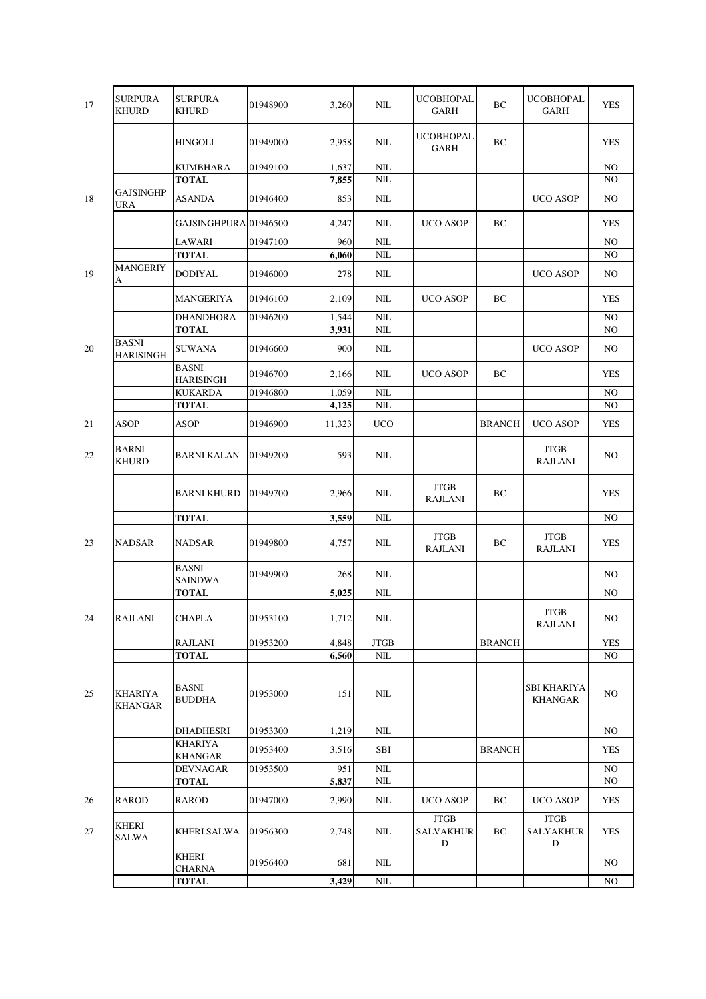| 17 | <b>SURPURA</b><br>KHURD   | <b>SURPURA</b><br>KHURD         | 01948900 | 3,260          | NIL            | <b>UCOBHOPAL</b><br>GARH                       | BC            | <b>UCOBHOPAL</b><br><b>GARH</b>                | <b>YES</b> |
|----|---------------------------|---------------------------------|----------|----------------|----------------|------------------------------------------------|---------------|------------------------------------------------|------------|
|    |                           | HINGOLI                         | 01949000 | 2,958          | NIL            | <b>UCOBHOPAL</b><br><b>GARH</b>                | BC            |                                                | <b>YES</b> |
|    |                           | <b>KUMBHARA</b>                 | 01949100 | 1,637          | $NIL$          |                                                |               |                                                | NO         |
|    |                           | <b>TOTAL</b>                    |          | 7,855          | <b>NIL</b>     |                                                |               |                                                | NO.        |
| 18 | <b>GAJSINGHP</b><br>URA   | ASANDA                          | 01946400 | 853            | NIL            |                                                |               | <b>UCO ASOP</b>                                | NO.        |
|    |                           | GAJSINGHPURA 01946500           |          | 4,247          | NIL            | <b>UCO ASOP</b>                                | ВC            |                                                | YES        |
|    |                           | LAWARI                          | 01947100 | 960            | $NIL$          |                                                |               |                                                | NO.        |
|    |                           | <b>TOTAL</b>                    |          | 6,060          | $\rm NIL$      |                                                |               |                                                | NO         |
| 19 | <b>MANGERIY</b><br>A      | DODIYAL                         | 01946000 | 278            | NIL            |                                                |               | <b>UCO ASOP</b>                                | NO.        |
|    |                           | MANGERIYA                       | 01946100 | 2,109          | NIL            | <b>UCO ASOP</b>                                | BC            |                                                | <b>YES</b> |
|    |                           | <b>DHANDHORA</b>                | 01946200 | 1,544          | $NIL$          |                                                |               |                                                | NO.        |
|    | <b>BASNI</b>              | <b>TOTAL</b>                    |          | 3,931          | $NIL$          |                                                |               |                                                | NO         |
| 20 | <b>HARISINGH</b>          | <b>SUWANA</b><br><b>BASNI</b>   | 01946600 | 900            | NIL            |                                                |               | <b>UCO ASOP</b>                                | NO.        |
|    |                           | <b>HARISINGH</b>                | 01946700 | 2,166          | NIL            | <b>UCO ASOP</b>                                | ВC            |                                                | <b>YES</b> |
|    |                           | <b>KUKARDA</b><br><b>TOTAL</b>  | 01946800 | 1,059<br>4,125 | $NIL$<br>$NIL$ |                                                |               |                                                | NO<br>NO   |
|    |                           |                                 |          |                |                |                                                |               |                                                |            |
| 21 | <b>ASOP</b>               | <b>ASOP</b>                     | 01946900 | 11,323         | <b>UCO</b>     |                                                | <b>BRANCH</b> | <b>UCO ASOP</b>                                | <b>YES</b> |
| 22 | BARNI<br>KHURD            | <b>BARNI KALAN</b>              | 01949200 | 593            | NIL            |                                                |               | <b>JTGB</b><br><b>RAJLANI</b>                  | NO.        |
|    |                           | <b>BARNI KHURD</b>              | 01949700 | 2,966          | NIL            | <b>JTGB</b><br><b>RAJLANI</b>                  | ВC            |                                                | <b>YES</b> |
|    |                           | <b>TOTAL</b>                    |          | 3,559          | $NIL$          |                                                |               |                                                | NO         |
| 23 | <b>NADSAR</b>             | NADSAR                          | 01949800 | 4,757          | NIL            | JTGB<br><b>RAJLANI</b>                         | ВC            | <b>JTGB</b><br><b>RAJLANI</b>                  | <b>YES</b> |
|    |                           | <b>BASNI</b><br><b>SAINDWA</b>  | 01949900 | 268            | NIL            |                                                |               |                                                | NO.        |
|    |                           | <b>TOTAL</b>                    |          | 5,025          | $NIL$          |                                                |               |                                                | NO         |
| 24 | <b>RAJLANI</b>            | <b>CHAPLA</b>                   | 01953100 | 1,712          | $\mbox{NIL}$   |                                                |               | <b>JTGB</b><br><b>RAJLANI</b>                  | $\rm NO$   |
|    |                           | <b>RAJLANI</b>                  | 01953200 | 4,848          | <b>JTGB</b>    |                                                | <b>BRANCH</b> |                                                | <b>YES</b> |
|    |                           | <b>TOTAL</b>                    |          | 6,560          | $\rm NIL$      |                                                |               |                                                | NO.        |
| 25 | KHARIYA<br><b>KHANGAR</b> | <b>BASNI</b><br><b>BUDDHA</b>   | 01953000 | 151            | NIL            |                                                |               | SBI KHARIYA<br><b>KHANGAR</b>                  | NO.        |
|    |                           | <b>DHADHESRI</b>                | 01953300 | 1,219          | $\rm NIL$      |                                                |               |                                                | NO         |
|    |                           | KHARIYA                         | 01953400 | 3,516          | SBI            |                                                | <b>BRANCH</b> |                                                | <b>YES</b> |
|    |                           | <b>KHANGAR</b>                  | 01953500 | 951            | $NIL$          |                                                |               |                                                | NO.        |
|    |                           | <b>DEVNAGAR</b><br><b>TOTAL</b> |          | 5,837          | $NIL$          |                                                |               |                                                | NO         |
| 26 | RAROD                     | RAROD                           | 01947000 | 2,990          | NIL            | <b>UCO ASOP</b>                                | ВC            | <b>UCO ASOP</b>                                | <b>YES</b> |
|    |                           |                                 |          |                |                |                                                |               |                                                |            |
| 27 | KHERI<br><b>SALWA</b>     | KHERI SALWA                     | 01956300 | 2,748          | NIL            | <b>JTGB</b><br><b>SALVAKHUR</b><br>$\mathbf D$ | BC            | <b>JTGB</b><br><b>SALYAKHUR</b><br>$\mathbf D$ | <b>YES</b> |
|    |                           | <b>KHERI</b><br><b>CHARNA</b>   | 01956400 | 681            | NIL            |                                                |               |                                                | NO.        |
|    |                           | <b>TOTAL</b>                    |          | 3,429          | $\rm NIL$      |                                                |               |                                                | NO         |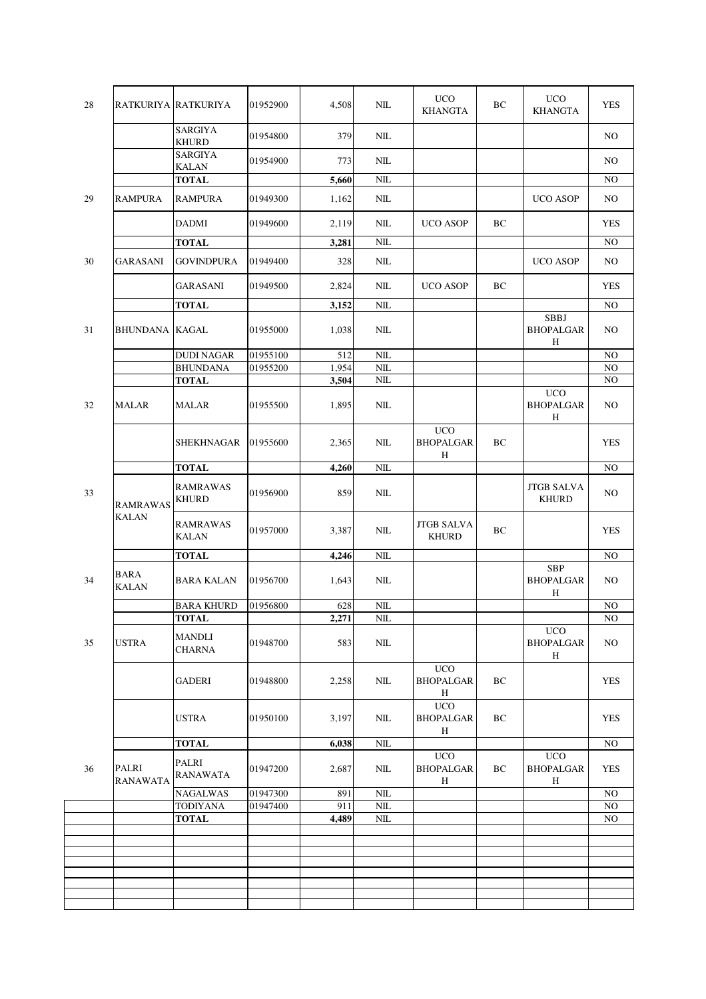| 28 |                          | RATKURIYA RATKURIYA             | 01952900 | 4,508 | NIL           | <b>UCO</b><br><b>KHANGTA</b>                   | BC | <b>UCO</b><br><b>KHANGTA</b>                   | <b>YES</b>     |
|----|--------------------------|---------------------------------|----------|-------|---------------|------------------------------------------------|----|------------------------------------------------|----------------|
|    |                          | <b>SARGIYA</b><br><b>KHURD</b>  | 01954800 | 379   | $NIL$         |                                                |    |                                                | N <sub>O</sub> |
|    |                          | <b>SARGIYA</b><br>KALAN         | 01954900 | 773   | NIL           |                                                |    |                                                | N <sub>O</sub> |
|    |                          | <b>TOTAL</b>                    |          | 5,660 | NIL           |                                                |    |                                                | NO             |
| 29 | <b>RAMPURA</b>           | <b>RAMPURA</b>                  | 01949300 | 1,162 | NIL           |                                                |    | <b>UCO ASOP</b>                                | NO             |
|    |                          | DADMI                           | 01949600 | 2,119 | NIL           | <b>UCO ASOP</b>                                | BC |                                                | YES            |
|    |                          | <b>TOTAL</b>                    |          | 3,281 | <b>NIL</b>    |                                                |    |                                                | N <sub>O</sub> |
| 30 | <b>GARASANI</b>          | <b>GOVINDPURA</b>               | 01949400 | 328   | NIL           |                                                |    | <b>UCO ASOP</b>                                | NO.            |
|    |                          | GARASANI                        | 01949500 | 2,824 | NIL           | <b>UCO ASOP</b>                                | BC |                                                | <b>YES</b>     |
|    |                          | <b>TOTAL</b>                    |          | 3,152 | <b>NIL</b>    |                                                |    |                                                | N <sub>O</sub> |
| 31 | <b>BHUNDANA</b>          | <b>KAGAL</b>                    | 01955000 | 1,038 | NIL           |                                                |    | SBBJ<br><b>BHOPALGAR</b><br>H                  | NO.            |
|    |                          | <b>DUDI NAGAR</b>               | 01955100 | 512   | $N\mathbf{I}$ |                                                |    |                                                | $\rm NO$       |
|    |                          | <b>BHUNDANA</b>                 | 01955200 | 1,954 | $\rm NIL$     |                                                |    |                                                | $\rm NO$       |
|    |                          | <b>TOTAL</b>                    |          | 3,504 | $\rm NIL$     |                                                |    | <b>UCO</b>                                     | $\rm NO$       |
| 32 | <b>MALAR</b>             | <b>MALAR</b>                    | 01955500 | 1,895 | NIL           |                                                |    | <b>BHOPALGAR</b><br>H                          | NO.            |
|    |                          | SHEKHNAGAR                      | 01955600 | 2,365 | NIL           | <b>UCO</b><br><b>BHOPALGAR</b><br>$\, {\rm H}$ | BC |                                                | <b>YES</b>     |
|    |                          | <b>TOTAL</b>                    |          | 4,260 | NIL           |                                                |    |                                                | N <sub>O</sub> |
| 33 | <b>RAMRAWAS</b>          | RAMRAWAS<br><b>KHURD</b>        | 01956900 | 859   | NIL           |                                                |    | <b>JTGB SALVA</b><br><b>KHURD</b>              | NO.            |
|    | <b>KALAN</b>             | <b>RAMRAWAS</b><br>KALAN        | 01957000 | 3,387 | <b>NIL</b>    | <b>JTGB SALVA</b><br><b>KHURD</b>              | BC |                                                | <b>YES</b>     |
|    |                          | <b>TOTAL</b>                    |          | 4,246 | NIL           |                                                |    |                                                | N <sub>O</sub> |
| 34 | <b>BARA</b><br>KALAN     | <b>BARA KALAN</b>               | 01956700 | 1,643 | NIL           |                                                |    | <b>SBP</b><br><b>BHOPALGAR</b><br>Η            | NO             |
|    |                          | <b>BARA KHURD</b>               | 01956800 | 628   | NIL           |                                                |    |                                                | NO             |
|    |                          | <b>TOTAL</b>                    |          | 2,271 | $\mbox{NIL}$  |                                                |    |                                                | $\rm NO$       |
| 35 | <b>USTRA</b>             | MANDLI<br><b>CHARNA</b>         | 01948700 | 583   | <b>NIL</b>    |                                                |    | <b>UCO</b><br><b>BHOPALGAR</b><br>H            | NO.            |
|    |                          | <b>GADERI</b>                   | 01948800 | 2,258 | NIL           | <b>UCO</b><br><b>BHOPALGAR</b><br>H            | ВC |                                                | <b>YES</b>     |
|    |                          | USTRA                           | 01950100 | 3,197 | NIL           | <b>UCO</b><br><b>BHOPALGAR</b><br>H            | BC |                                                | <b>YES</b>     |
|    |                          | <b>TOTAL</b>                    |          | 6,038 | NIL           |                                                |    |                                                | NO.            |
| 36 | PALRI<br><b>RANAWATA</b> | <b>PALRI</b><br><b>RANAWATA</b> | 01947200 | 2,687 | NIL           | <b>UCO</b><br><b>BHOPALGAR</b><br>Н            | BC | <b>UCO</b><br><b>BHOPALGAR</b><br>$\, {\rm H}$ | <b>YES</b>     |
|    |                          | <b>NAGALWAS</b>                 | 01947300 | 891   | NIL           |                                                |    |                                                | NO.            |
|    |                          | <b>TODIYANA</b>                 | 01947400 | 911   | $\rm NIL$     |                                                |    |                                                | NO             |
|    |                          | <b>TOTAL</b>                    |          | 4,489 | NIL           |                                                |    |                                                | N <sub>O</sub> |
|    |                          |                                 |          |       |               |                                                |    |                                                |                |
|    |                          |                                 |          |       |               |                                                |    |                                                |                |
|    |                          |                                 |          |       |               |                                                |    |                                                |                |
|    |                          |                                 |          |       |               |                                                |    |                                                |                |
|    |                          |                                 |          |       |               |                                                |    |                                                |                |
|    |                          |                                 |          |       |               |                                                |    |                                                |                |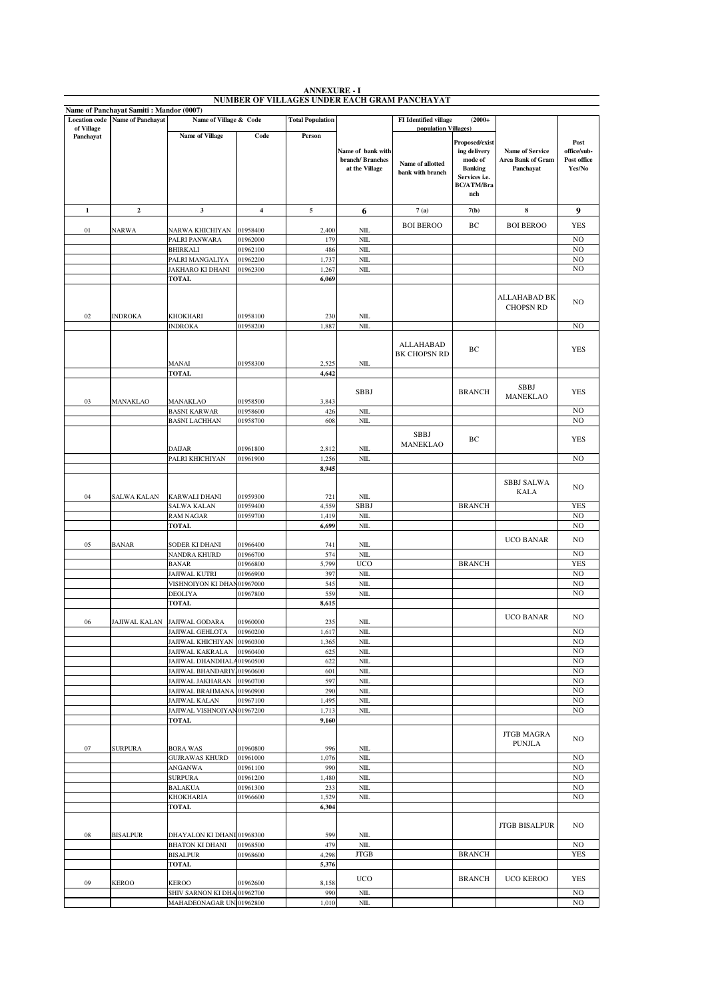| <b>Location</b> code | Name of Panchayat Samiti : Mandor (0007)<br><b>Name of Panchayat</b> | Name of Village & Code                                   |                      | <b>Total Population</b> |                                                        | <b>FI</b> Identified village         | $(2000+$                                                                                                 |                                                          |                                              |
|----------------------|----------------------------------------------------------------------|----------------------------------------------------------|----------------------|-------------------------|--------------------------------------------------------|--------------------------------------|----------------------------------------------------------------------------------------------------------|----------------------------------------------------------|----------------------------------------------|
| of Village           |                                                                      |                                                          |                      |                         |                                                        | population Villages)                 |                                                                                                          |                                                          |                                              |
| Panchayat            |                                                                      | <b>Name of Village</b>                                   | Code                 | Person                  | Name of bank with<br>branch/Branches<br>at the Village | Name of allotted<br>bank with branch | Proposed/exist<br>ing delivery<br>mode of<br><b>Banking</b><br>Services i.e.<br><b>BC/ATM/Bra</b><br>nch | <b>Name of Service</b><br>Area Bank of Gram<br>Panchayat | Post<br>office/sub-<br>Post office<br>Yes/No |
| $\mathbf 1$          | $\overline{\mathbf{2}}$                                              | 3                                                        | $\boldsymbol{4}$     | 5                       | 6                                                      | 7(a)                                 | 7(b)                                                                                                     | 8                                                        | 9                                            |
| $01\,$               | <b>NARWA</b>                                                         | NARWA KHICHIYAN                                          | 01958400             | 2,400                   | NIL                                                    | <b>BOI BEROO</b>                     | BC                                                                                                       | <b>BOI BEROO</b>                                         | <b>YES</b>                                   |
|                      |                                                                      | PALRI PANWARA                                            | 01962000             | 179                     | NIL                                                    |                                      |                                                                                                          |                                                          | NO                                           |
|                      |                                                                      | <b>BHIRKALI</b>                                          | 01962100             | 486                     | NIL                                                    |                                      |                                                                                                          |                                                          | N <sub>O</sub>                               |
|                      |                                                                      | PALRI MANGALIYA                                          | 01962200             | 1,737                   | NIL                                                    |                                      |                                                                                                          |                                                          | N <sub>O</sub>                               |
|                      |                                                                      | JAKHARO KI DHANI<br><b>TOTAL</b>                         | 01962300             | 1,267<br>6,069          | NIL                                                    |                                      |                                                                                                          |                                                          | N <sub>O</sub>                               |
|                      |                                                                      |                                                          |                      |                         |                                                        |                                      |                                                                                                          |                                                          |                                              |
|                      |                                                                      |                                                          |                      |                         |                                                        |                                      |                                                                                                          | ALLAHABAD BK<br><b>CHOPSN RD</b>                         | NO.                                          |
| 02                   | <b>INDROKA</b>                                                       | KHOKHARI<br><b>INDROKA</b>                               | 01958100<br>01958200 | 230<br>1,887            | NIL<br>NIL                                             |                                      |                                                                                                          |                                                          | N <sub>O</sub>                               |
|                      |                                                                      |                                                          |                      |                         |                                                        |                                      |                                                                                                          |                                                          |                                              |
|                      |                                                                      | MANAI                                                    | 01958300             | 2,525                   | NIL                                                    | ALLAHABAD<br><b>BK CHOPSN RD</b>     | BC                                                                                                       |                                                          | <b>YES</b>                                   |
|                      |                                                                      | <b>TOTAL</b>                                             |                      | 4,642                   |                                                        |                                      |                                                                                                          |                                                          |                                              |
| 03                   | MANAKLAO                                                             | MANAKLAO                                                 | 01958500             | 3,843                   | <b>SBBJ</b>                                            |                                      | <b>BRANCH</b>                                                                                            | SBBJ<br><b>MANEKLAO</b>                                  | <b>YES</b>                                   |
|                      |                                                                      | <b>BASNI KARWAR</b>                                      | 01958600             | 426                     | NII.                                                   |                                      |                                                                                                          |                                                          | N <sub>O</sub>                               |
|                      |                                                                      | <b>BASNI LACHHAN</b>                                     | 01958700             | 608                     | NIL                                                    |                                      |                                                                                                          |                                                          | N <sub>O</sub>                               |
|                      |                                                                      | DAIJAR                                                   | 01961800             | 2,812                   | NIL                                                    | <b>SBBJ</b><br>MANEKLAO              | BС                                                                                                       |                                                          | <b>YES</b>                                   |
|                      |                                                                      | PALRI KHICHIYAN                                          | 01961900             | 1,256                   | NIL                                                    |                                      |                                                                                                          |                                                          | N <sub>O</sub>                               |
|                      |                                                                      |                                                          |                      | 8,945                   |                                                        |                                      |                                                                                                          |                                                          |                                              |
| 04                   | SALWA KALAN                                                          | <b>KARWALI DHANI</b>                                     | 01959300             | 721                     | <b>NIL</b>                                             |                                      |                                                                                                          | <b>SBBJ SALWA</b><br>KALA                                | N <sub>O</sub>                               |
|                      |                                                                      | <b>SALWA KALAN</b>                                       | 01959400             | 4,559                   | <b>SBBJ</b>                                            |                                      | <b>BRANCH</b>                                                                                            |                                                          | <b>YES</b>                                   |
|                      |                                                                      | <b>RAM NAGAR</b>                                         | 01959700             | 1,419                   | NIL                                                    |                                      |                                                                                                          |                                                          | N <sub>O</sub>                               |
|                      |                                                                      | <b>TOTAL</b>                                             |                      | 6,699                   | NII                                                    |                                      |                                                                                                          |                                                          | N <sub>O</sub>                               |
| 05                   | <b>BANAR</b>                                                         | SODER KI DHANI                                           | 01966400             | 741                     | NIL                                                    |                                      |                                                                                                          | <b>UCO BANAR</b>                                         | N <sub>O</sub>                               |
|                      |                                                                      | NANDRA KHURD                                             | 01966700             | 574                     | NII                                                    |                                      |                                                                                                          |                                                          | N <sub>O</sub>                               |
|                      |                                                                      | <b>BANAR</b>                                             | 01966800             | 5,799                   | <b>UCO</b>                                             |                                      | <b>BRANCH</b>                                                                                            |                                                          | <b>YES</b>                                   |
|                      |                                                                      | JAJIWAL KUTRI<br>VISHNOIYON KI DHAN01967000              | 01966900             | 397<br>545              | NIL<br>NIL                                             |                                      |                                                                                                          |                                                          | N <sub>O</sub><br>N <sub>O</sub>             |
|                      |                                                                      | <b>DEOLIYA</b>                                           | 01967800             | 559                     | NIL                                                    |                                      |                                                                                                          |                                                          | N <sub>O</sub>                               |
|                      |                                                                      | <b>TOTAL</b>                                             |                      | 8,615                   |                                                        |                                      |                                                                                                          |                                                          |                                              |
|                      |                                                                      |                                                          |                      |                         |                                                        |                                      |                                                                                                          | <b>UCO BANAR</b>                                         | N <sub>O</sub>                               |
| 06                   | <b>JAJIWAL KALAN</b>                                                 | <b>JAJIWAL GODARA</b><br>JAJIWAL GEHLOTA                 | 01960000<br>01960200 | 235<br>1,617            | NIL<br>NIL                                             |                                      |                                                                                                          |                                                          | N <sub>O</sub>                               |
|                      |                                                                      | JAJIWAL KHICHIYAN  01960300                              |                      | 1,365                   | NIL.                                                   |                                      |                                                                                                          |                                                          | NO.                                          |
|                      |                                                                      | JAJIWAL KAKRALA                                          | 01960400             | 625                     | $NII$                                                  |                                      |                                                                                                          |                                                          | N <sub>O</sub>                               |
|                      |                                                                      | JAJIWAL DHANDHALA01960500                                |                      | 622                     | NIL                                                    |                                      |                                                                                                          |                                                          | N <sub>O</sub><br>N <sub>O</sub>             |
|                      |                                                                      | JAJIWAL BHANDARIY, 01960600<br>JAJIWAL JAKHARAN 01960700 |                      | 601<br>597              | $\rm NIL$<br>$NII$                                     |                                      |                                                                                                          |                                                          | NO                                           |
|                      |                                                                      | JAJIWAL BRAHMANA 01960900                                |                      | 290                     | $\rm NIL$                                              |                                      |                                                                                                          |                                                          | NO.                                          |
|                      |                                                                      | JAJIWAL KALAN                                            | 01967100             | 1,495                   | $\rm NIL$                                              |                                      |                                                                                                          |                                                          | NO                                           |
|                      |                                                                      | JAJIWAL VISHNOIYAN01967200<br><b>TOTAL</b>               |                      | 1,713<br>9,160          | $\rm NIL$                                              |                                      |                                                                                                          |                                                          | NO                                           |
|                      |                                                                      |                                                          | 01960800             |                         |                                                        |                                      |                                                                                                          | <b>JTGB MAGRA</b><br><b>PUNJLA</b>                       | N <sub>O</sub>                               |
| 07                   | <b>SURPURA</b>                                                       | <b>BORA WAS</b><br><b>GUJRAWAS KHURD</b>                 | 01961000             | 996<br>1,076            | NIL<br>$NII$                                           |                                      |                                                                                                          |                                                          | N <sub>O</sub>                               |
|                      |                                                                      | <b>ANGANWA</b>                                           | 01961100             | 990                     | $\rm NIL$                                              |                                      |                                                                                                          |                                                          | N <sub>O</sub>                               |
|                      |                                                                      | <b>SURPURA</b>                                           | 01961200             | 1,480                   | $\rm NIL$                                              |                                      |                                                                                                          |                                                          | NO                                           |
|                      |                                                                      | <b>BALAKUA</b>                                           | 01961300<br>01966600 | 233<br>1,529            | $\rm NIL$<br>$\rm NIL$                                 |                                      |                                                                                                          |                                                          | $_{\rm NO}$<br>NO                            |
|                      |                                                                      | <b>KHOKHARIA</b><br><b>TOTAL</b>                         |                      | 6,304                   |                                                        |                                      |                                                                                                          |                                                          |                                              |
|                      |                                                                      |                                                          |                      |                         |                                                        |                                      |                                                                                                          | <b>JTGB BISALPUR</b>                                     | NO.                                          |
| ${\bf 08}$           | <b>BISALPUR</b>                                                      | DHAYALON KI DHANI 01968300<br><b>BHATON KI DHANI</b>     | 01968500             | 599<br>479              | $\rm NIL$<br><b>NIL</b>                                |                                      |                                                                                                          |                                                          | NO                                           |
|                      |                                                                      | <b>BISALPUR</b>                                          | 01968600             | 4,298                   | <b>JTGB</b>                                            |                                      | <b>BRANCH</b>                                                                                            |                                                          | <b>YES</b>                                   |
|                      |                                                                      | <b>TOTAL</b>                                             |                      | 5,376                   |                                                        |                                      |                                                                                                          |                                                          |                                              |
| 09                   | <b>KEROO</b>                                                         | KEROO                                                    | 01962600             | 8,158                   | <b>UCO</b>                                             |                                      | <b>BRANCH</b>                                                                                            | UCO KEROO                                                | <b>YES</b>                                   |
|                      |                                                                      | SHIV SARNON KI DHA 01962700                              |                      | 990                     | NIL                                                    |                                      |                                                                                                          |                                                          | NO                                           |
|                      |                                                                      | MAHADEONAGAR UN101962800                                 |                      | 1,010                   | $\rm NIL$                                              |                                      |                                                                                                          |                                                          | NO                                           |

**ANNEXURE - I NUMBER OF VILLAGES UNDER EACH GRAM PANCHAYAT**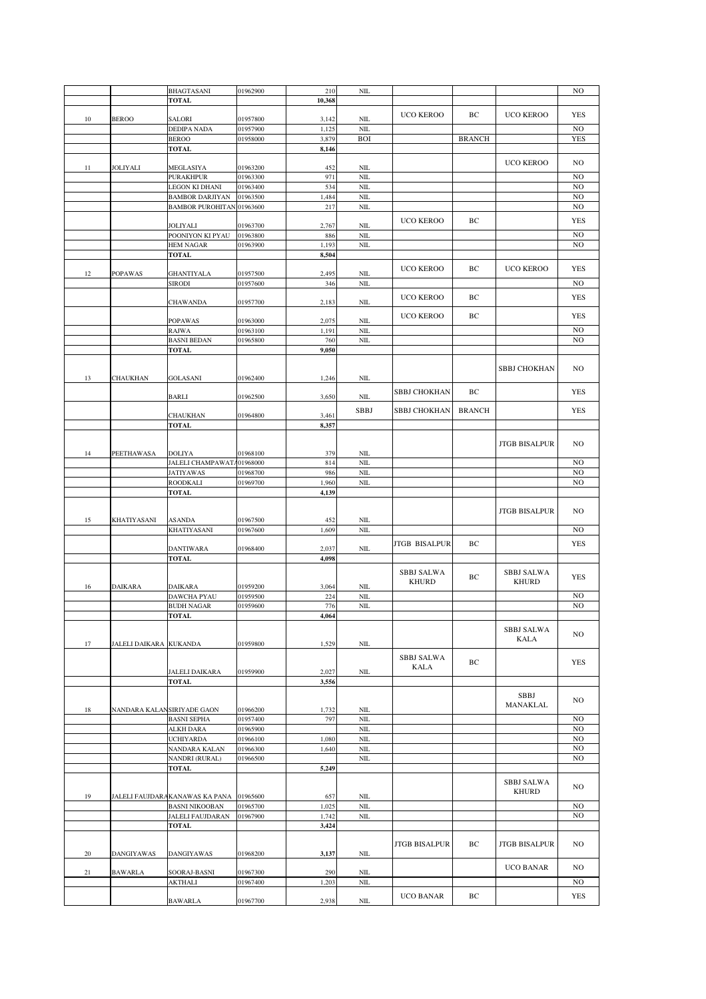|        |                        | BHAGTASANI                              | 01962900 | 210            | $\mbox{NIL}$ |                      |               |                      | NO             |
|--------|------------------------|-----------------------------------------|----------|----------------|--------------|----------------------|---------------|----------------------|----------------|
|        |                        | <b>TOTAL</b>                            |          | 10,368         |              |                      |               |                      |                |
|        |                        |                                         |          |                |              |                      |               |                      |                |
| $10\,$ | <b>BEROO</b>           | <b>SALORI</b>                           | 01957800 | 3,142          | $NII$        | <b>UCO KEROO</b>     | BС            | <b>UCO KEROO</b>     | <b>YES</b>     |
|        |                        | DEDIPA NADA                             | 01957900 | 1,125          | $\rm NIL$    |                      |               |                      | NO             |
|        |                        | <b>BEROO</b>                            | 01958000 | 3,879          | <b>BOI</b>   |                      | <b>BRANCH</b> |                      | <b>YES</b>     |
|        |                        | <b>TOTAL</b>                            |          | 8,146          |              |                      |               |                      |                |
|        |                        |                                         |          |                |              |                      |               |                      |                |
| 11     | JOLIYALI               | MEGLASIYA                               | 01963200 | 452            | $NII$        |                      |               | <b>UCO KEROO</b>     | NO             |
|        |                        | <b>PURAKHPUR</b>                        | 01963300 | 971            | NIL          |                      |               |                      | NO             |
|        |                        | LEGON KI DHANI                          | 01963400 | 534            | $\rm NIL$    |                      |               |                      | N <sub>O</sub> |
|        |                        | <b>BAMBOR DARJIYAN</b>                  | 01963500 | 1,484          | $NII$        |                      |               |                      | N <sub>O</sub> |
|        |                        | <b>BAMBOR PUROHITAN 01963600</b>        |          | 217            | $\rm NIL$    |                      |               |                      | NO             |
|        |                        |                                         |          |                |              | <b>UCO KEROO</b>     | ВC            |                      | <b>YES</b>     |
|        |                        | JOLIYALI                                | 01963700 | 2,767          | NIL          |                      |               |                      |                |
|        |                        | POONIYON KI PYAU                        | 01963800 | 886            | $\rm NIL$    |                      |               |                      | NO             |
|        |                        | <b>HEM NAGAR</b>                        | 01963900 | 1,193          | $NII$        |                      |               |                      | N <sub>O</sub> |
|        |                        | <b>TOTAL</b>                            |          | 8,504          |              |                      |               |                      |                |
|        |                        |                                         |          |                |              | UCO KEROO            | BС            | UCO KEROO            | <b>YES</b>     |
| 12     | <b>POPAWAS</b>         | <b>GHANTIYALA</b>                       | 01957500 | 2,495          | $NII$        |                      |               |                      |                |
|        |                        | <b>SIRODI</b>                           | 01957600 | 346            | $NII$        |                      |               |                      | NO             |
|        |                        |                                         |          |                |              | <b>UCO KEROO</b>     | BС            |                      | <b>YES</b>     |
|        |                        | <b>CHAWANDA</b>                         | 01957700 | 2,183          | $NII$        |                      |               |                      |                |
|        |                        |                                         |          |                |              | <b>UCO KEROO</b>     | BС            |                      | <b>YES</b>     |
|        |                        | <b>POPAWAS</b>                          | 01963000 | 2,075          | $\rm NIL$    |                      |               |                      |                |
|        |                        | <b>RAJWA</b>                            | 01963100 | 1,191          | $\rm NIL$    |                      |               |                      | NO             |
|        |                        | <b>BASNI BEDAN</b>                      | 01965800 | 760            | $\rm NIL$    |                      |               |                      | N <sub>O</sub> |
|        |                        | <b>TOTAL</b>                            |          | 9,050          |              |                      |               |                      |                |
|        |                        |                                         |          |                |              |                      |               |                      |                |
|        |                        |                                         |          |                |              |                      |               | SBBJ CHOKHAN         | NO             |
| 13     | CHAUKHAN               | <b>GOLASANI</b>                         | 01962400 | 1,246          | NIL          |                      |               |                      |                |
|        |                        | BARLI                                   | 01962500 | 3,650          | $NII$        | <b>SBBJ CHOKHAN</b>  | BС            |                      | <b>YES</b>     |
|        |                        |                                         |          |                |              |                      |               |                      |                |
|        |                        | CHAUKHAN                                | 01964800 | 3,461          | SBBJ         | SBBJ CHOKHAN         | <b>BRANCH</b> |                      | <b>YES</b>     |
|        |                        | <b>TOTAL</b>                            |          | 8,357          |              |                      |               |                      |                |
|        |                        |                                         |          |                |              |                      |               |                      |                |
|        |                        |                                         |          |                |              |                      |               | <b>JTGB BISALPUR</b> | NO             |
| 14     | PEETHAWASA             | DOLIYA                                  | 01968100 | 379            | NIL          |                      |               |                      |                |
|        |                        | JALELI CHAMPAWATA01968000               |          | 814            | $\rm NIL$    |                      |               |                      | NO             |
|        |                        | <b>JATIYAWAS</b>                        | 01968700 | 986            | $NII$        |                      |               |                      | NO             |
|        |                        | <b>ROODKALI</b>                         | 01969700 | 1,960          | $NII$        |                      |               |                      | NO             |
|        |                        | <b>TOTAL</b>                            |          | 4,139          |              |                      |               |                      |                |
|        |                        |                                         |          |                |              |                      |               |                      |                |
|        |                        |                                         |          |                |              |                      |               | <b>JTGB BISALPUR</b> | NO             |
| 15     | KHATIYASANI            | ASANDA                                  | 01967500 | 452            | <b>NIL</b>   |                      |               |                      |                |
|        |                        | KHATIYASANI                             | 01967600 | 1,609          | NIL          |                      |               |                      | NO             |
|        |                        |                                         |          |                |              | <b>JTGB BISALPUR</b> | BС            |                      | <b>YES</b>     |
|        |                        | <b>DANTIWARA</b>                        | 01968400 | 2,037          | $NII$        |                      |               |                      |                |
|        |                        | <b>TOTAL</b>                            |          | 4,098          |              |                      |               |                      |                |
|        |                        |                                         |          |                |              | <b>SBBJ SALWA</b>    |               | <b>SBBJ SALWA</b>    |                |
|        |                        |                                         |          |                |              | <b>KHURD</b>         | ВC            | <b>KHURD</b>         | <b>YES</b>     |
| 16     | <b>DAIKARA</b>         | <b>DAIKARA</b>                          | 01959200 | 3,064          | NIL          |                      |               |                      |                |
|        |                        | DAWCHA PYAU                             | 01959500 | 224            | $\rm NIL$    |                      |               |                      | NO             |
|        |                        | <b>BUDH NAGAR</b>                       | 01959600 | 776            | NIL          |                      |               |                      | N <sub>O</sub> |
|        |                        | TOTAL                                   |          | 4,064          |              |                      |               |                      |                |
|        |                        |                                         |          |                |              |                      |               | <b>SBBJ SALWA</b>    |                |
|        |                        |                                         |          |                |              |                      |               | KALA                 | NO             |
| 17     | JALELI DAIKARA KUKANDA |                                         | 01959800 | 1,529          | $\rm NIL$    |                      |               |                      |                |
|        |                        |                                         |          |                |              | <b>SBBJ SALWA</b>    |               |                      |                |
|        |                        |                                         | 01959900 |                | $\rm NIL$    | KALA                 | ВC            |                      | <b>YES</b>     |
|        |                        | <b>JALELI DAIKARA</b><br>TOTAL          |          | 2,027<br>3,556 |              |                      |               |                      |                |
|        |                        |                                         |          |                |              |                      |               |                      |                |
|        |                        |                                         |          |                |              |                      |               | SBBJ                 | NO             |
| 18     |                        | NANDARA KALANSIRIYADE GAON              | 01966200 | 1,732          | NIL          |                      |               | MANAKLAL             |                |
|        |                        | <b>BASNI SEPHA</b>                      | 01957400 | 797            | $\rm NIL$    |                      |               |                      | NO             |
|        |                        | ALKH DARA                               | 01965900 |                | $\mbox{NIL}$ |                      |               |                      | N <sub>O</sub> |
|        |                        | <b>UCHIYARDA</b>                        | 01966100 | 1,080          | $\rm NIL$    |                      |               |                      | NO             |
|        |                        | <b>NANDARA KALAN</b>                    | 01966300 | 1,640          | $\rm NIL$    |                      |               |                      | NO             |
|        |                        | NANDRI (RURAL)                          | 01966500 |                | $\rm NIL$    |                      |               |                      | NO             |
|        |                        | <b>TOTAL</b>                            |          | 5,249          |              |                      |               |                      |                |
|        |                        |                                         |          |                |              |                      |               |                      |                |
|        |                        |                                         |          |                |              |                      |               | <b>SBBJ SALWA</b>    | NO.            |
| 19     |                        | JALELI FAUJDARAKANAWAS KA PANA 01965600 |          | 657            | NIL          |                      |               | <b>KHURD</b>         |                |
|        |                        | <b>BASNI NIKOOBAN</b>                   | 01965700 | 1,025          | $\rm NIL$    |                      |               |                      | NO             |
|        |                        | JALELI FAUJDARAN                        | 01967900 | 1,742          | $\rm NIL$    |                      |               |                      | N <sub>O</sub> |
|        |                        | <b>TOTAL</b>                            |          | 3,424          |              |                      |               |                      |                |
|        |                        |                                         |          |                |              |                      |               |                      |                |
|        |                        |                                         |          |                |              | <b>JTGB BISALPUR</b> | BС            | <b>JTGB BISALPUR</b> | NO             |
| 20     | <b>DANGIYAWAS</b>      | <b>DANGIYAWAS</b>                       | 01968200 | 3,137          | $\rm NIL$    |                      |               |                      |                |
|        |                        |                                         |          |                |              |                      |               |                      |                |
| 21     | <b>BAWARLA</b>         | SOORAJ-BASNI                            | 01967300 | 290            | NIL          |                      |               | UCO BANAR            | NO             |
|        |                        | AKTHALI                                 | 01967400 | 1,203          | $\rm NIL$    |                      |               |                      | NO             |
|        |                        |                                         |          |                |              | UCO BANAR            | BС            |                      | YES            |
|        |                        | <b>BAWARLA</b>                          | 01967700 | 2,938          | $\rm NIL$    |                      |               |                      |                |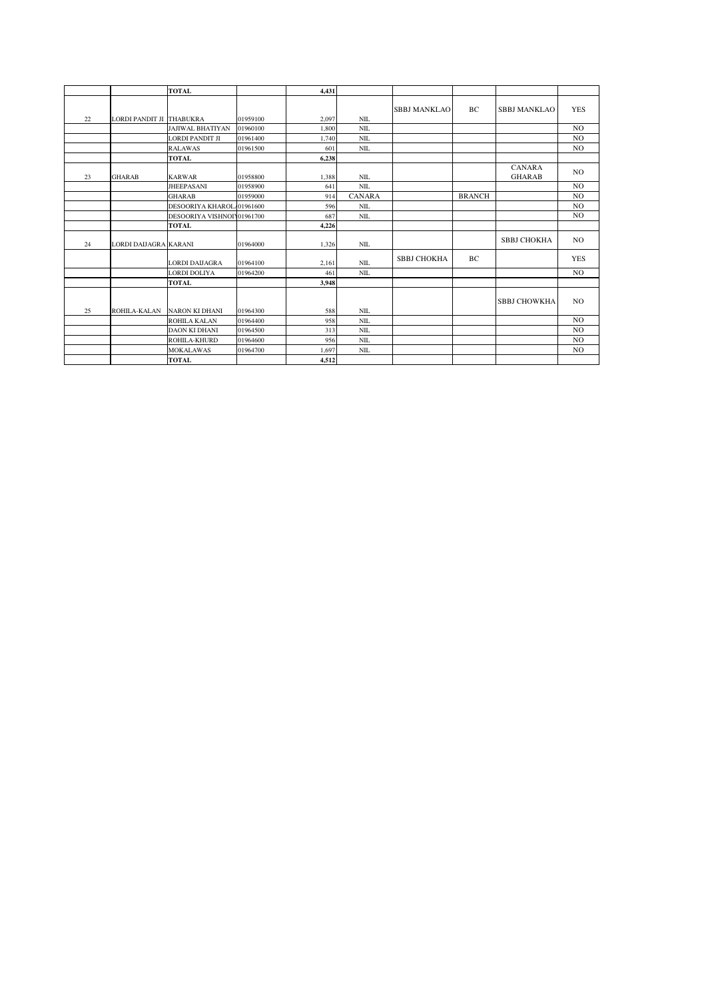|    |                              | <b>TOTAL</b>               |          | 4,431 |               |                     |               |                                |                |
|----|------------------------------|----------------------------|----------|-------|---------------|---------------------|---------------|--------------------------------|----------------|
| 22 | LORDI PANDIT JI THABUKRA     |                            | 01959100 | 2,097 | NIL           | <b>SBBJ MANKLAO</b> | BC            | <b>SBBJ MANKLAO</b>            | <b>YES</b>     |
|    |                              | <b>JAJIWAL BHATIYAN</b>    | 01960100 | 1,800 | NIL           |                     |               |                                | N <sub>O</sub> |
|    |                              | <b>LORDI PANDIT JI</b>     | 01961400 | 1.740 | NIL           |                     |               |                                | N <sub>O</sub> |
|    |                              | <b>RALAWAS</b>             | 01961500 | 601   | $NIL$         |                     |               |                                | N <sub>O</sub> |
|    |                              | <b>TOTAL</b>               |          | 6,238 |               |                     |               |                                |                |
| 23 | <b>GHARAB</b>                | <b>KARWAR</b>              | 01958800 | 1,388 | <b>NIL</b>    |                     |               | <b>CANARA</b><br><b>GHARAB</b> | NO.            |
|    |                              | <b>JHEEPASANI</b>          | 01958900 | 641   | NIL           |                     |               |                                | N <sub>O</sub> |
|    |                              | <b>GHARAB</b>              | 01959000 | 914   | <b>CANARA</b> |                     | <b>BRANCH</b> |                                | N <sub>O</sub> |
|    |                              | DESOORIYA KHAROL 01961600  |          | 596   | <b>NIL</b>    |                     |               |                                | N <sub>O</sub> |
|    |                              | DESOORIYA VISHNOIY01961700 |          | 687   | NIL           |                     |               |                                | N <sub>O</sub> |
|    |                              | <b>TOTAL</b>               |          | 4,226 |               |                     |               |                                |                |
| 24 | <b>LORDI DAIJAGRA KARANI</b> |                            | 01964000 | 1,326 | NIL           |                     |               | SBBJ CHOKHA                    | NO.            |
|    |                              | <b>LORDI DAIJAGRA</b>      | 01964100 | 2,161 | NIL           | <b>SBBJ CHOKHA</b>  | BC            |                                | <b>YES</b>     |
|    |                              | <b>LORDI DOLIYA</b>        | 01964200 | 461   | <b>NIL</b>    |                     |               |                                | N <sub>O</sub> |
|    |                              | <b>TOTAL</b>               |          | 3,948 |               |                     |               |                                |                |
| 25 | ROHILA-KALAN                 | <b>NARON KI DHANI</b>      | 01964300 | 588   | NIL           |                     |               | <b>SBBJ CHOWKHA</b>            | NO.            |
|    |                              | <b>ROHILA KALAN</b>        | 01964400 | 958   | NIL           |                     |               |                                | N <sub>O</sub> |
|    |                              | <b>DAON KI DHANI</b>       | 01964500 | 313   | NIL           |                     |               |                                | N <sub>O</sub> |
|    |                              | ROHILA-KHURD               | 01964600 | 956   | NIL           |                     |               |                                | N <sub>O</sub> |
|    |                              | <b>MOKALAWAS</b>           | 01964700 | 1,697 | NIL           |                     |               |                                | N <sub>O</sub> |
|    |                              | <b>TOTAL</b>               |          | 4,512 |               |                     |               |                                |                |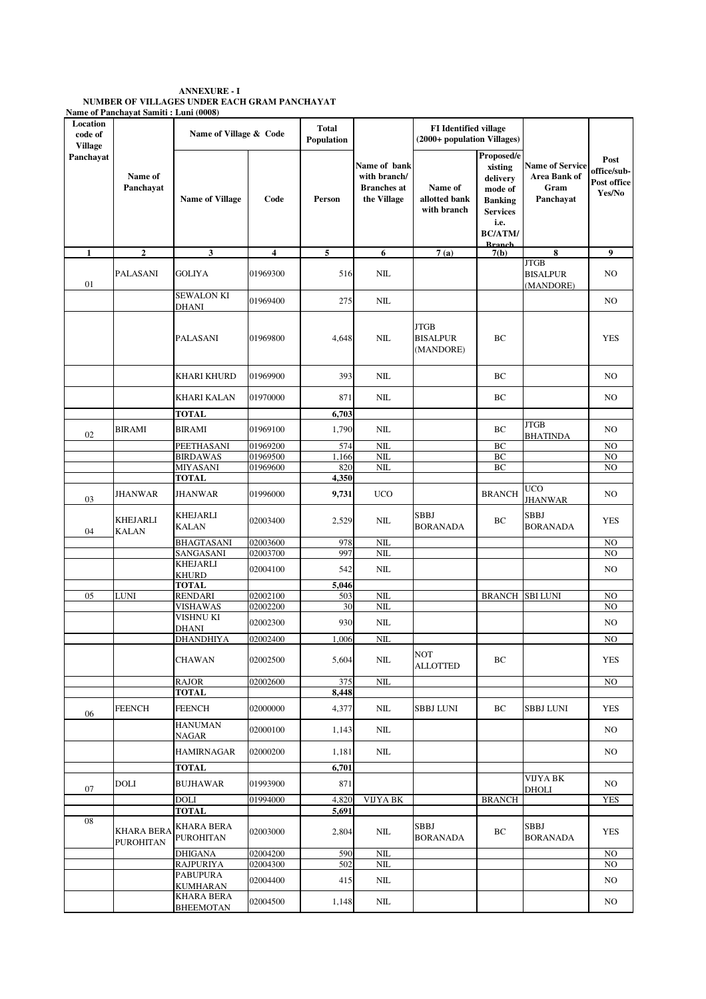| <b>ANNEXURE - I</b>                          |
|----------------------------------------------|
| NUMBER OF VILLAGES UNDER EACH GRAM PANCHAYAT |
| Name of Panchavat Samiti : Luni (0008)       |

| Location<br>code of<br><b>Village</b> |                                       | Name of Village & Code                |                      | <b>Total</b><br>Population |                                                                   | <b>FI</b> Identified village<br>(2000+ population Villages) |                                                                                                                              |                                                             |                                              |
|---------------------------------------|---------------------------------------|---------------------------------------|----------------------|----------------------------|-------------------------------------------------------------------|-------------------------------------------------------------|------------------------------------------------------------------------------------------------------------------------------|-------------------------------------------------------------|----------------------------------------------|
| Panchavat                             | Name of<br>Panchayat                  | <b>Name of Village</b>                | Code                 | Person                     | Name of bank<br>with branch/<br><b>Branches</b> at<br>the Village | Name of<br>allotted bank<br>with branch                     | Proposed/e<br>xisting<br>delivery<br>mode of<br><b>Banking</b><br><b>Services</b><br>i.e.<br><b>BC/ATM/</b><br><b>Rranch</b> | <b>Name of Service</b><br>Area Bank of<br>Gram<br>Panchayat | Post<br>office/sub-<br>Post office<br>Yes/No |
| $\mathbf{1}$                          | $\mathbf{2}$                          | 3                                     | $\overline{\bf{4}}$  | 5                          | 6                                                                 | 7(a)                                                        | 7(b)                                                                                                                         | 8                                                           | 9                                            |
| 01                                    | <b>PALASANI</b>                       | <b>GOLIYA</b>                         | 01969300             | 516                        | NIL                                                               |                                                             |                                                                                                                              | <b>JTGB</b><br><b>BISALPUR</b><br>(MANDORE)                 | NO.                                          |
|                                       |                                       | <b>SEWALON KI</b><br>DHANI            | 01969400             | 275                        | NIL                                                               |                                                             |                                                                                                                              |                                                             | NO                                           |
|                                       |                                       | <b>PALASANI</b>                       | 01969800             | 4,648                      | NIL                                                               | <b>JTGB</b><br><b>BISALPUR</b><br>(MANDORE)                 | BC                                                                                                                           |                                                             | <b>YES</b>                                   |
|                                       |                                       | <b>KHARI KHURD</b>                    | 01969900             | 393                        | NIL                                                               |                                                             | ВC                                                                                                                           |                                                             | NO.                                          |
|                                       |                                       | <b>KHARI KALAN</b>                    | 01970000             | 871                        | NIL                                                               |                                                             | ВC                                                                                                                           |                                                             | NO.                                          |
|                                       |                                       | <b>TOTAL</b>                          |                      | 6,703                      |                                                                   |                                                             |                                                                                                                              |                                                             |                                              |
| 02                                    | <b>BIRAMI</b>                         | <b>BIRAMI</b>                         | 01969100<br>01969200 | 1,790                      | NIL                                                               |                                                             | BC                                                                                                                           | <b>JTGB</b><br><b>BHATINDA</b>                              | NO.                                          |
|                                       |                                       | PEETHASANI<br><b>BIRDAWAS</b>         | 01969500             | 574<br>1,166               | NIL<br>NIL                                                        |                                                             | ВC<br>BC                                                                                                                     |                                                             | NO<br>$_{\rm NO}$                            |
|                                       |                                       | <b>MIYASANI</b>                       | 01969600             | 820                        | NIL                                                               |                                                             | BC                                                                                                                           |                                                             | NO                                           |
|                                       |                                       | <b>TOTAL</b>                          |                      | 4,350                      |                                                                   |                                                             |                                                                                                                              |                                                             |                                              |
| 03                                    | <b>JHANWAR</b>                        | <b>JHANWAR</b>                        | 01996000             | 9,731                      | <b>UCO</b>                                                        |                                                             | <b>BRANCH</b>                                                                                                                | <b>UCO</b><br><b>JHANWAR</b>                                | NO.                                          |
| 04                                    | <b>KHEJARLI</b><br><b>KALAN</b>       | <b>KHEJARLI</b><br><b>KALAN</b>       | 02003400             | 2,529                      | NIL                                                               | <b>SBBJ</b><br><b>BORANADA</b>                              | ВC                                                                                                                           | <b>SBBJ</b><br><b>BORANADA</b>                              | <b>YES</b>                                   |
|                                       |                                       | <b>BHAGTASANI</b>                     | 02003600             | 978                        | NIL                                                               |                                                             |                                                                                                                              |                                                             | N <sub>O</sub>                               |
|                                       |                                       | SANGASANI                             | 02003700             | 997                        | NIL                                                               |                                                             |                                                                                                                              |                                                             | NO                                           |
|                                       |                                       | <b>KHEJARLI</b><br><b>KHURD</b>       | 02004100             | 542                        | NIL                                                               |                                                             |                                                                                                                              |                                                             | NO                                           |
|                                       |                                       | <b>TOTAL</b>                          |                      | 5,046                      |                                                                   |                                                             |                                                                                                                              |                                                             |                                              |
| 05                                    | <b>LUNI</b>                           | <b>RENDARI</b>                        | 02002100             | 503                        | NIL                                                               |                                                             | <b>BRANCH</b>                                                                                                                | <b>SBILUNI</b>                                              | NO                                           |
|                                       |                                       | VISHAWAS<br>VISHNU KI                 | 02002200             | 30                         | NIL                                                               |                                                             |                                                                                                                              |                                                             | N <sub>O</sub>                               |
|                                       |                                       | <b>DHANI</b>                          | 02002300             | 930                        | $\rm NIL$                                                         |                                                             |                                                                                                                              |                                                             | NO                                           |
|                                       |                                       | <b>DHANDHIYA</b>                      | 02002400             | 1,006                      | NIL                                                               |                                                             |                                                                                                                              |                                                             | NO                                           |
|                                       |                                       | CHAWAN                                | 02002500             | 5,604                      | NΙL                                                               | NOT<br><b>ALLOTTED</b>                                      | BС                                                                                                                           |                                                             | YES                                          |
|                                       |                                       | <b>RAJOR</b>                          | 02002600             | 375                        | NIL                                                               |                                                             |                                                                                                                              |                                                             | NO                                           |
|                                       |                                       | <b>TOTAL</b>                          |                      | 8,448                      |                                                                   |                                                             |                                                                                                                              |                                                             |                                              |
| 06                                    | <b>FEENCH</b>                         | <b>FEENCH</b>                         | 02000000             | 4,377                      | NIL                                                               | <b>SBBJ LUNI</b>                                            | ВC                                                                                                                           | SBBJ LUNI                                                   | <b>YES</b>                                   |
|                                       |                                       | <b>HANUMAN</b><br>NAGAR               | 02000100             | 1,143                      | NIL                                                               |                                                             |                                                                                                                              |                                                             | NO.                                          |
|                                       |                                       | <b>HAMIRNAGAR</b>                     | 02000200             | 1,181                      | NIL                                                               |                                                             |                                                                                                                              |                                                             | NO.                                          |
|                                       |                                       | <b>TOTAL</b>                          |                      | 6,701                      |                                                                   |                                                             |                                                                                                                              | VIJYA BK                                                    |                                              |
| 07                                    | DOLI                                  | <b>BUJHAWAR</b>                       | 01993900             | 871                        |                                                                   |                                                             |                                                                                                                              | DHOLI                                                       | NO.                                          |
|                                       |                                       | <b>DOLI</b><br><b>TOTAL</b>           | 01994000             | 4,820                      | VIJYA BK                                                          |                                                             | <b>BRANCH</b>                                                                                                                |                                                             | <b>YES</b>                                   |
| 08                                    | <b>KHARA BERA</b><br><b>PUROHITAN</b> | <b>KHARA BERA</b><br><b>PUROHITAN</b> | 02003000             | 5,691<br>2,804             | NIL                                                               | <b>SBBJ</b><br><b>BORANADA</b>                              | ВC                                                                                                                           | <b>SBBJ</b><br><b>BORANADA</b>                              | <b>YES</b>                                   |
|                                       |                                       | <b>DHIGANA</b>                        | 02004200             | 590                        | NIL                                                               |                                                             |                                                                                                                              |                                                             | NO.                                          |
|                                       |                                       | <b>RAJPURIYA</b>                      | 02004300             | 502                        | NIL                                                               |                                                             |                                                                                                                              |                                                             | NO.                                          |
|                                       |                                       | <b>PABUPURA</b><br>KUMHARAN           | 02004400             | 415                        | NIL                                                               |                                                             |                                                                                                                              |                                                             | NO.                                          |
|                                       |                                       | <b>KHARA BERA</b><br><b>BHEEMOTAN</b> | 02004500             | 1,148                      | NIL                                                               |                                                             |                                                                                                                              |                                                             | NO                                           |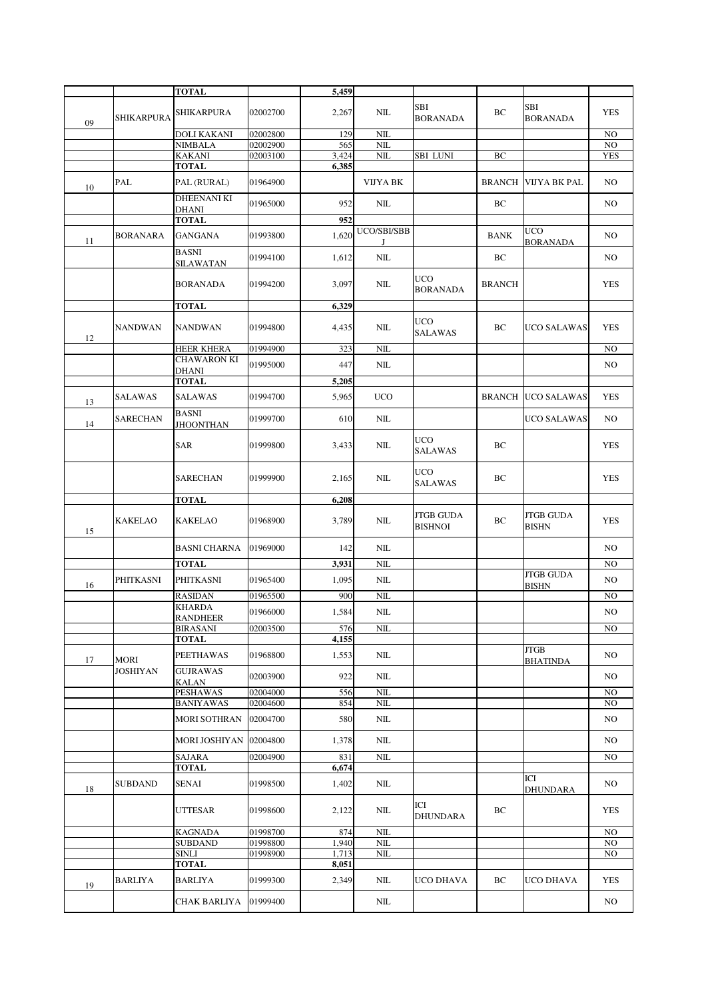|    |                                | <b>TOTAL</b>                        |                      | 5,459          |                  |                                    |               |                                  |            |
|----|--------------------------------|-------------------------------------|----------------------|----------------|------------------|------------------------------------|---------------|----------------------------------|------------|
| 09 | <b>SHIKARPURA</b>              | <b>SHIKARPURA</b>                   | 02002700             | 2,267          | NIL              | <b>SBI</b><br><b>BORANADA</b>      | BC            | SBI<br><b>BORANADA</b>           | <b>YES</b> |
|    |                                | DOLI KAKANI                         | 02002800             | 129            | NIL              |                                    |               |                                  | NO         |
|    |                                | <b>NIMBALA</b>                      | 02002900             | 565            | NIL              |                                    |               |                                  | NO         |
|    |                                | <b>KAKANI</b>                       | 02003100             | 3,424          | $\rm NIL$        | <b>SBI LUNI</b>                    | BC            |                                  | <b>YES</b> |
|    | PAL                            | TOTAL<br>PAL (RURAL)                | 01964900             | 6,385          | VIJYA BK         |                                    | BRANCH        | VIJYA BK PAL                     | NO.        |
| 10 |                                | DHEENANI KI                         | 01965000             | 952            | $\rm NIL$        |                                    | BC            |                                  | NO.        |
|    |                                | DHANI<br><b>TOTAL</b>               |                      | 952            |                  |                                    |               |                                  |            |
| 11 | BORANARA                       | GANGANA                             | 01993800             | 1,620          | UCO/SBI/SBB<br>J |                                    | <b>BANK</b>   | <b>UCO</b><br><b>BORANADA</b>    | NO.        |
|    |                                | <b>BASNI</b><br>SILAWATAN           | 01994100             | 1,612          | NIL              |                                    | BC            |                                  | NO.        |
|    |                                | <b>BORANADA</b>                     | 01994200             | 3,097          | NIL              | <b>UCO</b><br><b>BORANADA</b>      | <b>BRANCH</b> |                                  | <b>YES</b> |
|    |                                | <b>TOTAL</b>                        |                      | 6,329          |                  |                                    |               |                                  |            |
| 12 | <b>NANDWAN</b>                 | NANDWAN                             | 01994800             | 4,435          | $\rm NIL$        | <b>UCO</b><br><b>SALAWAS</b>       | BC            | UCO SALAWAS                      | <b>YES</b> |
|    |                                | <b>HEER KHERA</b>                   | 01994900             | 323            | NIL              |                                    |               |                                  | NO.        |
|    |                                | <b>CHAWARON KI</b>                  | 01995000             | 447            | $\rm NIL$        |                                    |               |                                  | NO.        |
|    |                                | DHANI                               |                      |                |                  |                                    |               |                                  |            |
|    |                                | <b>TOTAL</b>                        |                      | 5,205          |                  |                                    |               |                                  |            |
| 13 | <b>SALAWAS</b>                 | <b>SALAWAS</b><br><b>BASNI</b>      | 01994700             | 5,965          | <b>UCO</b>       |                                    |               | <b>BRANCH UCO SALAWAS</b>        | <b>YES</b> |
| 14 | SARECHAN                       | JHOONTHAN                           | 01999700             | 610            | NIL              | <b>UCO</b>                         |               | UCO SALAWAS                      | NO.        |
|    |                                | <b>SAR</b>                          | 01999800             | 3,433          | NIL              | <b>SALAWAS</b>                     | ВC            |                                  | <b>YES</b> |
|    |                                | <b>SARECHAN</b>                     | 01999900             | 2,165          | NIL              | <b>UCO</b><br><b>SALAWAS</b>       | ВC            |                                  | <b>YES</b> |
|    |                                | <b>TOTAL</b>                        |                      | 6,208          |                  |                                    |               |                                  |            |
| 15 | <b>KAKELAO</b>                 | <b>KAKELAO</b>                      | 01968900             | 3,789          | NIL              | <b>JTGB GUDA</b><br><b>BISHNOI</b> | BC            | <b>JTGB GUDA</b><br><b>BISHN</b> | <b>YES</b> |
|    |                                | <b>BASNI CHARNA</b>                 | 01969000             | 142            | $\rm NIL$        |                                    |               |                                  | NO.        |
|    |                                | <b>TOTAL</b>                        |                      | 3,931          | NIL              |                                    |               |                                  | NO         |
| 16 | PHITKASNI                      | PHITKASNI<br><b>RASIDAN</b>         | 01965400<br>01965500 | 1,095<br>900   | $\rm NIL$<br>NIL |                                    |               | <b>JTGB GUDA</b><br><b>BISHN</b> | NO<br>NO   |
|    |                                | <b>KHARDA</b>                       |                      |                |                  |                                    |               |                                  |            |
|    |                                | <b>RANDHEER</b>                     | 01966000             | 1,584          | $\rm NIL$        |                                    |               |                                  | NO         |
|    |                                | <b>BIRASANI</b>                     | 02003500             | 576            | $\rm NIL$        |                                    |               |                                  | NO         |
|    |                                | <b>TOTAL</b>                        |                      | 4,155          |                  |                                    |               |                                  |            |
| 17 | <b>MORI</b><br><b>JOSHIYAN</b> | <b>PEETHAWAS</b><br><b>GUJRAWAS</b> | 01968800             | 1,553          | $\rm NIL$        |                                    |               | <b>JTGB</b><br><b>BHATINDA</b>   | NO.        |
|    |                                | KALAN                               | 02003900             | 922            | NIL              |                                    |               |                                  | NO.        |
|    |                                | PESHAWAS                            | 02004000             | 556            | NIL              |                                    |               |                                  | NO.        |
|    |                                | <b>BANIYAWAS</b>                    | 02004600             | 854            | $\rm NIL$        |                                    |               |                                  | NO.        |
|    |                                | MORI SOTHRAN                        | 02004700             | 580            | $\text{NIL}$     |                                    |               |                                  | NO.        |
|    |                                | MORI JOSHIYAN 02004800              |                      | 1,378          | NIL              |                                    |               |                                  | NO.        |
|    |                                | <b>SAJARA</b>                       | 02004900             | 831            | $\rm NIL$        |                                    |               |                                  | NO.        |
|    |                                | <b>TOTAL</b>                        |                      | 6,674          |                  |                                    |               | ICI                              |            |
| 18 | SUBDAND                        | SENAI                               | 01998500             | 1,402          | NIL              |                                    |               | <b>DHUNDARA</b>                  | NO.        |
|    |                                | <b>UTTESAR</b>                      | 01998600             | 2,122          | NIL              | ICI<br><b>DHUNDARA</b>             | BC            |                                  | YES        |
|    |                                | KAGNADA                             | 01998700             | 874            | $\rm NIL$        |                                    |               |                                  | NO.        |
|    |                                | <b>SUBDAND</b><br>SINLI             | 01998800<br>01998900 | 1,940<br>1,713 | $\rm NIL$<br>NIL |                                    |               |                                  | NO.<br>NO  |
|    |                                | <b>TOTAL</b>                        |                      | 8,051          |                  |                                    |               |                                  |            |
| 19 | BARLIYA                        | <b>BARLIYA</b>                      | 01999300             | 2,349          | NIL              | UCO DHAVA                          | BC            | UCO DHAVA                        | <b>YES</b> |
|    |                                | CHAK BARLIYA                        | 01999400             |                | $\rm NIL$        |                                    |               |                                  | NO.        |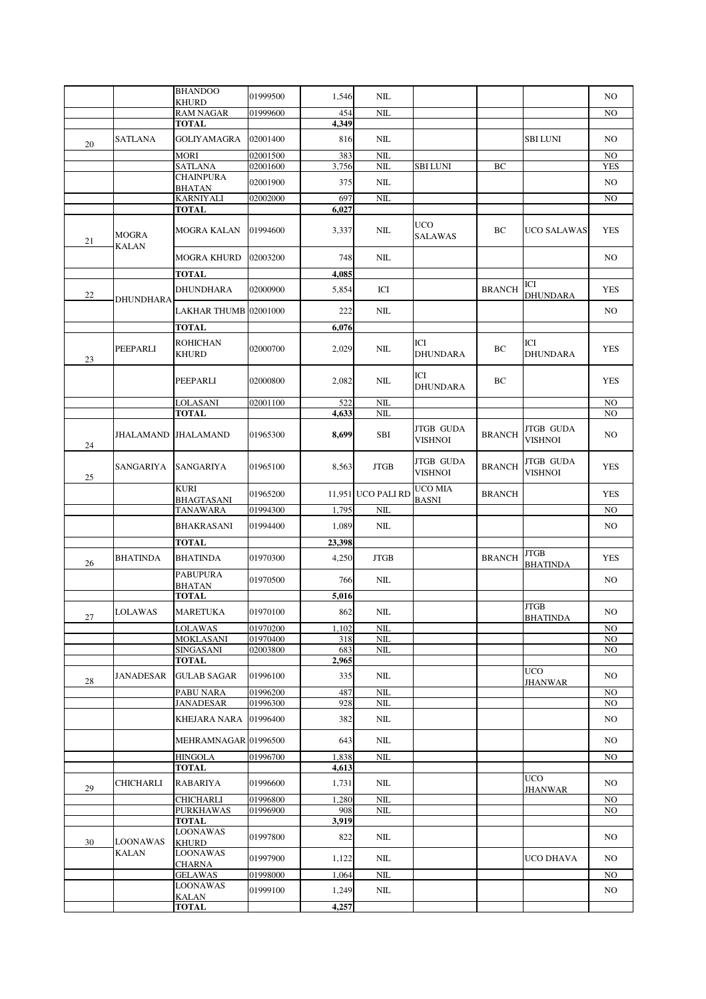|    |                 | <b>BHANDOO</b>                            | 01999500             | 1,546        | NIL                |                                    |               |                                | NO               |
|----|-----------------|-------------------------------------------|----------------------|--------------|--------------------|------------------------------------|---------------|--------------------------------|------------------|
|    |                 | <b>KHURD</b><br><b>RAM NAGAR</b>          | 01999600             | 454          | NIL                |                                    |               |                                | NO               |
|    |                 | <b>TOTAL</b>                              |                      | 4,349        |                    |                                    |               |                                |                  |
| 20 | SATLANA         | GOLIYAMAGRA                               | 02001400             | 816          | NIL                |                                    |               | <b>SBI LUNI</b>                | NO               |
|    |                 | <b>MORI</b><br><b>SATLANA</b>             | 02001500<br>02001600 | 383<br>3,756 | $\rm NIL$<br>NIL   | SBI LUNI                           | BC            |                                | NO<br><b>YES</b> |
|    |                 | <b>CHAINPURA</b>                          | 02001900             | 375          | $\rm NIL$          |                                    |               |                                | NO               |
|    |                 | <b>BHATAN</b>                             |                      |              |                    |                                    |               |                                |                  |
|    |                 | <b>KARNIYALI</b><br><b>TOTAL</b>          | 02002000             | 697<br>6,027 | $\rm NIL$          |                                    |               |                                | NO               |
| 21 | <b>MOGRA</b>    | <b>MOGRA KALAN</b>                        | 01994600             | 3,337        | NIL                | <b>UCO</b><br><b>SALAWAS</b>       | ВC            | UCO SALAWAS                    | <b>YES</b>       |
|    | <b>KALAN</b>    | <b>MOGRA KHURD</b>                        | 02003200             | 748          | $\text{NIL}$       |                                    |               |                                | NO.              |
|    |                 | <b>TOTAL</b>                              |                      | 4,085        |                    |                                    |               |                                |                  |
| 22 | DHUNDHARA       | <b>DHUNDHARA</b>                          | 02000900             | 5,854        | ICI                |                                    | <b>BRANCH</b> | ICI<br><b>DHUNDARA</b>         | <b>YES</b>       |
|    |                 | LAKHAR THUMB 02001000                     |                      | 222          | $\rm NIL$          |                                    |               |                                | NO               |
|    |                 | <b>TOTAL</b>                              |                      | 6,076        |                    |                                    |               |                                |                  |
| 23 | PEEPARLI        | <b>ROHICHAN</b><br><b>KHURD</b>           | 02000700             | 2,029        | NIL                | ICI<br><b>DHUNDARA</b>             | ВC            | ICI<br><b>DHUNDARA</b>         | <b>YES</b>       |
|    |                 | PEEPARLI                                  | 02000800             | 2,082        | NIL                | ICI<br><b>DHUNDARA</b>             | ВC            |                                | <b>YES</b>       |
|    |                 | <b>LOLASANI</b>                           | 02001100             | 522          | NIL                |                                    |               |                                | NO               |
|    |                 | <b>TOTAL</b>                              |                      | 4,633        | NIL                |                                    |               |                                | NO               |
| 24 | JHALAMAND       | <b>JHALAMAND</b>                          | 01965300             | 8,699        | SBI                | <b>JTGB GUDA</b><br>VISHNOI        | <b>BRANCH</b> | JTGB GUDA<br><b>VISHNOI</b>    | NO               |
| 25 | SANGARIYA       | SANGARIYA                                 | 01965100             | 8,563        | <b>JTGB</b>        | <b>JTGB GUDA</b><br><b>VISHNOI</b> | <b>BRANCH</b> | JTGB GUDA<br><b>VISHNOI</b>    | <b>YES</b>       |
|    |                 | <b>KURI</b><br><b>BHAGTASANI</b>          | 01965200             |              | 11,951 UCO PALI RD | UCO MIA<br><b>BASNI</b>            | <b>BRANCH</b> |                                | <b>YES</b>       |
|    |                 | TANAWARA                                  | 01994300             | 1,795        | NIL                |                                    |               |                                | NO               |
|    |                 | <b>BHAKRASANI</b>                         | 01994400             | 1,089        | $\text{NIL}$       |                                    |               |                                | NO.              |
|    |                 | <b>TOTAL</b>                              |                      | 23,398       |                    |                                    |               |                                |                  |
| 26 | <b>BHATINDA</b> | <b>BHATINDA</b>                           | 01970300             | 4,250        | <b>JTGB</b>        |                                    | <b>BRANCH</b> | <b>JTGB</b>                    | <b>YES</b>       |
|    |                 | <b>PABUPURA</b><br><b>BHATAN</b>          | 01970500             | 766          | NIL                |                                    |               | <b>BHATINDA</b>                | NO               |
|    |                 | <b>TOTAL</b>                              |                      | 5,016        |                    |                                    |               |                                |                  |
| 27 | <b>LOLAWAS</b>  | MARETUKA                                  | 01970100             | 862          | NIL                |                                    |               | <b>JTGB</b><br><b>BHATINDA</b> | NO               |
|    |                 | LOLAWAS                                   | 01970200             | 1,102        | NIL                |                                    |               |                                | NO               |
|    |                 | <b>MOKLASANI</b><br><b>SINGASANI</b>      | 01970400<br>02003800 | 318<br>683   | NIL<br>NIL         |                                    |               |                                | NO<br>NO         |
|    |                 | <b>TOTAL</b>                              |                      | 2,965        |                    |                                    |               |                                |                  |
| 28 | JANADESAR       | <b>GULAB SAGAR</b>                        | 01996100             | 335          | $\rm NIL$          |                                    |               | <b>UCO</b><br><b>JHANWAR</b>   | NO               |
|    |                 | PABU NARA                                 | 01996200             | 487          | NIL                |                                    |               |                                | NO.              |
|    |                 | <b>JANADESAR</b><br>KHEJARA NARA 01996400 | 01996300             | 928<br>382   | NIL<br>NIL         |                                    |               |                                | NO<br>NO.        |
|    |                 | MEHRAMNAGAR 01996500                      |                      | 643          | NIL                |                                    |               |                                | NO               |
|    |                 | <b>HINGOLA</b>                            | 01996700             | 1,838        | $\rm NIL$          |                                    |               |                                | NO               |
|    |                 | <b>TOTAL</b>                              |                      | 4,613        |                    |                                    |               |                                |                  |
| 29 | CHICHARLI       | RABARIYA                                  | 01996600             | 1,731        | NIL                |                                    |               | <b>UCO</b><br><b>JHANWAR</b>   | NO.              |
|    |                 | <b>CHICHARLI</b>                          | 01996800             | 1,280        | $\rm NIL$          |                                    |               |                                | NO               |
|    |                 | <b>PURKHAWAS</b><br><b>TOTAL</b>          | 01996900             | 908<br>3,919 | $\text{NIL}$       |                                    |               |                                | NO               |
| 30 | LOONAWAS        | <b>LOONAWAS</b><br><b>KHURD</b>           | 01997800             | 822          | NIL                |                                    |               |                                | NO.              |
|    | KALAN           | LOONAWAS<br>CHARNA                        | 01997900             | 1,122        | NIL                |                                    |               | UCO DHAVA                      | NO               |
|    |                 | GELAWAS                                   | 01998000             | 1,064        | $\rm NIL$          |                                    |               |                                | NO               |
|    |                 | LOONAWAS                                  | 01999100             | 1,249        | $\rm NIL$          |                                    |               |                                | NO               |
|    |                 | KALAN<br><b>TOTAL</b>                     |                      | 4,257        |                    |                                    |               |                                |                  |
|    |                 |                                           |                      |              |                    |                                    |               |                                |                  |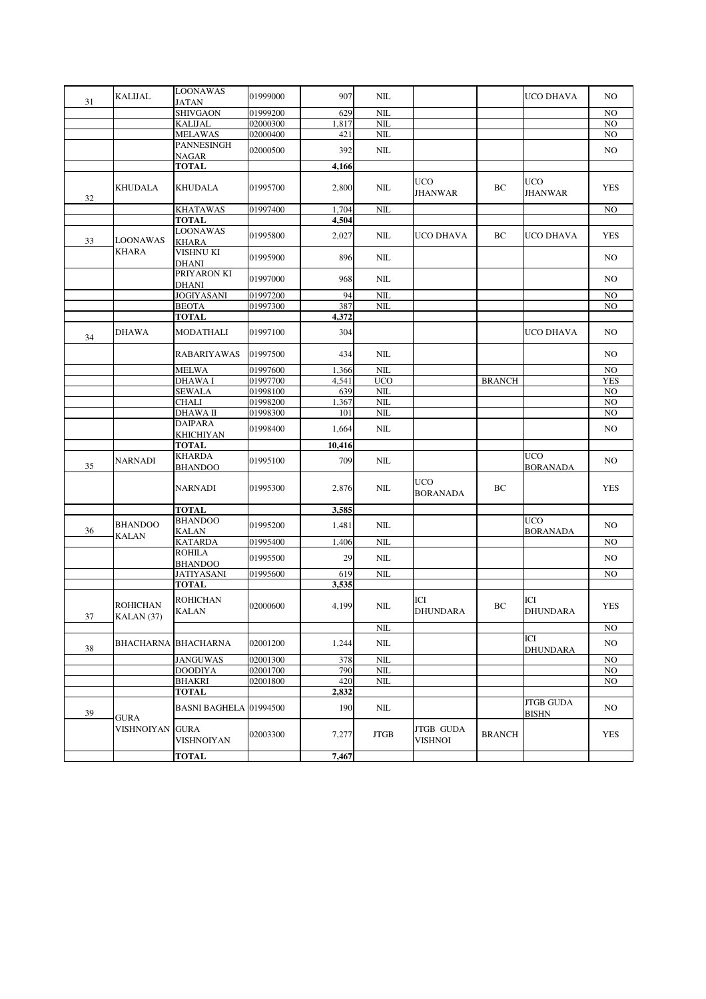|    | <b>KALIJAL</b>                | LOONAWAS                         | 01999000 | 907    | $\rm NIL$    |                                    |               | UCO DHAVA                        | NO.            |
|----|-------------------------------|----------------------------------|----------|--------|--------------|------------------------------------|---------------|----------------------------------|----------------|
| 31 |                               | <b>JATAN</b>                     |          |        |              |                                    |               |                                  |                |
|    |                               | <b>SHIVGAON</b>                  | 01999200 | 629    | NIL          |                                    |               |                                  | NO             |
|    |                               | <b>KALIJAL</b>                   | 02000300 | 1,817  | NIL          |                                    |               |                                  | NO             |
|    |                               | <b>MELAWAS</b>                   | 02000400 | 421    | $\rm NIL$    |                                    |               |                                  | NO             |
|    |                               | PANNESINGH                       | 02000500 | 392    | $\rm NIL$    |                                    |               |                                  | NO.            |
|    |                               | NAGAR                            |          |        |              |                                    |               |                                  |                |
|    |                               | <b>TOTAL</b>                     |          | 4,166  |              |                                    |               |                                  |                |
| 32 | <b>KHUDALA</b>                | KHUDALA                          | 01995700 | 2,800  | NIL          | <b>UCO</b><br><b>JHANWAR</b>       | ВC            | <b>UCO</b><br><b>JHANWAR</b>     | <b>YES</b>     |
|    |                               | <b>KHATAWAS</b>                  | 01997400 | 1,704  | NIL          |                                    |               |                                  | NO             |
|    |                               | <b>TOTAL</b>                     |          | 4,504  |              |                                    |               |                                  |                |
| 33 | <b>LOONAWAS</b>               | <b>LOONAWAS</b><br><b>KHARA</b>  | 01995800 | 2,027  | NIL          | UCO DHAVA                          | ВC            | UCO DHAVA                        | <b>YES</b>     |
|    | <b>KHARA</b>                  | VISHNU KI<br>DHANI               | 01995900 | 896    | NIL          |                                    |               |                                  | NO.            |
|    |                               | PRIYARON KI<br><b>DHANI</b>      | 01997000 | 968    | NIL          |                                    |               |                                  | NO.            |
|    |                               | JOGIYASANI                       | 01997200 | 94     | NIL          |                                    |               |                                  | NO             |
|    |                               | <b>BEOTA</b>                     | 01997300 | 387    | NIL          |                                    |               |                                  | NO.            |
|    |                               | <b>TOTAL</b>                     |          | 4,372  |              |                                    |               |                                  |                |
| 34 | <b>DHAWA</b>                  | <b>MODATHALI</b>                 | 01997100 | 304    |              |                                    |               | UCO DHAVA                        | NO.            |
|    |                               | <b>RABARIYAWAS</b>               | 01997500 | 434    | $\text{NIL}$ |                                    |               |                                  | NO.            |
|    |                               | MELWA                            | 01997600 | 1,366  | NIL          |                                    |               |                                  | NO.            |
|    |                               | DHAWA I                          | 01997700 | 4,541  | <b>UCO</b>   |                                    | <b>BRANCH</b> |                                  | <b>YES</b>     |
|    |                               | <b>SEWALA</b>                    | 01998100 | 639    | NIL          |                                    |               |                                  | NO.            |
|    |                               | <b>CHALI</b>                     | 01998200 | 1,367  | NIL          |                                    |               |                                  | NO.            |
|    |                               | DHAWA II                         | 01998300 | 101    | NIL          |                                    |               |                                  | NO.            |
|    |                               | DAIPARA                          | 01998400 | 1,664  | NIL          |                                    |               |                                  | NO.            |
|    |                               | KHICHIYAN<br>TOTAL               |          | 10,416 |              |                                    |               |                                  |                |
|    |                               | <b>KHARDA</b>                    |          |        |              |                                    |               | <b>UCO</b>                       |                |
| 35 | <b>NARNADI</b>                | <b>BHANDOO</b>                   | 01995100 | 709    | $\text{NIL}$ |                                    |               | <b>BORANADA</b>                  | NO.            |
|    |                               | <b>NARNADI</b>                   | 01995300 | 2,876  | NIL          | <b>UCO</b><br><b>BORANADA</b>      | BC            |                                  | <b>YES</b>     |
|    |                               | <b>TOTAL</b>                     |          | 3,585  |              |                                    |               |                                  |                |
| 36 | <b>BHANDOO</b><br>KALAN       | <b>BHANDOO</b><br><b>KALAN</b>   | 01995200 | 1,481  | $\text{NIL}$ |                                    |               | <b>UCO</b><br><b>BORANADA</b>    | NO.            |
|    |                               | <b>KATARDA</b>                   | 01995400 | 1,406  | NΙL          |                                    |               |                                  | NO             |
|    |                               | <b>ROHILA</b><br><b>BHANDOO</b>  | 01995500 | 29     | NIL          |                                    |               |                                  | NO.            |
|    |                               | <b>JATIYASANI</b>                | 01995600 | 619    | NIL          |                                    |               |                                  | N <sub>O</sub> |
|    |                               | <b>TOTAL</b>                     |          | 3,535  |              |                                    |               |                                  |                |
| 37 | <b>ROHICHAN</b><br>KALAN (37) | ROHICHAN<br><b>KALAN</b>         | 02000600 | 4,199  | NIL          | ICI<br><b>DHUNDARA</b>             | BC            | ICI<br><b>DHUNDARA</b>           | <b>YES</b>     |
|    |                               |                                  |          |        | NIL          |                                    |               |                                  | NO             |
| 38 | <b>BHACHARNA BHACHARNA</b>    |                                  | 02001200 | 1,244  | NIL          |                                    |               | ICI<br><b>DHUNDARA</b>           | NO             |
|    |                               | <b>JANGUWAS</b>                  | 02001300 | 378    | NIL          |                                    |               |                                  | N <sub>O</sub> |
|    |                               | <b>DOODIYA</b>                   | 02001700 | 790    | NIL          |                                    |               |                                  | NO.            |
|    |                               | <b>BHAKRI</b>                    | 02001800 | 420    | NIL          |                                    |               |                                  | NO.            |
|    |                               | <b>TOTAL</b>                     |          | 2,832  |              |                                    |               |                                  |                |
| 39 | GURA                          | <b>BASNI BAGHELA 01994500</b>    |          | 190    | NIL          |                                    |               | <b>JTGB GUDA</b><br><b>BISHN</b> | NO             |
|    | VISHNOIYAN                    | <b>GURA</b><br><b>VISHNOIYAN</b> | 02003300 | 7,277  | <b>JTGB</b>  | <b>JTGB GUDA</b><br><b>VISHNOI</b> | <b>BRANCH</b> |                                  | <b>YES</b>     |
|    |                               | <b>TOTAL</b>                     |          | 7,467  |              |                                    |               |                                  |                |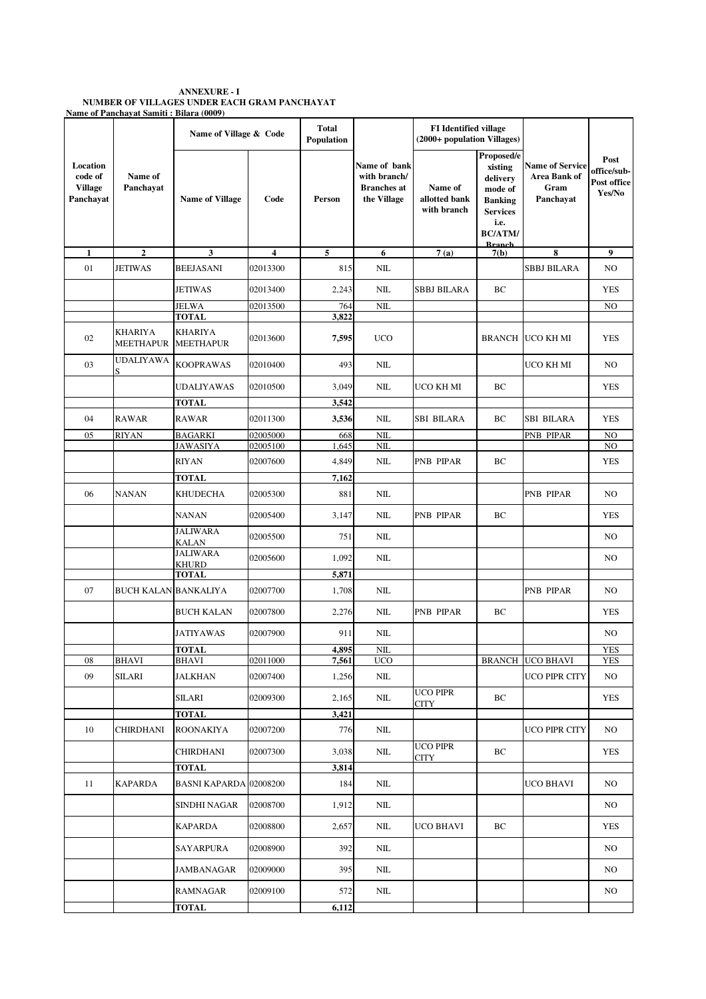**ANNEXURE - I NUMBER OF VILLAGES UNDER EACH GRAM PANCHAYAT Name of Panchayat Samiti : Bilara (0009)**

|                                                    |                                    | Name of Village & Code          |                     | <b>Total</b><br>Population |                                                                   | <b>FI</b> Identified village<br>(2000+ population Villages) |                                                                                                                              |                                                             |                                              |
|----------------------------------------------------|------------------------------------|---------------------------------|---------------------|----------------------------|-------------------------------------------------------------------|-------------------------------------------------------------|------------------------------------------------------------------------------------------------------------------------------|-------------------------------------------------------------|----------------------------------------------|
| Location<br>code of<br><b>Village</b><br>Panchayat | Name of<br>Panchavat               | <b>Name of Village</b>          | Code                | Person                     | Name of bank<br>with branch/<br><b>Branches</b> at<br>the Village | Name of<br>allotted bank<br>with branch                     | Proposed/e<br>xisting<br>delivery<br>mode of<br><b>Banking</b><br><b>Services</b><br>i.e.<br><b>BC/ATM/</b><br><b>Rranch</b> | <b>Name of Service</b><br>Area Bank of<br>Gram<br>Panchayat | Post<br>office/sub-<br>Post office<br>Yes/No |
| $\mathbf{1}$                                       | $\mathbf{2}$                       | $\mathbf{3}$                    | $\overline{\bf{4}}$ | 5                          | 6                                                                 | 7(a)                                                        | 7(b)                                                                                                                         | 8                                                           | $\boldsymbol{9}$                             |
| 01                                                 | <b>JETIWAS</b>                     | <b>BEEJASANI</b>                | 02013300            | 815                        | NIL                                                               |                                                             |                                                                                                                              | <b>SBBJ BILARA</b>                                          | NO                                           |
|                                                    |                                    | <b>JETIWAS</b>                  | 02013400            | 2,243                      | NIL                                                               | SBBJ BILARA                                                 | ВC                                                                                                                           |                                                             | <b>YES</b>                                   |
|                                                    |                                    | JELWA<br><b>TOTAL</b>           | 02013500            | 764<br>3,822               | NIL                                                               |                                                             |                                                                                                                              |                                                             | NO                                           |
| 02                                                 | <b>KHARIYA</b><br><b>MEETHAPUR</b> | KHARIYA<br><b>MEETHAPUR</b>     | 02013600            | 7,595                      | <b>UCO</b>                                                        |                                                             | <b>BRANCH</b>                                                                                                                | UCO KH MI                                                   | <b>YES</b>                                   |
| 03                                                 | UDALIYAWA<br>S                     | <b>KOOPRAWAS</b>                | 02010400            | 493                        | NIL                                                               |                                                             |                                                                                                                              | UCO KH MI                                                   | NO.                                          |
|                                                    |                                    | <b>UDALIYAWAS</b>               | 02010500            | 3,049                      | NIL                                                               | UCO KH MI                                                   | ВC                                                                                                                           |                                                             | <b>YES</b>                                   |
|                                                    |                                    | <b>TOTAL</b>                    |                     | 3,542                      |                                                                   |                                                             |                                                                                                                              |                                                             |                                              |
| 04                                                 | <b>RAWAR</b>                       | <b>RAWAR</b>                    | 02011300            | 3,536                      | NIL                                                               | SBI BILARA                                                  | ВC                                                                                                                           | SBI BILARA                                                  | <b>YES</b>                                   |
| 05                                                 | <b>RIYAN</b>                       | <b>BAGARKI</b>                  | 02005000            | 668                        | NIL                                                               |                                                             |                                                                                                                              | PNB PIPAR                                                   | NO                                           |
|                                                    |                                    | <b>JAWASIYA</b>                 | 02005100            | 1,645                      | $\rm NIL$                                                         |                                                             |                                                                                                                              |                                                             | NO                                           |
|                                                    |                                    | <b>RIYAN</b>                    | 02007600            | 4,849                      | NIL                                                               | PNB PIPAR                                                   | BC                                                                                                                           |                                                             | <b>YES</b>                                   |
|                                                    |                                    | <b>TOTAL</b>                    |                     | 7,162                      |                                                                   |                                                             |                                                                                                                              |                                                             |                                              |
| 06                                                 | NANAN                              | <b>KHUDECHA</b>                 | 02005300            | 881                        | NIL                                                               |                                                             |                                                                                                                              | PNB PIPAR                                                   | NO                                           |
|                                                    |                                    | <b>NANAN</b><br><b>JALIWARA</b> | 02005400            | 3,147                      | NIL                                                               | PNB PIPAR                                                   | BC                                                                                                                           |                                                             | <b>YES</b>                                   |
|                                                    |                                    | <b>KALAN</b><br><b>JALIWARA</b> | 02005500            | 751                        | NIL                                                               |                                                             |                                                                                                                              |                                                             | NO                                           |
|                                                    |                                    | KHURD                           | 02005600            | 1,092                      | NIL                                                               |                                                             |                                                                                                                              |                                                             | NO                                           |
|                                                    |                                    | <b>TOTAL</b>                    |                     | 5,871                      |                                                                   |                                                             |                                                                                                                              |                                                             |                                              |
| 07                                                 | <b>BUCH KALAN BANKALIYA</b>        |                                 | 02007700            | 1,708                      | NIL                                                               |                                                             |                                                                                                                              | PNB PIPAR                                                   | NO.                                          |
|                                                    |                                    | BUCH KALAN                      | 02007800            | 2,276                      | NIL                                                               | PNB PIPAR                                                   | BC                                                                                                                           |                                                             | <b>YES</b>                                   |
|                                                    |                                    | <b>JATIYAWAS</b>                | 02007900            | 911                        | NIL                                                               |                                                             |                                                                                                                              |                                                             | NO                                           |
| 08                                                 | <b>BHAVI</b>                       | TOTAL<br><b>BHAVI</b>           | 02011000            | 4,895<br>7,561             | NIL<br><b>UCO</b>                                                 |                                                             |                                                                                                                              | <b>BRANCH UCO BHAVI</b>                                     | <b>YES</b><br><b>YES</b>                     |
| 09                                                 | <b>SILARI</b>                      | <b>JALKHAN</b>                  | 02007400            | 1,256                      | NIL                                                               |                                                             |                                                                                                                              | UCO PIPR CITY                                               | NO.                                          |
|                                                    |                                    | <b>SILARI</b>                   | 02009300            | 2,165                      | NIL                                                               | <b>UCO PIPR</b><br><b>CITY</b>                              | BC                                                                                                                           |                                                             | <b>YES</b>                                   |
|                                                    |                                    | <b>TOTAL</b>                    |                     | 3,421                      |                                                                   |                                                             |                                                                                                                              |                                                             |                                              |
| 10                                                 | CHIRDHANI                          | ROONAKIYA                       | 02007200            | 776                        | $\rm NIL$                                                         |                                                             |                                                                                                                              | <b>UCO PIPR CITY</b>                                        | NO.                                          |
|                                                    |                                    | <b>CHIRDHANI</b>                | 02007300            | 3,038                      | $\rm NIL$                                                         | <b>UCO PIPR</b><br>CITY                                     | BC                                                                                                                           |                                                             | <b>YES</b>                                   |
|                                                    |                                    | <b>TOTAL</b>                    |                     | 3,814                      |                                                                   |                                                             |                                                                                                                              |                                                             |                                              |
| 11                                                 | KAPARDA                            | <b>BASNI KAPARDA 02008200</b>   |                     | 184                        | NIL                                                               |                                                             |                                                                                                                              | UCO BHAVI                                                   | NO.                                          |
|                                                    |                                    | SINDHI NAGAR                    | 02008700            | 1,912                      | NIL                                                               |                                                             |                                                                                                                              |                                                             | NO.                                          |
|                                                    |                                    | <b>KAPARDA</b>                  | 02008800            | 2,657                      | $\rm NIL$                                                         | <b>UCO BHAVI</b>                                            | BC                                                                                                                           |                                                             | <b>YES</b>                                   |
|                                                    |                                    | SAYARPURA                       | 02008900            | 392                        | $\rm NIL$                                                         |                                                             |                                                                                                                              |                                                             | NO.                                          |
|                                                    |                                    | JAMBANAGAR                      | 02009000            | 395                        | $\rm NIL$                                                         |                                                             |                                                                                                                              |                                                             | NO.                                          |
|                                                    |                                    | <b>RAMNAGAR</b>                 | 02009100            | 572                        | NIL                                                               |                                                             |                                                                                                                              |                                                             | NO.                                          |
|                                                    |                                    | <b>TOTAL</b>                    |                     | 6,112                      |                                                                   |                                                             |                                                                                                                              |                                                             |                                              |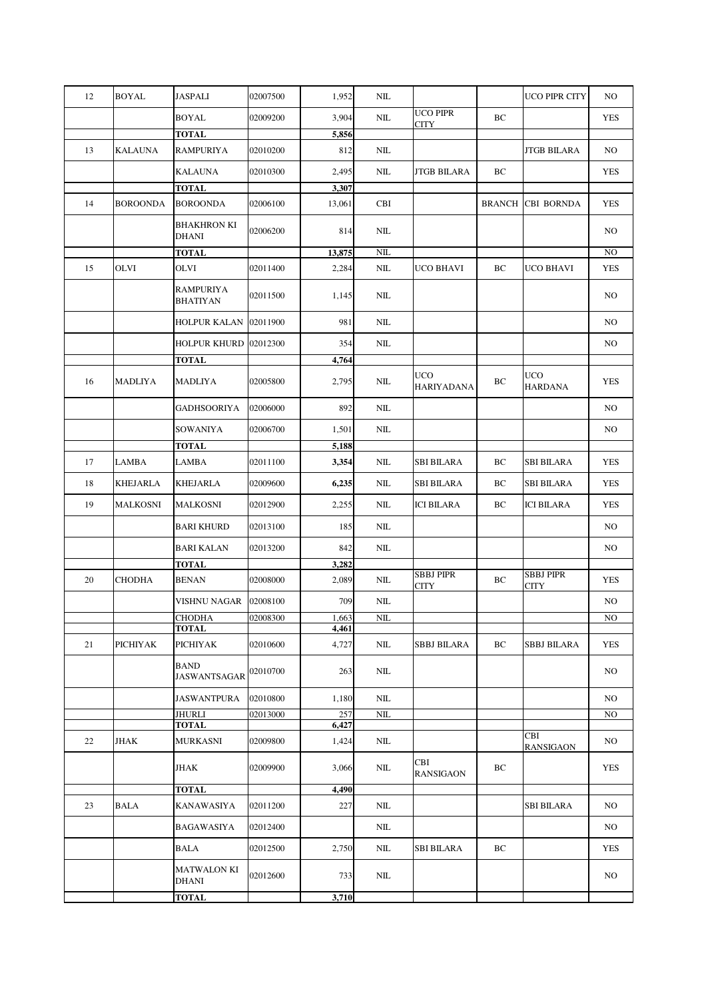| 12 | <b>BOYAL</b>    | <b>JASPALI</b>                     | 02007500 | 1,952          | NIL       |                                 |               | <b>UCO PIPR CITY</b>         | NO.        |
|----|-----------------|------------------------------------|----------|----------------|-----------|---------------------------------|---------------|------------------------------|------------|
|    |                 | <b>BOYAL</b>                       | 02009200 | 3,904          | NIL       | <b>UCO PIPR</b><br><b>CITY</b>  | ВC            |                              | YES        |
|    |                 | <b>TOTAL</b>                       |          | 5,856          |           |                                 |               |                              |            |
| 13 | <b>KALAUNA</b>  | RAMPURIYA                          | 02010200 | 812            | NIL       |                                 |               | <b>JTGB BILARA</b>           | NO.        |
|    |                 | <b>KALAUNA</b>                     | 02010300 | 2,495          | NIL       | JTGB BILARA                     | BC            |                              | YES        |
|    |                 | <b>TOTAL</b>                       |          | 3,307          |           |                                 |               |                              |            |
| 14 | <b>BOROONDA</b> | <b>BOROONDA</b>                    | 02006100 | 13,061         | CBI       |                                 | <b>BRANCH</b> | <b>CBI BORNDA</b>            | <b>YES</b> |
|    |                 | <b>BHAKHRON KI</b><br><b>DHANI</b> | 02006200 | 814            | NIL       |                                 |               |                              | NO.        |
|    |                 | <b>TOTAL</b>                       |          | 13,875         | $\rm NIL$ |                                 |               |                              | NO         |
| 15 | OLVI            | OLVI                               | 02011400 | 2,284          | NIL       | UCO BHAVI                       | ВC            | <b>UCO BHAVI</b>             | <b>YES</b> |
|    |                 | <b>RAMPURIYA</b><br>BHATIYAN       | 02011500 | 1,145          | NIL       |                                 |               |                              | NO.        |
|    |                 | HOLPUR KALAN                       | 02011900 | 981            | NΙL       |                                 |               |                              | NO.        |
|    |                 | HOLPUR KHURD                       | 02012300 | 354            | NIL       |                                 |               |                              | NO.        |
|    |                 | <b>TOTAL</b>                       |          | 4,764          |           |                                 |               |                              |            |
| 16 | MADLIYA         | MADLIYA                            | 02005800 | 2,795          | NIL       | <b>UCO</b><br><b>HARIYADANA</b> | ВC            | <b>UCO</b><br><b>HARDANA</b> | YES        |
|    |                 | <b>GADHSOORIYA</b>                 | 02006000 | 892            | NΙL       |                                 |               |                              | NO         |
|    |                 | SOWANIYA                           | 02006700 | 1,501          | NΙL       |                                 |               |                              | NO.        |
|    |                 | <b>TOTAL</b>                       |          | 5,188          |           |                                 |               |                              |            |
| 17 | <b>LAMBA</b>    | LAMBA                              | 02011100 | 3,354          | NΙL       | <b>SBI BILARA</b>               | BC            | <b>SBI BILARA</b>            | <b>YES</b> |
| 18 | <b>KHEJARLA</b> | KHEJARLA                           | 02009600 | 6,235          | NIL       | <b>SBI BILARA</b>               | ВC            | <b>SBI BILARA</b>            | <b>YES</b> |
| 19 | <b>MALKOSNI</b> | MALKOSNI                           | 02012900 | 2,255          | $\rm NIL$ | <b>ICI BILARA</b>               | ВC            | <b>ICI BILARA</b>            | <b>YES</b> |
|    |                 | <b>BARI KHURD</b>                  | 02013100 | 185            | $\rm NIL$ |                                 |               |                              | NO.        |
|    |                 | <b>BARI KALAN</b>                  | 02013200 | 842            | NIL       |                                 |               |                              | NO         |
|    |                 |                                    |          |                |           |                                 |               |                              |            |
|    |                 | <b>TOTAL</b>                       |          | 3,282          |           | <b>SBBJ PIPR</b>                |               | <b>SBBJ PIPR</b>             |            |
| 20 | <b>CHODHA</b>   | <b>BENAN</b>                       | 02008000 | 2,089          | NIL       | <b>CITY</b>                     | ВC            | <b>CITY</b>                  | <b>YES</b> |
|    |                 | VISHNU NAGAR                       | 02008100 | 709            | NIL       |                                 |               |                              | NO         |
|    |                 | <b>CHODHA</b>                      | 02008300 | 1,663          | $\rm NIL$ |                                 |               |                              | $\rm NO$   |
| 21 | PICHIYAK        | <b>TOTAL</b><br><b>PICHIYAK</b>    | 02010600 | 4,461<br>4,727 | NIL       | SBBJ BILARA                     | ВC            | SBBJ BILARA                  | YES        |
|    |                 | <b>BAND</b><br><b>JASWANTSAGAR</b> | 02010700 | 263            | NIL       |                                 |               |                              | NO.        |
|    |                 | <b>JASWANTPURA</b>                 | 02010800 | 1,180          | NIL       |                                 |               |                              | NO.        |
|    |                 | <b>JHURLI</b>                      | 02013000 | 257            | $\rm NIL$ |                                 |               |                              | NO         |
|    |                 | <b>TOTAL</b>                       |          | 6,427          |           |                                 |               |                              |            |
| 22 | <b>JHAK</b>     | <b>MURKASNI</b>                    | 02009800 | 1,424          | NIL       |                                 |               | CBI<br><b>RANSIGAON</b>      | NO         |
|    |                 | <b>JHAK</b>                        | 02009900 | 3,066          | NIL       | CBI<br><b>RANSIGAON</b>         | BC            |                              | <b>YES</b> |
|    |                 | <b>TOTAL</b>                       |          | 4,490          |           |                                 |               |                              |            |
| 23 | <b>BALA</b>     | KANAWASIYA                         | 02011200 | 227            | NIL       |                                 |               | <b>SBI BILARA</b>            | NO.        |
|    |                 | BAGAWASIYA                         | 02012400 |                | NΙL       |                                 |               |                              | NO.        |
|    |                 | BALA                               | 02012500 | 2,750          | NIL       | SBI BILARA                      | ВC            |                              | <b>YES</b> |
|    |                 | MATWALON KI<br>DHANI               | 02012600 | 733            | NIL       |                                 |               |                              | NO.        |
|    |                 | <b>TOTAL</b>                       |          | 3,710          |           |                                 |               |                              |            |